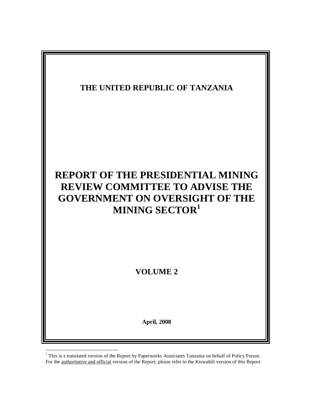

 $1$  This is a translated version of the Report by Paperworks Associates Tanzania on behalf of Policy Forum. For the authoritative and official version of the Report, please refer to the Kiswahili version of this Report.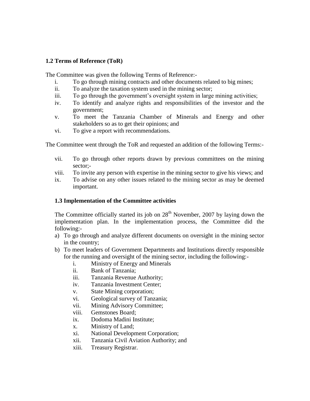## **1.2 Terms of Reference (ToR)**

The Committee was given the following Terms of Reference:-

- i. To go through mining contracts and other documents related to big mines;
- ii. To analyze the taxation system used in the mining sector;
- iii. To go through the government's oversight system in large mining activities;
- iv. To identify and analyze rights and responsibilities of the investor and the government;
- v. To meet the Tanzania Chamber of Minerals and Energy and other stakeholders so as to get their opinions; and
- vi. To give a report with recommendations.

The Committee went through the ToR and requested an addition of the following Terms:-

- vii. To go through other reports drawn by previous committees on the mining sector;-
- viii. To invite any person with expertise in the mining sector to give his views; and
- ix. To advise on any other issues related to the mining sector as may be deemed important.

## **1.3 Implementation of the Committee activities**

The Committee officially started its job on  $28<sup>th</sup>$  November, 2007 by laying down the implementation plan. In the implementation process, the Committee did the following:-

- a) To go through and analyze different documents on oversight in the mining sector in the country;
- b) To meet leaders of Government Departments and Institutions directly responsible for the running and oversight of the mining sector, including the following:
	- i. Ministry of Energy and Minerals
	- ii. Bank of Tanzania;
	- iii. Tanzania Revenue Authority;
	- iv. Tanzania Investment Center;
	- v. State Mining corporation;
	- vi. Geological survey of Tanzania;
	- vii. Mining Advisory Committee;
	- viii. Gemstones Board;
	- ix. Dodoma Madini Institute;
	- x. Ministry of Land;
	- xi. National Development Corporation;
	- xii. Tanzania Civil Aviation Authority; and
	- xiii. Treasury Registrar.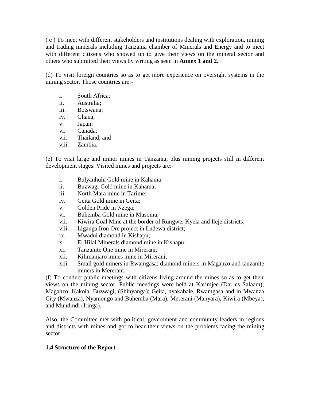( c ) To meet with different stakeholders and institutions dealing with exploration, mining and trading minerals including Tanzania chamber of Minerals and Energy and to meet with different citizens who showed up to give their views on the mineral sector and others who submitted their views by writing as seen in **Annex 1 and 2.**

(d) To visit foreign countries so as to get more experience on oversight systems in the mining sector. Those countries are:-

- i. South Africa;
- ii. Australia;
- iii. Botswana;
- iv. Ghana;
- v. Japan;
- vi. Canada;
- vii. Thailand; and
- viii. Zambia;

(e) To visit large and minor mines in Tanzania, plus mining projects still in different development stages. Visited mines and projects are:-

- i. Bulyanhulu Gold mine in Kahama
- ii. Buzwagi Gold mine in Kahama;
- iii. North Mara mine in Tarime;
- iv. Geita Gold mine in Geita;
- v. Golden Pride in Nzega;
- vi. Buhemba Gold mine in Musoma;
- vii. Kiwira Coal Mine at the border of Rungwe, Kyela and Ileje districts;
- viii. Liganga Iron Ore project in Ludewa district;
- ix. Mwadui diamond in Kishapu;
- x. El Hilal Minerals diamond mine in Kishapu;
- xi. Tanzanite One mine in Mirerani;
- xii. Kilimanjaro mines mine in Mirerani;
- xiii. Small gold miners in Rwamgasa; diamond miners in Maganzo and tanzanite miners in Mererani.

(f) To conduct public meetings with citizens living around the mines so as to get their views on the mining sector. Public meetings were held at Karimjee (Dar es Salaam); Maganzo, Kakola, Buzwagi, (Shinyanga); Geita, nyakabale, Rwamgasa and in Mwanza City (Mwanza), Nyamongo and Buhemba (Mara), Mererani (Manyara), Kiwira (Mbeya), and Mundindi (Iringa).

Also, the Committee met with political, government and community leaders in regions and districts with mines and got to hear their views on the problems facing the mining sector.

## **1.4 Structure of the Report**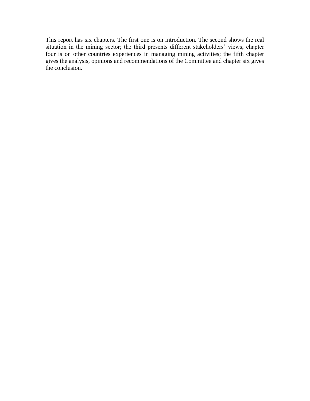This report has six chapters. The first one is on introduction. The second shows the real situation in the mining sector; the third presents different stakeholders' views; chapter four is on other countries experiences in managing mining activities; the fifth chapter gives the analysis, opinions and recommendations of the Committee and chapter six gives the conclusion.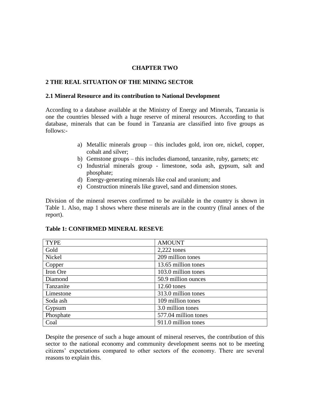#### **CHAPTER TWO**

#### **2 THE REAL SITUATION OF THE MINING SECTOR**

#### **2.1 Mineral Resource and its contribution to National Development**

According to a database available at the Ministry of Energy and Minerals, Tanzania is one the countries blessed with a huge reserve of mineral resources. According to that database, minerals that can be found in Tanzania are classified into five groups as follows:-

- a) Metallic minerals group this includes gold, iron ore, nickel, copper, cobalt and silver;
- b) Gemstone groups this includes diamond, tanzanite, ruby, garnets; etc
- c) Industrial minerals group limestone, soda ash, gypsum, salt and phosphate;
- d) Energy-generating minerals like coal and uranium; and
- e) Construction minerals like gravel, sand and dimension stones.

Division of the mineral reserves confirmed to be available in the country is shown in Table 1. Also, map 1 shows where these minerals are in the country (final annex of the report).

| <b>TYPE</b> | <b>AMOUNT</b>        |
|-------------|----------------------|
| Gold        | $2,222$ tones        |
| Nickel      | 209 million tones    |
| Copper      | 13.65 million tones  |
| Iron Ore    | 103.0 million tones  |
| Diamond     | 50.9 million ounces  |
| Tanzanite   | 12.60 tones          |
| Limestone   | 313.0 million tones  |
| Soda ash    | 109 million tones    |
| Gypsum      | 3.0 million tones    |
| Phosphate   | 577.04 million tones |
| Coal        | 911.0 million tones  |

#### **Table 1: CONFIRMED MINERAL RESEVE**

Despite the presence of such a huge amount of mineral reserves, the contribution of this sector to the national economy and community development seems not to be meeting citizens" expectations compared to other sectors of the economy. There are several reasons to explain this.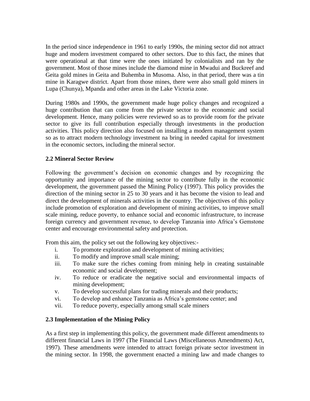In the period since independence in 1961 to early 1990s, the mining sector did not attract huge and modern investment compared to other sectors. Due to this fact, the mines that were operational at that time were the ones initiated by colonialists and ran by the government. Most of those mines include the diamond mine in Mwadui and Buckreef and Geita gold mines in Geita and Buhemba in Musoma. Also, in that period, there was a tin mine in Karagwe district. Apart from those mines, there were also small gold miners in Lupa (Chunya), Mpanda and other areas in the Lake Victoria zone.

During 1980s and 1990s, the government made huge policy changes and recognized a huge contribution that can come from the private sector to the economic and social development. Hence, many policies were reviewed so as to provide room for the private sector to give its full contribution especially through investments in the production activities. This policy direction also focused on installing a modern management system so as to attract modern technology investment na bring in needed capital for investment in the economic sectors, including the mineral sector.

# **2.2 Mineral Sector Review**

Following the government"s decision on economic changes and by recognizing the opportunity and importance of the mining sector to contribute fully in the economic development, the government passed the Mining Policy (1997). This policy provides the direction of the mining sector in 25 to 30 years and it has become the vision to lead and direct the development of minerals activities in the country. The objectives of this policy include promotion of exploration and development of mining activities, to improve small scale mining, reduce poverty, to enhance social and economic infrastructure, to increase foreign currency and government revenue, to develop Tanzania into Africa"s Gemstone center and encourage environmental safety and protection.

From this aim, the policy set out the following key objectives:-

- i. To promote exploration and development of mining activities;
- ii. To modify and improve small scale mining;
- iii. To make sure the riches coming from mining help in creating sustainable economic and social development;
- iv. To reduce or eradicate the negative social and environmental impacts of mining development;
- v. To develop successful plans for trading minerals and their products;
- vi. To develop and enhance Tanzania as Africa"s gemstone center; and
- vii. To reduce poverty, especially among small scale miners

## **2.3 Implementation of the Mining Policy**

As a first step in implementing this policy, the government made different amendments to different financial Laws in 1997 (The Financial Laws (Miscellaneous Amendments) Act, 1997). These amendments were intended to attract foreign private sector investment in the mining sector. In 1998, the government enacted a mining law and made changes to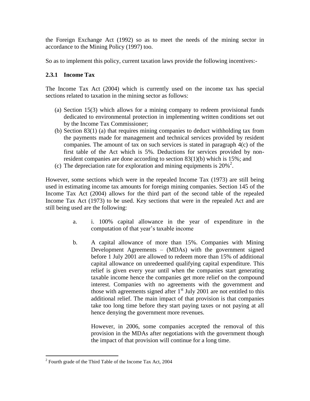the Foreign Exchange Act (1992) so as to meet the needs of the mining sector in accordance to the Mining Policy (1997) too.

So as to implement this policy, current taxation laws provide the following incentives:-

## **2.3.1 Income Tax**

The Income Tax Act (2004) which is currently used on the income tax has special sections related to taxation in the mining sector as follows:

- (a) Section 15(3) which allows for a mining company to redeem provisional funds dedicated to environmental protection in implementing written conditions set out by the Income Tax Commissioner;
- (b) Section 83(1) (a) that requires mining companies to deduct withholding tax from the payments made for management and technical services provided by resident companies. The amount of tax on such services is stated in paragraph 4(c) of the first table of the Act which is 5%. Deductions for services provided by nonresident companies are done according to section 83(1)(b) which is 15%; and
- (c) The depreciation rate for exploration and mining equipments is  $20\%^2$ .

However, some sections which were in the repealed Income Tax (1973) are still being used in estimating income tax amounts for foreign mining companies. Section 145 of the Income Tax Act (2004) allows for the third part of the second table of the repealed Income Tax Act (1973) to be used. Key sections that were in the repealed Act and are still being used are the following:

- a. i. 100% capital allowance in the year of expenditure in the computation of that year"s taxable income
- b. A capital allowance of more than 15%. Companies with Mining Development Agreements – (MDAs) with the government signed before 1 July 2001 are allowed to redeem more than 15% of additional capital allowance on unredeemed qualifying capital expenditure. This relief is given every year until when the companies start generating taxable income hence the companies get more relief on the compound interest. Companies with no agreements with the government and those with agreements signed after  $1<sup>st</sup>$  July 2001 are not entitled to this additional relief. The main impact of that provision is that companies take too long time before they start paying taxes or not paying at all hence denying the government more revenues.

However, in 2006, some companies accepted the removal of this provision in the MDAs after negotiations with the government though the impact of that provision will continue for a long time.

 $\overline{a}$ 

 $2^2$  Fourth grade of the Third Table of the Income Tax Act, 2004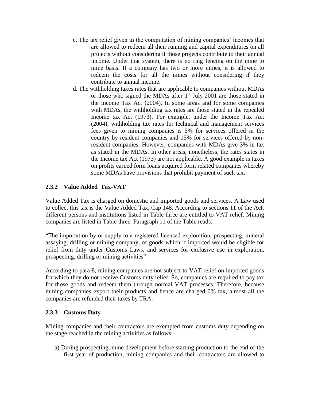- c. The tax relief given in the computation of mining companies" incomes that are allowed to redeem all their running and capital expenditures on all projects without considering if those projects contribute to their annual income. Under that system, there is no ring fencing on the mine to mine basis. If a company has two or more mines, it is allowed to redeem the costs for all the mines without considering if they contribute to annual income.
- d. The withholding taxes rates that are applicable to companies without MDAs or those who signed the MDAs after  $1<sup>st</sup>$  July 2001 are those stated in the Income Tax Act (2004). In some areas and for some companies with MDAs, the withholding tax rates are those stated in the repealed Income tax Act (1973). For example, under the Income Tax Act (2004), withholding tax rates for technical and management services fees given to mining companies is 5% for services offered in the country by resident companies and 15% for services offered by nonresident companies. However, companies with MDAs give 3% in tax as stated in the MDAs. In other areas, nonetheless, the rates states in the Income tax Act (1973) are not applicable. A good example is taxes on profits earned form loans acquired form related companies whereby some MDAs have provisions that prohibit payment of such tax.

# **2.3.2 Value Added Tax-VAT**

Value Added Tax is charged on domestic and imported goods and services. A Law used to collect this tax is the Value Added Tax, Cap 148. According to sections 11 of the Act, different persons and institutions listed in Table three are entitled to VAT relief. Mining companies are listed in Table three. Paragraph 11 of the Table reads:

"The importation by or supply to a registered licensed exploration, prospecting, mineral assaying, drilling or mining company, of goods which if imported would be eligible for relief from duty under Customs Laws, and services for exclusive use in exploration, prospecting, drilling or mining activities"

According to para 8, mining companies are not subject to VAT relief on imported goods for which they do not receive Customs duty relief. So, companies are required to pay tax for those goods and redeem them through normal VAT processes. Therefore, because mining companies export their products and hence are charged 0% tax, almost all the companies are refunded their taxes by TRA.

## **2.3.3 Customs Duty**

Mining companies and their contractors are exempted from customs duty depending on the stage reached in the mining activities as follows:-

a) During prospecting, mine development before starting production to the end of the first year of production, mining companies and their contractors are allowed to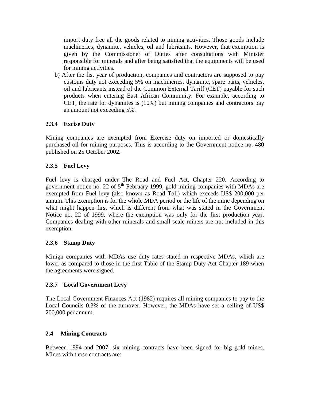import duty free all the goods related to mining activities. Those goods include machineries, dynamite, vehicles, oil and lubricants. However, that exemption is given by the Commissioner of Duties after consultations with Minister responsible for minerals and after being satisfied that the equipments will be used for mining activities.

b) After the fist year of production, companies and contractors are supposed to pay customs duty not exceeding 5% on machineries, dynamite, spare parts, vehicles, oil and lubricants instead of the Common External Tariff (CET) payable for such products when entering East African Community. For example, according to CET, the rate for dynamites is (10%) but mining companies and contractors pay an amount not exceeding 5%.

# **2.3.4 Excise Duty**

Mining companies are exempted from Exercise duty on imported or domestically purchased oil for mining purposes. This is according to the Government notice no. 480 published on 25 October 2002.

# **2.3.5 Fuel Levy**

Fuel levy is charged under The Road and Fuel Act, Chapter 220. According to government notice no. 22 of  $5<sup>th</sup>$  February 1999, gold mining companies with MDAs are exempted from Fuel levy (also known as Road Toll) which exceeds US\$ 200,000 per annum. This exemption is for the whole MDA period or the life of the mine depending on what might happen first which is different from what was stated in the Government Notice no. 22 of 1999, where the exemption was only for the first production year. Companies dealing with other minerals and small scale miners are not included in this exemption.

## **2.3.6 Stamp Duty**

Minign companies with MDAs use duty rates stated in respective MDAs, which are lower as compared to those in the first Table of the Stamp Duty Act Chapter 189 when the agreements were signed.

## **2.3.7 Local Government Levy**

The Local Government Finances Act (1982) requires all mining companies to pay to the Local Councils 0.3% of the turnover. However, the MDAs have set a ceiling of US\$ 200,000 per annum.

## **2.4 Mining Contracts**

Between 1994 and 2007, six mining contracts have been signed for big gold mines. Mines with those contracts are: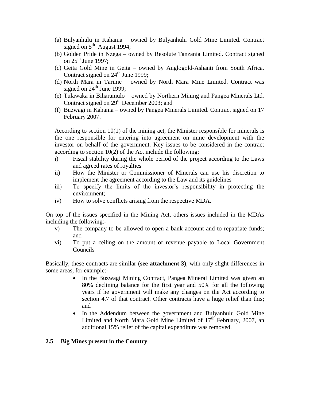- (a) Bulyanhulu in Kahama owned by Bulyanhulu Gold Mine Limited. Contract signed on  $5<sup>th</sup>$  August 1994;
- (b) Golden Pride in Nzega owned by Resolute Tanzania Limited. Contract signed on  $25<sup>th</sup>$  June 1997;
- (c) Geita Gold Mine in Geita owned by Anglogold-Ashanti from South Africa. Contract signed on  $24<sup>th</sup>$  June 1999;
- (d) North Mara in Tarime owned by North Mara Mine Limited. Contract was signed on  $24<sup>th</sup>$  June 1999;
- (e) Tulawaka in Biharamulo owned by Northern Mining and Pangea Minerals Ltd. Contract signed on 29<sup>th</sup> December 2003; and
- (f) Buzwagi in Kahama owned by Pangea Minerals Limited. Contract signed on 17 February 2007.

According to section 10(1) of the mining act, the Minister responsible for minerals is the one responsible for entering into agreement on mine development with the investor on behalf of the government. Key issues to be considered in the contract according to section 10(2) of the Act include the following:

- i) Fiscal stability during the whole period of the project according to the Laws and agreed rates of royalties
- ii) How the Minister or Commissioner of Minerals can use his discretion to implement the agreement according to the Law and its guidelines
- iii) To specify the limits of the investor's responsibility in protecting the environment;
- iv) How to solve conflicts arising from the respective MDA.

On top of the issues specified in the Mining Act, others issues included in the MDAs including the following:-

- v) The company to be allowed to open a bank account and to repatriate funds; and
- vi) To put a ceiling on the amount of revenue payable to Local Government Councils

Basically, these contracts are similar **(see attachment 3)**, with only slight differences in some areas, for example:-

- In the Buzwagi Mining Contract, Pangea Mineral Limited was given an 80% declining balance for the first year and 50% for all the following years if he government will make any changes on the Act according to section 4.7 of that contract. Other contracts have a huge relief than this; and
- In the Addendum between the government and Bulyanhulu Gold Mine Limited and North Mara Gold Mine Limited of  $17<sup>th</sup>$  February, 2007, an additional 15% relief of the capital expenditure was removed.

#### **2.5 Big Mines present in the Country**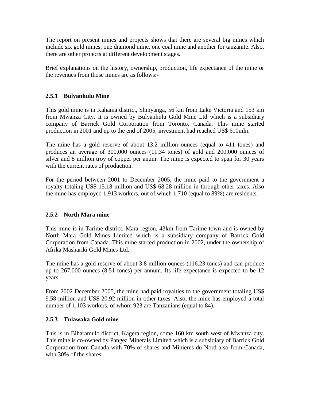The report on present mines and projects shows that there are several big mines which include six gold mines, one diamond mine, one coal mine and another for tanzanite. Also, there are other projects at different development stages.

Brief explanations on the history, ownership, production, life expectance of the mine or the revenues from those mines are as follows:-

# **2.5.1 Bulyanhulu Mine**

This gold mine is in Kahama district, Shinyanga, 56 km from Lake Victoria and 153 km from Mwanza City. It is owned by Bulyanhulu Gold Mine Ltd which is a subsidiary company of Barrick Gold Corporation from Toronto, Canada. This mine started production in 2001 and up to the end of 2005, investment had reached US\$ 610mln.

The mine has a gold reserve of about 13.2 million ounces (equal to 411 tones) and produces an average of 300,000 ounces (11.34 tones) of gold and 200,000 ounces of silver and 8 million troy of copper per anum. The mine is expected to span for 30 years with the current rates of production.

For the period between 2001 to December 2005, the mine paid to the government a royalty totaling US\$ 15.18 million and US\$ 68.28 million in through other taxes. Also the mine has employed 1,913 workers, out of which 1,710 (equal to 89%) are residents.

## **2.5.2 North Mara mine**

This mine is in Tarime district, Mara region, 43km from Tarime town and is owned by North Mara Gold Mines Limited which is a subsidiary company of Barrick Gold Corporation from Canada. This mine started production in 2002, under the ownership of Afrika Mashariki Gold Mines Ltd.

The mine has a gold reserve of about 3.8 million ounces (116.23 tones) and can produce up to 267,000 ounces (8.51 tones) per annum. Its life expectance is expected to be 12 years.

From 2002 December 2005, the mine had paid royalties to the government totaling US\$ 9.58 million and US\$ 20.92 million in other taxes. Also, the mine has employed a total number of 1,103 workers, of whom 923 are Tanzanians (equal to 84).

## **2.5.3 Tulawaka Gold mine**

This is in Biharamulo district, Kagera region, some 160 km south west of Mwanza city. This mine is co-owned by Pangea Minerals Limited which is a subsidiary of Barrick Gold Corporation from Canada with 70% of shares and Minieres du Nord also from Canada, with 30% of the shares.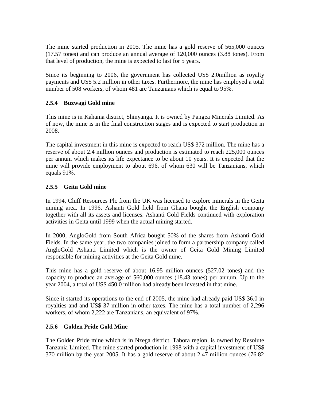The mine started production in 2005. The mine has a gold reserve of 565,000 ounces (17.57 tones) and can produce an annual average of 120,000 ounces (3.88 tones). From that level of production, the mine is expected to last for 5 years.

Since its beginning to 2006, the government has collected US\$ 2.0million as royalty payments and US\$ 5.2 million in other taxes. Furthermore, the mine has employed a total number of 508 workers, of whom 481 are Tanzanians which is equal to 95%.

# **2.5.4 Buzwagi Gold mine**

This mine is in Kahama district, Shinyanga. It is owned by Pangea Minerals Limited. As of now, the mine is in the final construction stages and is expected to start production in 2008.

The capital investment in this mine is expected to reach US\$ 372 million. The mine has a reserve of about 2.4 million ounces and production is estimated to reach 225,000 ounces per annum which makes its life expectance to be about 10 years. It is expected that the mine will provide employment to about 696, of whom 630 will be Tanzanians, which equals 91%.

# **2.5.5 Geita Gold mine**

In 1994, Cluff Resources Plc from the UK was licensed to explore minerals in the Geita mining area. In 1996, Ashanti Gold field from Ghana bought the English company together with all its assets and licenses. Ashanti Gold Fields continued with exploration activities in Geita until 1999 when the actual mining started.

In 2000, AngloGold from South Africa bought 50% of the shares from Ashanti Gold Fields. In the same year, the two companies joined to form a partnership company called AngloGold Ashanti Limited which is the owner of Geita Gold Mining Limited responsible for mining activities at the Geita Gold mine.

This mine has a gold reserve of about 16.95 million ounces (527.02 tones) and the capacity to produce an average of 560,000 ounces (18.43 tones) per annum. Up to the year 2004, a total of US\$ 450.0 million had already been invested in that mine.

Since it started its operations to the end of 2005, the mine had already paid US\$ 36.0 in royalties and and US\$ 37 million in other taxes. The mine has a total number of 2,296 workers, of whom 2,222 are Tanzanians, an equivalent of 97%.

## **2.5.6 Golden Pride Gold Mine**

The Golden Pride mine which is in Nzega district, Tabora region, is owned by Resolute Tanzania Limited. The mine started production in 1998 with a capital investment of US\$ 370 million by the year 2005. It has a gold reserve of about 2.47 million ounces (76.82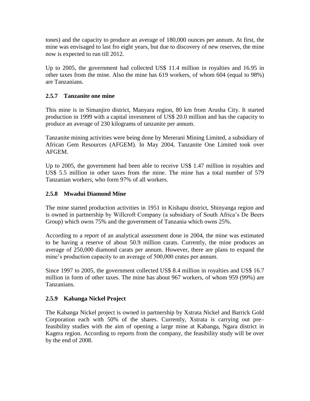tones) and the capacity to produce an average of 180,000 ounces per annum. At first, the mine was envisaged to last fro eight years, but due to discovery of new reserves, the mine now is expected to run till 2012.

Up to 2005, the government had collected US\$ 11.4 million in royalties and 16.95 in other taxes from the mine. Also the mine has 619 workers, of whom 604 (equal to 98%) are Tanzanians.

## **2.5.7 Tanzanite one mine**

This mine is in Simanjiro district, Manyara region, 80 km from Arusha City. It started production in 1999 with a capital investment of US\$ 20.0 million and has the capacity to produce an average of 230 kilograms of tanzanite per annum.

Tanzanite mining activities were being done by Mererani Mining Limited, a subsidiary of African Gem Resources (AFGEM). In May 2004, Tanzanite One Limited took over AFGEM.

Up to 2005, the government had been able to receive US\$ 1.47 million in royalties and US\$ 5.5 million in other taxes from the mine. The mine has a total number of 579 Tanzanian workers, who form 97% of all workers.

## **2.5.8 Mwadui Diamond Mine**

The mine started production activities in 1951 in Kishapu district, Shinyanga region and is owned in partnership by Willcroft Company (a subsidiary of South Africa's De Beers Group) which owns 75% and the government of Tanzania which owns 25%.

According to a report of an analytical assessment done in 2004, the mine was estimated to be having a reserve of about 50.9 million carats. Currently, the mine produces an average of 250,000 diamond carats per annum. However, there are plans to expand the mine's production capacity to an average of 500,000 crates per annum.

Since 1997 to 2005, the government collected US\$ 8.4 million in royalties and US\$ 16.7 million in form of other taxes. The mine has about 967 workers, of whom 959 (99%) are Tanzanians.

## **2.5.9 Kabanga Nickel Project**

The Kabanga Nickel project is owned in partnership by Xstrata Nickel and Barrick Gold Corporation each with 50% of the shares. Currently, Xstrata is carrying out pre– feasibility studies with the aim of opening a large mine at Kabanga, Ngara district in Kagera region. According to reports from the company, the feasibility study will be over by the end of 2008.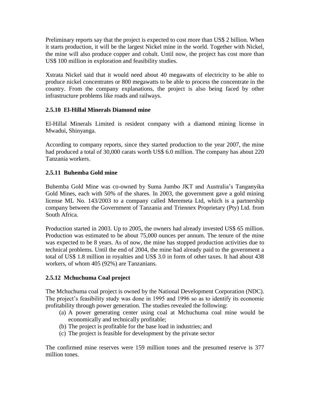Preliminary reports say that the project is expected to cost more than US\$ 2 billion. When it starts production, it will be the largest Nickel mine in the world. Together with Nickel, the mine will also produce copper and cobalt. Until now, the project has cost more than US\$ 100 million in exploration and feasibility studies.

Xstrata Nickel said that it would need about 40 megawatts of electricity to be able to produce nickel concentrates or 800 megawatts to be able to process the concentrate in the country. From the company explanations, the project is also being faced by other infrastructure problems like roads and railways.

## **2.5.10 El-Hillal Minerals Diamond mine**

El-Hillal Minerals Limited is resident company with a diamond mining license in Mwadui, Shinyanga.

According to company reports, since they started production to the year 2007, the mine had produced a total of 30,000 carats worth US\$ 6.0 million. The company has about 220 Tanzania workers.

# **2.5.11 Buhemba Gold mine**

Buhemba Gold Mine was co-owned by Suma Jumbo JKT and Australia"s Tanganyika Gold Mines, each with 50% of the shares. In 2003, the government gave a gold mining license ML No. 143/2003 to a company called Meremeta Ltd, which is a partnership company between the Government of Tanzania and Triennex Proprietary (Pty) Ltd. from South Africa.

Production started in 2003. Up to 2005, the owners had already invested US\$ 65 million. Production was estimated to be about 75,000 ounces per annum. The tenure of the mine was expected to be 8 years. As of now, the mine has stopped production activities due to technical problems. Until the end of 2004, the mine had already paid to the government a total of US\$ 1.8 million in royalties and US\$ 3.0 in form of other taxes. It had about 438 workers, of whom 405 (92%) are Tanzanians.

## **2.5.12 Mchuchuma Coal project**

The Mchuchuma coal project is owned by the National Development Corporation (NDC). The project's feasibility study was done in 1995 and 1996 so as to identify its economic profitability through power generation. The studies revealed the following:

- (a) A power generating center using coal at Mchuchuma coal mine would be economically and technically profitable;
- (b) The project is profitable for the base load in industries; and
- (c) The project is feasible for development by the private sector

The confirmed mine reserves were 159 million tones and the presumed reserve is 377 million tones.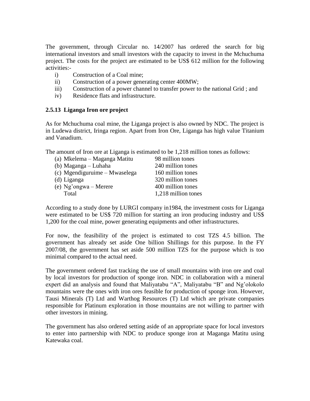The government, through Circular no. 14/2007 has ordered the search for big international investors and small investors with the capacity to invest in the Mchuchuma project. The costs for the project are estimated to be US\$ 612 million for the following activities:-

- i) Construction of a Coal mine;
- ii) Construction of a power generating center 400MW;
- iii) Construction of a power channel to transfer power to the national Grid ; and
- iv) Residence flats and infrastructure.

### **2.5.13 Liganga Iron ore project**

As for Mchuchuma coal mine, the Liganga project is also owned by NDC. The project is in Ludewa district, Iringa region. Apart from Iron Ore, Liganga has high value Titanium and Vanadium.

The amount of Iron ore at Liganga is estimated to be 1,218 million tones as follows:

| (a) Mkelema – Maganga Matitu  | 98 million tones    |
|-------------------------------|---------------------|
| (b) Maganga – Luhaha          | 240 million tones   |
| (c) Mgendiguruime – Mwaselega | 160 million tones   |
| (d) Liganga                   | 320 million tones   |
| (e) Ng'ongwa – Merere         | 400 million tones   |
| Total                         | 1,218 million tones |

According to a study done by LURGI company in1984, the investment costs for Liganga were estimated to be US\$ 720 million for starting an iron producing industry and US\$ 1,200 for the coal mine, power generating equipments and other infrastructures.

For now, the feasibility of the project is estimated to cost TZS 4.5 billion. The government has already set aside One billion Shillings for this purpose. In the FY 2007/08, the government has set aside 500 million TZS for the purpose which is too minimal compared to the actual need.

The government ordered fast tracking the use of small mountains with iron ore and coal by local investors for production of sponge iron. NDC in collaboration with a mineral expert did an analysis and found that Maliyatabu "A", Maliyatabu "B" and Ng"olokolo mountains were the ones with iron ores feasible for production of sponge iron. However, Tausi Minerals (T) Ltd and Warthog Resources (T) Ltd which are private companies responsible for Platinum exploration in those mountains are not willing to partner with other investors in mining.

The government has also ordered setting aside of an appropriate space for local investors to enter into partnership with NDC to produce sponge iron at Maganga Matitu using Katewaka coal.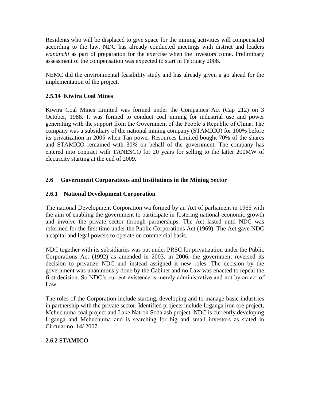Residents who will be displaced to give space for the mining activities will compensated according to the law. NDC has already conducted meetings with district and leaders *wananchi* as part of preparation for the exercise when the investors come. Preliminary assessment of the compensation was expected to start in February 2008.

NEMC did the environmental feasibility study and has already given a go ahead for the implementation of the project.

# **2.5.14 Kiwira Coal Mines**

Kiwira Coal Mines Limited was formed under the Companies Act (Cap 212) on 3 October, 1988. It was formed to conduct coal mining for industrial use and power generating with the support from the Government of the People"s Republic of China. The company was a subsidiary of the national mining company (STAMICO) for 100% before its privatization in 2005 when Tan power Resources Limited bought 70% of the shares and STAMICO remained with 30% on behalf of the government. The company has entered into contract with TANESCO for 20 years for selling to the latter 200MW of electricity starting at the end of 2009.

## **2.6 Government Corporations and Institutions in the Mining Sector**

# **2.6.1 National Development Corporation**

The national Development Corporation wa formed by an Act of parliament in 1965 with the aim of enabling the government to participate in fostering national economic growth and involve the private sector through partnerships. The Act lasted until NDC was reformed for the first time under the Public Corporations Act (1969). The Act gave NDC a capital and legal powers to operate on commercial basis.

NDC together with its subsidiaries was put under PRSC for privatization under the Public Corporations Act (1992) as amended in 2003. in 2006, the government reversed its decision to privatize NDC and instead assigned it new roles. The decision by the government was unanimously done by the Cabinet and no Law was enacted to repeal the first decision. So NDC"s current existence is merely administrative and not by an act of Law.

The roles of the Corporation include starting, developing and to manage basic industries in partnership with the private sector. Identified projects include Liganga iron ore project, Mchuchuma coal project and Lake Natron Soda ash project. NDC is currently developing Liganga and Mchuchuma and is searching for big and small investors as stated in Circular no. 14/ 2007.

# **2.6.2 STAMICO**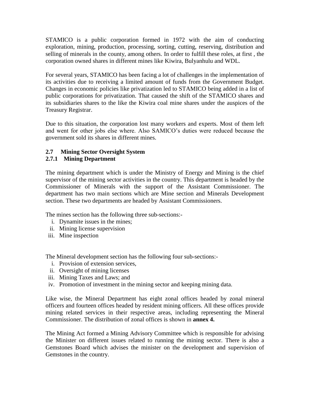STAMICO is a public corporation formed in 1972 with the aim of conducting exploration, mining, production, processing, sorting, cutting, reserving, distribution and selling of minerals in the county, among others. In order to fulfill these roles, at first , the corporation owned shares in different mines like Kiwira, Bulyanhulu and WDL.

For several years, STAMICO has been facing a lot of challenges in the implementation of its activities due to receiving a limited amount of funds from the Government Budget. Changes in economic policies like privatization led to STAMICO being added in a list of public corporations for privatization. That caused the shift of the STAMICO shares and its subsidiaries shares to the like the Kiwira coal mine shares under the auspices of the Treasury Registrar.

Due to this situation, the corporation lost many workers and experts. Most of them left and went for other jobs else where. Also SAMICO"s duties were reduced because the government sold its shares in different mines.

# **2.7 Mining Sector Oversight System**

# **2.7.1 Mining Department**

The mining department which is under the Ministry of Energy and Mining is the chief supervisor of the mining sector activities in the country. This department is headed by the Commissioner of Minerals with the support of the Assistant Commissioner. The department has two main sections which are Mine section and Minerals Development section. These two departments are headed by Assistant Commissioners.

The mines section has the following three sub-sections:-

- i. Dynamite issues in the mines;
- ii. Mining license supervision
- iii. Mine inspection

The Mineral development section has the following four sub-sections:-

- i. Provision of extension services,
- ii. Oversight of mining licenses
- iii. Mining Taxes and Laws; and
- iv. Promotion of investment in the mining sector and keeping mining data.

Like wise, the Mineral Department has eight zonal offices headed by zonal mineral officers and fourteen offices headed by resident mining officers. All these offices provide mining related services in their respective areas, including representing the Mineral Commissioner. The distribution of zonal offices is shown in **annex 4.**

The Mining Act formed a Mining Advisory Committee which is responsible for advising the Minister on different issues related to running the mining sector. There is also a Gemstones Board which advises the minister on the development and supervision of Gemstones in the country.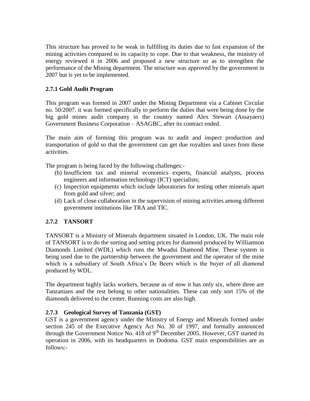This structure has proved to be weak in fulfilling its duties due to fast expansion of the mining activities compared to its capacity to cope. Due to that weakness, the ministry of energy reviewed it in 2006 and proposed a new structure so as to strengthen the performance of the Mining department. The structure was approved by the government in 2007 but is yet to be implemented.

# **2.7.1 Gold Audit Program**

This program was formed in 2007 under the Mining Department via a Cabinet Circular no. 50/2007. it was formed specifically to perform the duties that were being done by the big gold mines audit company in the country named Alex Stewart (Assayaers) Government Business Corporation – ASAGBC, after its contract ended.

The main aim of forming this program was to audit and inspect production and transportation of gold so that the government can get due royalties and taxes from those activities.

The program is being faced by the following challenges:-

- (b) Insufficient tax and mineral economics experts, financial analysts, process engineers and information technology (ICT) specialists;
- (c) Inspection equipments which include laboratories for testing other minerals apart from gold and silver; and
- (d) Lack of close collaboration in the supervision of mining activities among different government institutions like TRA and TIC.

## **2.7.2 TANSORT**

TANSORT is a Ministry of Minerals department situated in London, UK. The main role of TANSORT is to do the sorting and setting prices for diamond produced by Williamson Diamonds Limited (WDL) which runs the Mwadui Diamond Mine. These system is being used due to the partnership between the government and the operator of the mine which is a subsidiary of South Africa's De Beers which is the buyer of all diamond produced by WDL.

The department highly lacks workers, because as of now it has only six, where three are Tanzanians and the rest belong to other nationalities. These can only sort 15% of the diamonds delivered to the center. Running costs are also high.

## **2.7.3 Geological Survey of Tanzania (GST)**

GST is a government agency under the Ministry of Energy and Minerals formed under section 245 of the Executive Agency Act No. 30 of 1997, and formally announced through the Government Notice No. 418 of  $9<sup>th</sup>$  December 2005. However, GST started its operation in 2006, with its headquarters in Dodoma. GST main responsibilities are as follows:-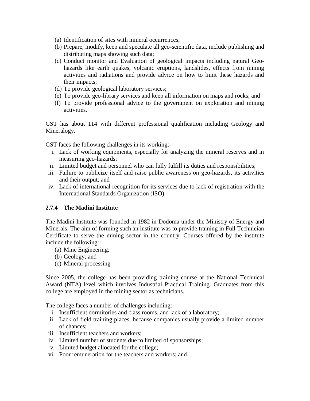- (a) Identification of sites with mineral occurrences;
- (b) Prepare, modify, keep and speculate all geo-scientific data, include publishing and distributing maps showing such data;
- (c) Conduct monitor and Evaluation of geological impacts including natural Geohazards like earth quakes, volcanic eruptions, landslides, effects from mining activities and radiations and provide advice on how to limit these hazards and their impacts;
- (d) To provide geological laboratory services;
- (e) To provide geo-library services and keep all information on maps and rocks; and
- (f) To provide professional advice to the government on exploration and mining activities.

GST has about 114 with different professional qualification including Geology and Mineralogy.

GST faces the following challenges in its working:-

- i. Lack of working equipments, especially for analyzing the mineral reserves and in measuring geo-hazards;
- ii. Limited budget and personnel who can fully fulfill its duties and responsibilities;
- iii. Failure to publicize itself and raise public awareness on geo-hazards, its activities and their output; and
- iv. Lack of international recognition for its services due to lack of registration with the International Standards Organization (ISO)

## **2.7.4 The Madini Institute**

The Madini Institute was founded in 1982 in Dodoma under the Ministry of Energy and Minerals. The aim of forming such an institute was to provide training in Full Technician Certificate to serve the mining sector in the country. Courses offered by the institute include the following:

- (a) Mine Engineering;
- (b) Geology; and
- (c) Mineral processing

Since 2005, the college has been providing training course at the National Technical Award (NTA) level which involves Industrial Practical Training. Graduates from this college are employed in the mining sector as technicians.

The college faces a number of challenges including:-

- i. Insufficient dormitories and class rooms, and lack of a laboratory;
- ii. Lack of field training places, because companies usually provide a limited number of chances;
- iii. Insufficient teachers and workers;
- iv. Limited number of students due to limited of sponsorships;
- v. Limited budget allocated for the college;
- vi. Poor remuneration for the teachers and workers; and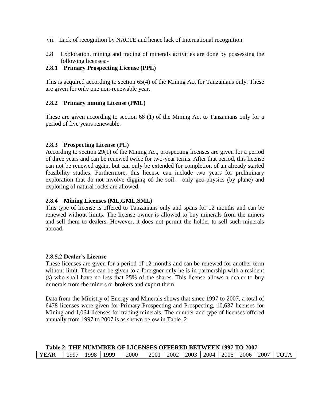- vii. Lack of recognition by NACTE and hence lack of International recognition
- 2.8 Exploration, mining and trading of minerals activities are done by possessing the following licenses:-

### **2.8.1 Primary Prospecting License (PPL)**

This is acquired according to section 65(4) of the Mining Act for Tanzanians only. These are given for only one non-renewable year.

### **2.8.2 Primary mining License (PML)**

These are given according to section 68 (1) of the Mining Act to Tanzanians only for a period of five years renewable.

### **2.8.3 Prospecting License (PL)**

According to section 29(1) of the Mining Act, prospecting licenses are given for a period of three years and can be renewed twice for two-year terms. After that period, this license can not be renewed again, but can only be extended for completion of an already started feasibility studies. Furthermore, this license can include two years for preliminary exploration that do not involve digging of the soil – only geo-physics (by plane) and exploring of natural rocks are allowed.

#### **2.8.4 Mining Licenses (ML,GML,SML)**

This type of license is offered to Tanzanians only and spans for 12 months and can be renewed without limits. The license owner is allowed to buy minerals from the miners and sell them to dealers. However, it does not permit the holder to sell such minerals abroad.

#### **2.8.5.2 Dealer's License**

These licenses are given for a period of 12 months and can be renewed for another term without limit. These can be given to a foreigner only he is in partnership with a resident (s) who shall have no less that 25% of the shares. This license allows a dealer to buy minerals from the miners or brokers and export them.

Data from the Ministry of Energy and Minerals shows that since 1997 to 2007, a total of 6478 licenses were given for Primary Prospecting and Prospecting, 10,637 licenses for Mining and 1,064 licenses for trading minerals. The number and type of licenses offered annually from 1997 to 2007 is as shown below in Table .2

|      |      |      |      | Table 2: THE NUMMBER OF LICENSES OFFERED BETWEEN 1997 TO 2007 |             |  |  |  |                                         |
|------|------|------|------|---------------------------------------------------------------|-------------|--|--|--|-----------------------------------------|
| YEAR | 1997 | 1998 | 1999 | 2000                                                          | 2001   2002 |  |  |  | 2003   2004   2005   2006   2007   TOTA |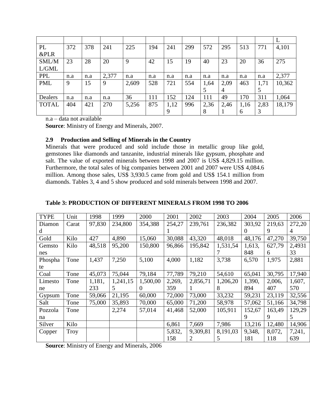| PL              | 372 | 378 | 241   | 225   | 194 | 241  | 299 | 572  | 295  | 513  | 771  | 4,101  |
|-----------------|-----|-----|-------|-------|-----|------|-----|------|------|------|------|--------|
| <b>&amp;PLR</b> |     |     |       |       |     |      |     |      |      |      |      |        |
| SML/M           | 23  | 28  | 20    | 9     | 42  | 15   | 19  | 40   | 23   | 20   | 36   | 275    |
| L/GML           |     |     |       |       |     |      |     |      |      |      |      |        |
| <b>PPL</b>      | n.a | n.a | 2,377 | n.a   | n.a | n.a  | n.a | n.a  | n.a  | n.a  | n.a  | 2,377  |
| <b>PML</b>      | 9   | 15  | 9     | 2,609 | 528 | 721  | 554 | 1,64 | 2,09 | 463  | 1,71 | 10,362 |
|                 |     |     |       |       |     |      |     | 5    | 4    |      |      |        |
| Dealers         | n.a | n.a | n.a   | 36    | 111 | 152  | 124 | 111  | 49   | 170  | 311  | 1,064  |
| <b>TOTAL</b>    | 404 | 421 | 270   | 5,256 | 875 | 1,12 | 996 | 2,36 | 2,46 | 1,16 | 2,83 | 18,179 |
|                 |     |     |       |       |     |      |     | 8    |      | 6    |      |        |

n.a – data not available

**Source**: Ministry of Energy and Minerals, 2007.

### **2.9 Production and Selling of Minerals in the Country**

Minerals that were produced and sold include those in metallic group like gold, gemstones like diamonds and tanzanite, industrial minerals like gypsum, phosphate and salt. The value of exported minerals between 1998 and 2007 is US\$ 4,829.15 million. Furthermore, the total sales of big companies between 2001 and 2007 were US\$ 4,084.6 million. Among those sales, US\$ 3,930.5 came from gold and US\$ 154.1 million from diamonds. Tables 3, 4 and 5 show produced and sold minerals between 1998 and 2007.

| <b>TYPE</b> | Unit  | 1998   | 1999     | 2000     | 2001   | 2002           | 2003     | 2004     | 2005   | 2006   |
|-------------|-------|--------|----------|----------|--------|----------------|----------|----------|--------|--------|
| Diamon      | Carat | 97,830 | 234,800  | 354,388  | 254,27 | 239,761        | 236,382  | 303,92   | 219,63 | 272,20 |
| d           |       |        |          |          |        |                |          | $\theta$ | 9      | 4      |
| Gold        | Kilo  | 427    | 4,890    | 15,060   | 30,088 | 43,320         | 48,018   | 48,176   | 47,270 | 39,750 |
| Gemsto      | Kilo  | 48,518 | 95,200   | 150,800  | 96,866 | 195,842        | 1,531,54 | 1,613,   | 627,79 | 2,4931 |
| nes         |       |        |          |          |        |                |          | 848      | 6      | 33     |
| Phospha     | Tone  | 1,437  | 7,250    | 5,100    | 4,000  | 1,182          | 3,738    | 6,570    | 1,975  | 2,881  |
| te          |       |        |          |          |        |                |          |          |        |        |
| Coal        | Tone  | 45,073 | 75,044   | 79,184   | 77,789 | 79,210         | 54,610   | 65,041   | 30,795 | 17,940 |
| Limesto     | Tone  | 1,181, | 1,241,15 | 1,500,00 | 2,269, | 2,856,71       | 1,206,20 | 1,390,   | 2,006. | 1,607, |
| ne          |       | 233    | 5.       | $\theta$ | 359    |                | 8        | 894      | 407    | 570    |
| Gypsum      | Tone  | 59,066 | 21,195   | 60,000   | 72,000 | 73,000         | 33,232   | 59,231   | 23,119 | 32,556 |
| Salt        | Tone  | 75,000 | 35,893   | 70,000   | 65,000 | 71,200         | 58,978   | 57,062   | 51,166 | 34,798 |
| Pozzola     | Tone  |        | 2,274    | 57,014   | 41,468 | 52,000         | 105,911  | 152,67   | 163,49 | 129,29 |
| na          |       |        |          |          |        |                |          | 9        | 9      | 5      |
| Silver      | Kilo  |        |          |          | 6,861  | 7,669          | 7,986    | 13,216   | 12,480 | 14,906 |
| Copper      | Troy  |        |          |          | 5,832, | 9,309,81       | 8,191,03 | 9,348,   | 8,072, | 7,241, |
|             |       |        |          |          | 158    | $\overline{2}$ | 5        | 181      | 118    | 639    |

#### **Table 3: PRODUCTION OF DIFFERENT MINERALS FROM 1998 TO 2006**

**Source**: Ministry of Energy and Minerals, 2006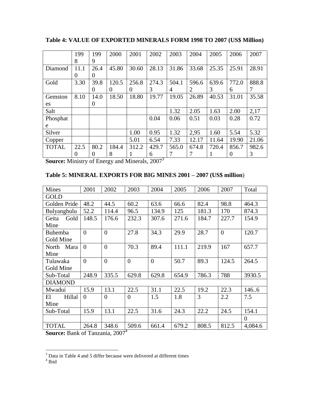|              | 199      | 199      | 2000     | 2001  | 2002  | 2003  | 2004  | 2005  | 2006     | 2007  |
|--------------|----------|----------|----------|-------|-------|-------|-------|-------|----------|-------|
|              | 8        | 9        |          |       |       |       |       |       |          |       |
| Diamond      | 11.1     | 26.4     | 45.80    | 30.60 | 28.13 | 31.86 | 33.68 | 25.35 | 25.91    | 28.91 |
|              | $\Omega$ | O        |          |       |       |       |       |       |          |       |
| Gold         | 3.30     | 39.8     | 120.5    | 256.8 | 274.3 | 504.1 | 596.6 | 639.6 | 772.0    | 888.8 |
|              |          | $\theta$ | $\theta$ | 0     | 3     | 4     | 2     | 3     | 6        | 7     |
| Gemston      | 8.10     | 14.0     | 18.50    | 18.80 | 19.77 | 19.05 | 26.89 | 40.53 | 31.01    | 35.58 |
| es           |          | $\theta$ |          |       |       |       |       |       |          |       |
| Salt         |          |          |          |       |       | 1.32  | 2.05  | 1.63  | 2.00     | 2,17  |
| Phosphat     |          |          |          |       | 0.04  | 0.06  | 0.51  | 0.03  | 0.28     | 0.72  |
| e            |          |          |          |       |       |       |       |       |          |       |
| Silver       |          |          |          | 1.00  | 0.95  | 1.32  | 2,95  | 1.60  | 5.54     | 5.32  |
| Copper       |          |          |          | 5.01  | 6.54  | 7.33  | 12.17 | 11.64 | 19.90    | 21.06 |
| <b>TOTAL</b> | 22.5     | 80.2     | 184.4    | 312.2 | 429.7 | 565.0 | 674.8 | 720.4 | 856.7    | 982.6 |
|              | $\theta$ | $\theta$ | 8        | I     | 6     |       |       |       | $\Omega$ | 3     |

**Table 4: VALUE OF EXPORTED MINERALS FORM 1998 TO 2007 (US\$ Million)**

**Source:** Ministry of Energy and Minerals, 2007<sup>3</sup>

# **Table 5: MINERAL EXPORTS FOR BIG MINES 2001 – 2007 (US\$ million**)

| <b>Mines</b>   | 2001           | 2002           | 2003           | 2004           | 2005  | 2006  | 2007           | Total    |
|----------------|----------------|----------------|----------------|----------------|-------|-------|----------------|----------|
| <b>GOLD</b>    |                |                |                |                |       |       |                |          |
| Golden Pride   | 48.2           | 44.5           | 60.2           | 63.6           | 66.6  | 82.4  | 98.8           | 464.3    |
| Bulyanghulu    | 52.2           | 114.4          | 96.5           | 134.9          | 125   | 181.3 | 170            | 874.3    |
| Gold<br>Geita  | 148.5          | 176.6          | 232.3          | 307.6          | 271.6 | 184.7 | 227.7          | 154.9    |
| Mine           |                |                |                |                |       |       |                |          |
| <b>Buhemba</b> | $\overline{0}$ | $\theta$       | 27.8           | 34.3           | 29.9  | 28.7  | $\overline{0}$ | 120.7    |
| Gold Mine      |                |                |                |                |       |       |                |          |
| Mara<br>North  | $\theta$       | $\overline{0}$ | 70.3           | 89.4           | 111.1 | 219.9 | 167            | 657.7    |
| Mine           |                |                |                |                |       |       |                |          |
| Tulawaka       | $\overline{0}$ | $\overline{0}$ | $\theta$       | $\overline{0}$ | 50.7  | 89.3  | 124.5          | 264.5    |
| Gold Mine      |                |                |                |                |       |       |                |          |
| Sub-Total      | 248.9          | 335.5          | 629.8          | 629.8          | 654.9 | 786.3 | 788            | 3930.5   |
| <b>DIAMOND</b> |                |                |                |                |       |       |                |          |
| Mwadui         | 15.9           | 13.1           | 22.5           | 31.1           | 22.5  | 19.2  | 22.3           | 1466     |
| Hillal<br>El   | $\theta$       | $\overline{0}$ | $\overline{0}$ | 1.5            | 1.8   | 3     | 2.2            | 7.5      |
| Mine           |                |                |                |                |       |       |                |          |
| Sub-Total      | 15.9           | 13.1           | 22.5           | 31.6           | 24.3  | 22.2  | 24.5           | 154.1    |
|                |                |                |                |                |       |       |                | $\Omega$ |
| <b>TOTAL</b>   | 264.8          | 348.6          | 509.6          | 661.4          | 679.2 | 808.5 | 812.5          | 4,084.6  |

**Source:** Bank of Tanzania, 2007 4

 $\overline{a}$ 

 $3$  Data in Table 4 and 5 differ because were delivered at different times  $4$  Ibid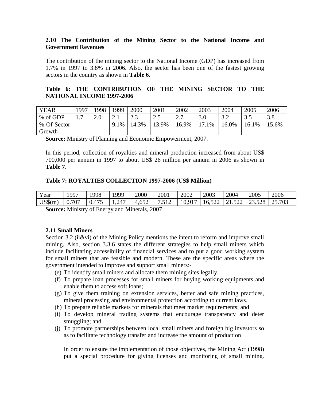#### **2.10 The Contribution of the Mining Sector to the National Income and Government Revenues**

The contribution of the mining sector to the National Income (GDP) has increased from 1.7% in 1997 to 3.8% in 2006. Also, the sector has been one of the fastest growing sectors in the country as shown in **Table 6.**

### **Table 6: THE CONTRIBUTION OF THE MINING SECTOR TO THE NATIONAL INCOME 1997-2006**

| <b>YEAR</b> | 1997         | 1998    | 1999 | 2000  | 2001  | 2002 | 2003     | 2004       | 2005       | 2006  |
|-------------|--------------|---------|------|-------|-------|------|----------|------------|------------|-------|
| % of GDP    | $\mathbf{r}$ | $2.0\,$ | 2. l | ر. ک  | ر     | ر ـ  | 3.0      | 3 J<br>ے.∠ | 25<br>ر. ر | 3.8   |
| % Of Sector |              |         | 9.1% | 14.3% | 13.9% | 6.9% | 1%<br>רו | $16.0\%$   | 16.1%      | 15.6% |
| Growth      |              |         |      |       |       |      |          |            |            |       |

**Source:** Ministry of Planning and Economic Empowerment, 2007.

In this period, collection of royalties and mineral production increased from about US\$ 700,000 per annum in 1997 to about US\$ 26 million per annum in 2006 as shown in **Table 7**.

#### **Table 7: ROYALTIES COLLECTION 1997-2006 (US\$ Million)**

| Year      | 997         | 998   | 1999  | 2000  | 2001 | 2002        | 2003   | 2004                    | 2005   | 2006   |
|-----------|-------------|-------|-------|-------|------|-------------|--------|-------------------------|--------|--------|
| $US\$(m)$ | .707<br>v., | 0.475 | 1,247 | 4,652 |      | $10,91^{-}$ | 16,522 | $\sim$ $\sim$<br>21.922 | 23.528 | 25.703 |

**Source:** Ministry of Energy and Minerals, 2007

#### **2.11 Small Miners**

Section 3.2 (ii & vi) of the Mining Policy mentions the intent to reform and improve small mining. Also, section 3.3.6 states the different strategies to help small miners which include facilitating accessibility of financial services and to put a good working system for small miners that are feasible and modern. These are the specific areas where the government intended to improve and support small miners:-

- (e) To identify small miners and allocate them mining sites legally.
- (f) To prepare loan processes for small miners for buying working equipments and enable them to access soft loans;
- (g) To give them training on extension services, better and safe mining practices, mineral processing and environmental protection according to current laws.
- (h) To prepare reliable markets for minerals that meet market requirements; and
- (i) To develop mineral trading systems that encourage transparency and deter smuggling; and
- (j) To promote partnerships between local small miners and foreign big investors so as to facilitate technology transfer and increase the amount of production

In order to ensure the implementation of those objectives, the Mining Act (1998) put a special procedure for giving licenses and monitoring of small mining.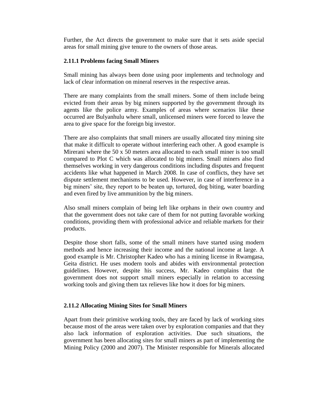Further, the Act directs the government to make sure that it sets aside special areas for small mining give tenure to the owners of those areas.

### **2.11.1 Problems facing Small Miners**

Small mining has always been done using poor implements and technology and lack of clear information on mineral reserves in the respective areas.

There are many complaints from the small miners. Some of them include being evicted from their areas by big miners supported by the government through its agents like the police army. Examples of areas where scenarios like these occurred are Bulyanhulu where small, unlicensed miners were forced to leave the area to give space for the foreign big investor.

There are also complaints that small miners are usually allocated tiny mining site that make it difficult to operate without interfering each other. A good example is Mirerani where the 50 x 50 meters area allocated to each small miner is too small compared to Plot C which was allocated to big miners. Small miners also find themselves working in very dangerous conditions including disputes and frequent accidents like what happened in March 2008. In case of conflicts, they have set dispute settlement mechanisms to be used. However, in case of interference in a big miners" site, they report to be beaten up, tortured, dog biting, water boarding and even fired by live ammunition by the big miners.

Also small miners complain of being left like orphans in their own country and that the government does not take care of them for not putting favorable working conditions, providing them with professional advice and reliable markets for their products.

Despite those short falls, some of the small miners have started using modern methods and hence increasing their income and the national income at large. A good example is Mr. Christopher Kadeo who has a mining license in Rwamgasa, Geita district. He uses modern tools and abides with environmental protection guidelines. However, despite his success, Mr. Kadeo complains that the government does not support small miners especially in relation to accessing working tools and giving them tax relieves like how it does for big miners.

## **2.11.2 Allocating Mining Sites for Small Miners**

Apart from their primitive working tools, they are faced by lack of working sites because most of the areas were taken over by exploration companies and that they also lack information of exploration activities. Due such situations, the government has been allocating sites for small miners as part of implementing the Mining Policy (2000 and 2007). The Minister responsible for Minerals allocated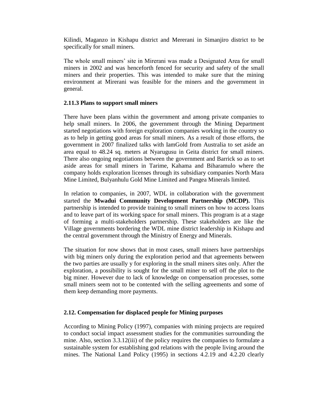Kilindi, Maganzo in Kishapu district and Mererani in Simanjiro district to be specifically for small miners.

The whole small miners' site in Mirerani was made a Designated Area for small miners in 2002 and was henceforth fenced for security and safety of the small miners and their properties. This was intended to make sure that the mining environment at Mirerani was feasible for the miners and the government in general.

#### **2.11.3 Plans to support small miners**

There have been plans within the government and among private companies to help small miners. In 2006, the government through the Mining Department started negotiations with foreign exploration companies working in the country so as to help in getting good areas for small miners. As a result of those efforts, the government in 2007 finalized talks with IamGold from Australia to set aside an area equal to 48.24 sq. meters at Nyarugusu in Geita district for small miners. There also ongoing negotiations between the government and Barrick so as to set aside areas for small miners in Tarime, Kahama and Biharamulo where the company holds exploration licenses through its subsidiary companies North Mara Mine Limited, Bulyanhulu Gold Mine Limited and Pangea Minerals limited.

In relation to companies, in 2007, WDL in collaboration with the government started the **Mwadui Community Development Partnership (MCDP).** This partnership is intended to provide training to small miners on how to access loans and to leave part of its working space for small miners. This program is at a stage of forming a multi-stakeholders partnership. These stakeholders are like the Village governments bordering the WDL mine district leadership in Kishapu and the central government through the Ministry of Energy and Minerals.

The situation for now shows that in most cases, small miners have partnerships with big miners only during the exploration period and that agreements between the two parties are usually y for exploring in the small miners sites only. After the exploration, a possibility is sought for the small miner to sell off the plot to the big miner. However due to lack of knowledge on compensation processes, some small miners seem not to be contented with the selling agreements and some of them keep demanding more payments.

#### **2.12. Compensation for displaced people for Mining purposes**

According to Mining Policy (1997), companies with mining projects are required to conduct social impact assessment studies for the communities surrounding the mine. Also, section 3.3.12(iii) of the policy requires the companies to formulate a sustainable system for establishing god relations with the people living around the mines. The National Land Policy (1995) in sections 4.2.19 and 4.2.20 clearly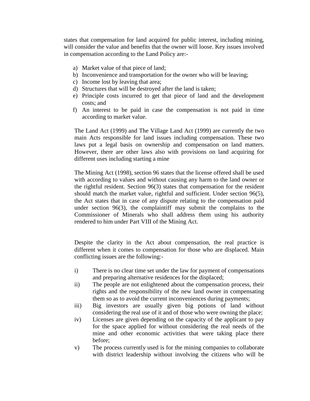states that compensation for land acquired for public interest, including mining, will consider the value and benefits that the owner will loose. Key issues involved in compensation according to the Land Policy are:-

- a) Market value of that piece of land;
- b) Inconvenience and transportation for the owner who will be leaving;
- c) Income lost by leaving that area;
- d) Structures that will be destroyed after the land is taken;
- e) Principle costs incurred to get that piece of land and the development costs; and
- f) An interest to be paid in case the compensation is not paid in time according to market value.

The Land Act (1999) and The Village Land Act (1999) are currently the two main Acts responsible for land issues including compensation. These two laws put a legal basis on ownership and compensation on land matters. However, there are other laws also with provisions on land acquiring for different uses including starting a mine

The Mining Act (1998), section 96 states that the license offered shall be used with according to values and without causing any harm to the land owner or the rightful resident. Section 96(3) states that compensation for the resident should match the market value, rightful and sufficient. Under section 96(5), the Act states that in case of any dispute relating to the compensation paid under section 96(3), the complaintiff may submit the complains to the Commissioner of Minerals who shall address them using his authority rendered to him under Part VIII of the Mining Act.

Despite the clarity in the Act about compensation, the real practice is different when it comes to compensation for those who are displaced. Main conflicting issues are the following:-

- i) There is no clear time set under the law for payment of compensations and preparing alternative residences for the displaced;
- ii) The people are not enlightened about the compensation process, their rights and the responsibility of the new land owner in compensating them so as to avoid the current inconveniences during payments;
- iii) Big investors are usually given big potions of land without considering the real use of it and of those who were owning the place;
- iv) Licenses are given depending on the capacity of the applicant to pay for the space applied for without considering the real needs of the mine and other economic activities that were taking place there before;
- v) The process currently used is for the mining companies to collaborate with district leadership without involving the citizens who will be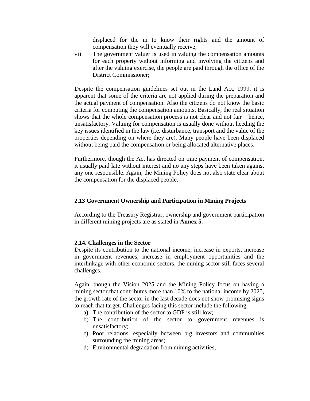displaced for the m to know their rights and the amount of compensation they will eventually receive;

vi) The government valuer is used in valuing the compensation amounts for each property without informing and involving the citizens and after the valuing exercise, the people are paid through the office of the District Commissioner;

Despite the compensation guidelines set out in the Land Act, 1999, it is apparent that some of the criteria are not applied during the preparation and the actual payment of compensation. Also the citizens do not know the basic criteria for computing the compensation amounts. Basically, the real situation shows that the whole compensation process is not clear and not fair – hence, unsatisfactory. Valuing for compensation is usually done without heeding the key issues identified in the law (i.e. disturbance, transport and the value of the properties depending on where they are). Many people have been displaced without being paid the compensation or being allocated alternative places.

Furthermore, though the Act has directed on time payment of compensation, it usually paid late without interest and no any steps have been taken against any one responsible. Again, the Mining Policy does not also state clear about the compensation for the displaced people.

### **2.13 Government Ownership and Participation in Mining Projects**

According to the Treasury Registrar, ownership and government participation in different mining projects are as stated in **Annex 5.**

#### **2.14. Challenges in the Sector**

Despite its contribution to the national income, increase in exports, increase in government revenues, increase in employment opportunities and the interlinkage with other economic sectors, the mining sector still faces several challenges.

Again, though the Vision 2025 and the Mining Policy focus on having a mining sector that contributes more than 10% to the national income by 2025, the growth rate of the sector in the last decade does not show promising signs to reach that target. Challenges facing this sector include the following:-

- a) The contribution of the sector to GDP is still low;
- b) The contribution of the sector to government revenues is unsatisfactory;
- c) Poor relations, especially between big investors and communities surrounding the mining areas;
- d) Environmental degradation from mining activities;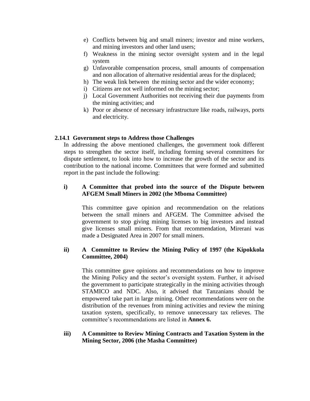- e) Conflicts between big and small miners; investor and mine workers, and mining investors and other land users;
- f) Weakness in the mining sector oversight system and in the legal system
- g) Unfavorable compensation process, small amounts of compensation and non allocation of alternative residential areas for the displaced;
- h) The weak link between the mining sector and the wider economy;
- i) Citizens are not well informed on the mining sector;
- j) Local Government Authorities not receiving their due payments from the mining activities; and
- k) Poor or absence of necessary infrastructure like roads, railways, ports and electricity.

### **2.14.1 Government steps to Address those Challenges**

In addressing the above mentioned challenges, the government took different steps to strengthen the sector itself, including forming several committees for dispute settlement, to look into how to increase the growth of the sector and its contribution to the national income. Committees that were formed and submitted report in the past include the following:

### **i) A Committee that probed into the source of the Dispute between AFGEM Small Miners in 2002 (the Mboma Committee)**

This committee gave opinion and recommendation on the relations between the small miners and AFGEM. The Committee advised the government to stop giving mining licenses to big investors and instead give licenses small miners. From that recommendation, Mirerani was made a Designated Area in 2007 for small miners.

#### **ii) A Committee to Review the Mining Policy of 1997 (the Kipokkola Committee, 2004)**

This committee gave opinions and recommendations on how to improve the Mining Policy and the sector"s oversight system. Further, it advised the government to participate strategically in the mining activities through STAMICO and NDC. Also, it advised that Tanzanians should be empowered take part in large mining. Other recommendations were on the distribution of the revenues from mining activities and review the mining taxation system, specifically, to remove unnecessary tax relieves. The committee"s recommendations are listed in **Annex 6.**

#### **iii) A Committee to Review Mining Contracts and Taxation System in the Mining Sector, 2006 (the Masha Committee)**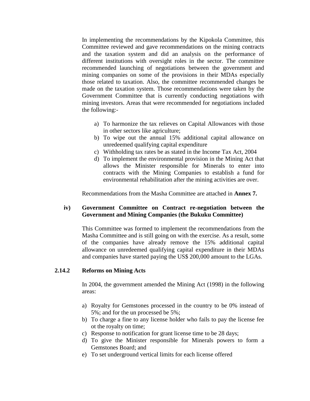In implementing the recommendations by the Kipokola Committee, this Committee reviewed and gave recommendations on the mining contracts and the taxation system and did an analysis on the performance of different institutions with oversight roles in the sector. The committee recommended launching of negotiations between the government and mining companies on some of the provisions in their MDAs especially those related to taxation. Also, the committee recommended changes be made on the taxation system. Those recommendations were taken by the Government Committee that is currently conducting negotiations with mining investors. Areas that were recommended for negotiations included the following:-

- a) To harmonize the tax relieves on Capital Allowances with those in other sectors like agriculture;
- b) To wipe out the annual 15% additional capital allowance on unredeemed qualifying capital expenditure
- c) Withholding tax rates be as stated in the Income Tax Act, 2004
- d) To implement the environmental provision in the Mining Act that allows the Minister responsible for Minerals to enter into contracts with the Mining Companies to establish a fund for environmental rehabilitation after the mining activities are over.

Recommendations from the Masha Committee are attached in **Annex 7.**

### **iv) Government Committee on Contract re-negotiation between the Government and Mining Companies (the Bukuku Committee)**

This Committee was formed to implement the recommendations from the Masha Committee and is still going on with the exercise. As a result, some of the companies have already remove the 15% additional capital allowance on unredeemed qualifying capital expenditure in their MDAs and companies have started paying the US\$ 200,000 amount to the LGAs.

#### **2.14.2 Reforms on Mining Acts**

In 2004, the government amended the Mining Act (1998) in the following areas:

- a) Royalty for Gemstones processed in the country to be 0% instead of 5%; and for the un processed be 5%;
- b) To charge a fine to any license holder who fails to pay the license fee ot the royalty on time;
- c) Response to notification for grant license time to be 28 days;
- d) To give the Minister responsible for Minerals powers to form a Gemstones Board; and
- e) To set underground vertical limits for each license offered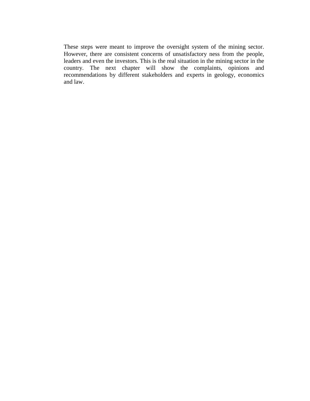These steps were meant to improve the oversight system of the mining sector. However, there are consistent concerns of unsatisfactory ness from the people, leaders and even the investors. This is the real situation in the mining sector in the country. The next chapter will show the complaints, opinions and recommendations by different stakeholders and experts in geology, economics and law.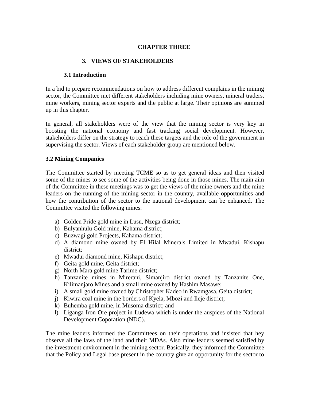### **CHAPTER THREE**

#### **3. VIEWS OF STAKEHOLDERS**

#### **3.1 Introduction**

In a bid to prepare recommendations on how to address different complains in the mining sector, the Committee met different stakeholders including mine owners, mineral traders, mine workers, mining sector experts and the public at large. Their opinions are summed up in this chapter.

In general, all stakeholders were of the view that the mining sector is very key in boosting the national economy and fast tracking social development. However, stakeholders differ on the strategy to reach these targets and the role of the government in supervising the sector. Views of each stakeholder group are mentioned below.

#### **3.2 Mining Companies**

The Committee started by meeting TCME so as to get general ideas and then visited some of the mines to see some of the activities being done in those mines. The main aim of the Committee in these meetings was to get the views of the mine owners and the mine leaders on the running of the mining sector in the country, available opportunities and how the contribution of the sector to the national development can be enhanced. The Committee visited the following mines:

- a) Golden Pride gold mine in Lusu, Nzega district;
- b) Bulyanhulu Gold mine, Kahama district;
- c) Buzwagi gold Projects, Kahama district;
- d) A diamond mine owned by El Hilal Minerals Limited in Mwadui, Kishapu district;
- e) Mwadui diamond mine, Kishapu district;
- f) Geita gold mine, Geita district;
- g) North Mara gold mine Tarime district;
- h) Tanzanite mines in Mirerani, Simanjiro district owned by Tanzanite One, Kilimanjaro Mines and a small mine owned by Hashim Masawe;
- i) A small gold mine owned by Christopher Kadeo in Rwamgasa, Geita district;
- j) Kiwira coal mine in the borders of Kyela, Mbozi and Ileje district;
- k) Buhemba gold mine, in Musoma district; and
- l) Liganga Iron Ore project in Ludewa which is under the auspices of the National Development Coporation (NDC).

The mine leaders informed the Committees on their operations and insisted that hey observe all the laws of the land and their MDAs. Also mine leaders seemed satisfied by the investment environment in the mining sector. Basically, they informed the Committee that the Policy and Legal base present in the country give an opportunity for the sector to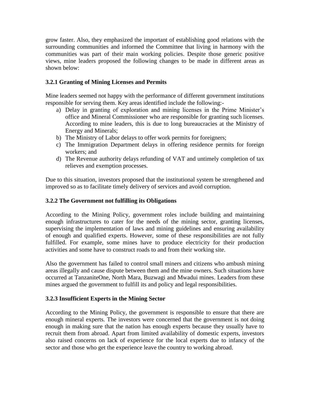grow faster. Also, they emphasized the important of establishing good relations with the surrounding communities and informed the Committee that living in harmony with the communities was part of their main working policies. Despite those generic positive views, mine leaders proposed the following changes to be made in different areas as shown below:

# **3.2.1 Granting of Mining Licenses and Permits**

Mine leaders seemed not happy with the performance of different government institutions responsible for serving them. Key areas identified include the following:-

- a) Delay in granting of exploration and mining licenses in the Prime Minister"s office and Mineral Commissioner who are responsible for granting such licenses. According to mine leaders, this is due to long bureaucracies at the Ministry of Energy and Minerals;
- b) The Ministry of Labor delays to offer work permits for foreigners;
- c) The Immigration Department delays in offering residence permits for foreign workers; and
- d) The Revenue authority delays refunding of VAT and untimely completion of tax relieves and exemption processes.

Due to this situation, investors proposed that the institutional system be strengthened and improved so as to facilitate timely delivery of services and avoid corruption.

# **3.2.2 The Government not fulfilling its Obligations**

According to the Mining Policy, government roles include building and maintaining enough infrastructures to cater for the needs of the mining sector, granting licenses, supervising the implementation of laws and mining guidelines and ensuring availability of enough and qualified experts. However, some of these responsibilities are not fully fulfilled. For example, some mines have to produce electricity for their production activities and some have to construct roads to and from their working site.

Also the government has failed to control small miners and citizens who ambush mining areas illegally and cause dispute between them and the mine owners. Such situations have occurred at TanzaniteOne, North Mara, Buzwagi and Mwadui mines. Leaders from these mines argued the government to fulfill its and policy and legal responsibilities.

## **3.2.3 Insufficient Experts in the Mining Sector**

According to the Mining Policy, the government is responsible to ensure that there are enough mineral experts. The investors were concerned that the government is not doing enough in making sure that the nation has enough experts because they usually have to recruit them from abroad. Apart from limited availability of domestic experts, investors also raised concerns on lack of experience for the local experts due to infancy of the sector and those who get the experience leave the country to working abroad.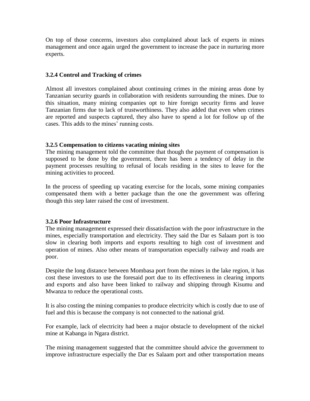On top of those concerns, investors also complained about lack of experts in mines management and once again urged the government to increase the pace in nurturing more experts.

### **3.2.4 Control and Tracking of crimes**

Almost all investors complained about continuing crimes in the mining areas done by Tanzanian security guards in collaboration with residents surrounding the mines. Due to this situation, many mining companies opt to hire foreign security firms and leave Tanzanian firms due to lack of trustworthiness. They also added that even when crimes are reported and suspects captured, they also have to spend a lot for follow up of the cases. This adds to the mines' running costs.

### **3.2.5 Compensation to citizens vacating mining sites**

The mining management told the committee that though the payment of compensation is supposed to be done by the government, there has been a tendency of delay in the payment processes resulting to refusal of locals residing in the sites to leave for the mining activities to proceed.

In the process of speeding up vacating exercise for the locals, some mining companies compensated them with a better package than the one the government was offering though this step later raised the cost of investment.

#### **3.2.6 Poor Infrastructure**

The mining management expressed their dissatisfaction with the poor infrastructure in the mines, especially transportation and electricity. They said the Dar es Salaam port is too slow in clearing both imports and exports resulting to high cost of investment and operation of mines. Also other means of transportation especially railway and roads are poor.

Despite the long distance between Mombasa port from the mines in the lake region, it has cost these investors to use the foresaid port due to its effectiveness in clearing imports and exports and also have been linked to railway and shipping through Kisumu and Mwanza to reduce the operational costs.

It is also costing the mining companies to produce electricity which is costly due to use of fuel and this is because the company is not connected to the national grid.

For example, lack of electricity had been a major obstacle to development of the nickel mine at Kabanga in Ngara district.

The mining management suggested that the committee should advice the government to improve infrastructure especially the Dar es Salaam port and other transportation means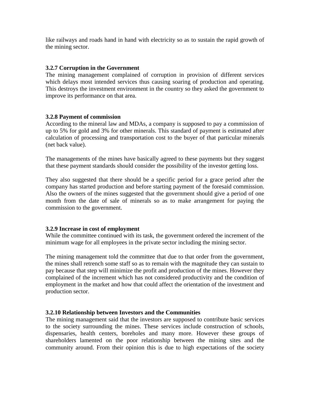like railways and roads hand in hand with electricity so as to sustain the rapid growth of the mining sector.

### **3.2.7 Corruption in the Government**

The mining management complained of corruption in provision of different services which delays most intended services thus causing soaring of production and operating. This destroys the investment environment in the country so they asked the government to improve its performance on that area.

#### **3.2.8 Payment of commission**

According to the mineral law and MDAs, a company is supposed to pay a commission of up to 5% for gold and 3% for other minerals. This standard of payment is estimated after calculation of processing and transportation cost to the buyer of that particular minerals (net back value).

The managements of the mines have basically agreed to these payments but they suggest that these payment standards should consider the possibility of the investor getting loss.

They also suggested that there should be a specific period for a grace period after the company has started production and before starting payment of the foresaid commission. Also the owners of the mines suggested that the government should give a period of one month from the date of sale of minerals so as to make arrangement for paying the commission to the government.

## **3.2.9 Increase in cost of employment**

While the committee continued with its task, the government ordered the increment of the minimum wage for all employees in the private sector including the mining sector.

The mining management told the committee that due to that order from the government, the mines shall retrench some staff so as to remain with the magnitude they can sustain to pay because that step will minimize the profit and production of the mines. However they complained of the increment which has not considered productivity and the condition of employment in the market and how that could affect the orientation of the investment and production sector.

## **3.2.10 Relationship between Investors and the Communities**

The mining management said that the investors are supposed to contribute basic services to the society surrounding the mines. These services include construction of schools, dispensaries, health centers, boreholes and many more. However these groups of shareholders lamented on the poor relationship between the mining sites and the community around. From their opinion this is due to high expectations of the society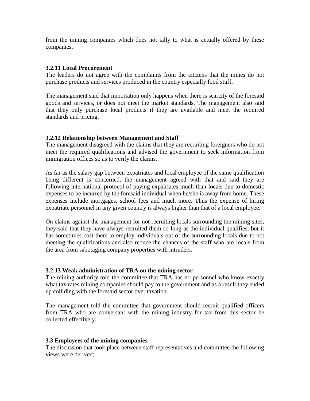from the mining companies which does not tally to what is actually offered by these companies.

#### **3.2.11 Local Procurement**

The leaders do not agree with the complaints from the citizens that the mines do not purchase products and services produced in the country especially food stuff.

The management said that importation only happens when there is scarcity of the foresaid goods and services, or does not meet the market standards. The management also said that they only purchase local products if they are available and meet the required standards and pricing.

### **3.2.12 Relationship between Management and Staff**

The management disagreed with the claims that they are recruiting foreigners who do not meet the required qualifications and advised the government to seek information from immigration offices so as to verify the claims.

As far as the salary gap between expatriates and local employee of the same qualification being different is concerned, the management agreed with that and said they are following international protocol of paying expatriates much than locals due to domestic expenses to be incurred by the foresaid individual when he/she is away from home. These expenses include mortgages, school fees and much more. Thus the expense of hiring expatriate personnel in any given country is always higher than that of a local employee.

On claims against the management for not recruiting locals surrounding the mining sites, they said that they have always recruited them so long as the individual qualifies, but it has sometimes cost them to employ individuals out of the surrounding locals due to not meeting the qualifications and also reduce the chances of the staff who are locals from the area from sabotaging company properties with intruders.

#### **3.2.13 Weak administration of TRA on the mining sector**

The mining authority told the committee that TRA has no personnel who know exactly what tax rates mining companies should pay to the government and as a result they ended up colliding with the foresaid sector over taxation.

The management told the committee that government should recruit qualified officers from TRA who are conversant with the mining industry for tax from this sector be collected effectively.

#### **3.3 Employees of the mining companies**

The discussion that took place between staff representatives and committee the following views were derived;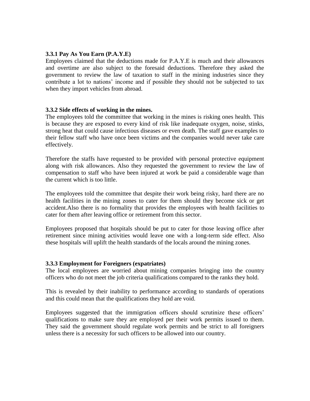#### **3.3.1 Pay As You Earn (P.A.Y.E)**

Employees claimed that the deductions made for P.A.Y.E is much and their allowances and overtime are also subject to the foresaid deductions. Therefore they asked the government to review the law of taxation to staff in the mining industries since they contribute a lot to nations" income and if possible they should not be subjected to tax when they import vehicles from abroad.

#### **3.3.2 Side effects of working in the mines.**

The employees told the committee that working in the mines is risking ones health. This is because they are exposed to every kind of risk like inadequate oxygen, noise, stinks, strong heat that could cause infectious diseases or even death. The staff gave examples to their fellow staff who have once been victims and the companies would never take care effectively.

Therefore the staffs have requested to be provided with personal protective equipment along with risk allowances. Also they requested the government to review the law of compensation to staff who have been injured at work be paid a considerable wage than the current which is too little.

The employees told the committee that despite their work being risky, hard there are no health facilities in the mining zones to cater for them should they become sick or get accident.Also there is no formality that provides the employees with health facilities to cater for them after leaving office or retirement from this sector.

Employees proposed that hospitals should be put to cater for those leaving office after retirement since mining activities would leave one with a long-term side effect. Also these hospitals will uplift the health standards of the locals around the mining zones.

#### **3.3.3 Employment for Foreigners (expatriates)**

The local employees are worried about mining companies bringing into the country officers who do not meet the job criteria qualifications compared to the ranks they hold.

This is revealed by their inability to performance according to standards of operations and this could mean that the qualifications they hold are void.

Employees suggested that the immigration officers should scrutinize these officers" qualifications to make sure they are employed per their work permits issued to them. They said the government should regulate work permits and be strict to all foreigners unless there is a necessity for such officers to be allowed into our country.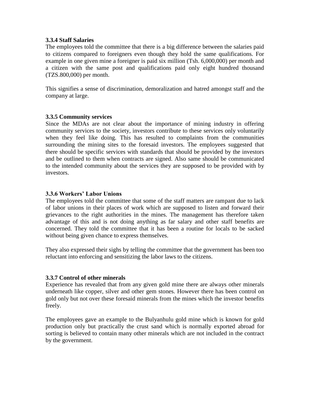### **3.3.4 Staff Salaries**

The employees told the committee that there is a big difference between the salaries paid to citizens compared to foreigners even though they hold the same qualifications. For example in one given mine a foreigner is paid six million (Tsh. 6,000,000) per month and a citizen with the same post and qualifications paid only eight hundred thousand (TZS.800,000) per month.

This signifies a sense of discrimination, demoralization and hatred amongst staff and the company at large.

#### **3.3.5 Community services**

Since the MDAs are not clear about the importance of mining industry in offering community services to the society, investors contribute to these services only voluntarily when they feel like doing. This has resulted to complaints from the communities surrounding the mining sites to the foresaid investors. The employees suggested that there should be specific services with standards that should be provided by the investors and be outlined to them when contracts are signed. Also same should be communicated to the intended community about the services they are supposed to be provided with by investors.

#### **3.3.6 Workers' Labor Unions**

The employees told the committee that some of the staff matters are rampant due to lack of labor unions in their places of work which are supposed to listen and forward their grievances to the right authorities in the mines. The management has therefore taken advantage of this and is not doing anything as far salary and other staff benefits are concerned. They told the committee that it has been a routine for locals to be sacked without being given chance to express themselves.

They also expressed their sighs by telling the committee that the government has been too reluctant into enforcing and sensitizing the labor laws to the citizens.

### **3.3.7 Control of other minerals**

Experience has revealed that from any given gold mine there are always other minerals underneath like copper, silver and other gem stones. However there has been control on gold only but not over these foresaid minerals from the mines which the investor benefits freely.

The employees gave an example to the Bulyanhulu gold mine which is known for gold production only but practically the crust sand which is normally exported abroad for sorting is believed to contain many other minerals which are not included in the contract by the government.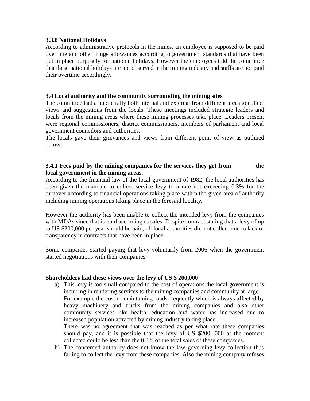### **3.3.8 National Holidays**

According to administrative protocols in the mines, an employee is supposed to be paid overtime and other fringe allowances according to government standards that have been put in place purposely for national holidays. However the employees told the committee that these national holidays are not observed in the mining industry and staffs are not paid their overtime accordingly.

### **3.4 Local authority and the community surrounding the mining sites**

The committee had a public rally both internal and external from different areas to collect views and suggestions from the locals. These meetings included strategic leaders and locals from the mining areas where these mining processes take place. Leaders present were regional commissioners, district commissioners, members of parliament and local government councilors and authorities.

The locals gave their grievances and views from different point of view as outlined below;

### **3.4.1 Fees paid by the mining companies for the services they get from the local government in the mining areas.**

According to the financial law of the local government of 1982, the local authorities has been given the mandate to collect service levy to a rate not exceeding 0.3% for the turnover according to financial operations taking place within the given area of authority including mining operations taking place in the foresaid locality.

However the authority has been unable to collect the intended levy from the companies with MDAs since that is paid according to sales. Despite contract stating that a levy of up to US \$200,000 per year should be paid, all local authorities did not collect due to lack of transparency in contracts that have been in place.

Some companies started paying that levy voluntarily from 2006 when the government started negotiations with their companies.

### **Shareholders had these views over the levy of US \$ 200,000**

a) This levy is too small compared to the cost of operations the local government is incurring in rendering services to the mining companies and community at large. For example the cost of maintaining roads frequently which is always affected by heavy machinery and trucks from the mining companies and also other community services like health, education and water has increased due to increased population attracted by mining industry taking place.

There was no agreement that was reached as per what rate these companies should pay, and it is possible that the levy of US \$200, 000 at the moment collected could be less than the 0.3% of the total sales of these companies.

b) The concerned authority does not know the law governing levy collection thus failing to collect the levy from these companies. Also the mining company refuses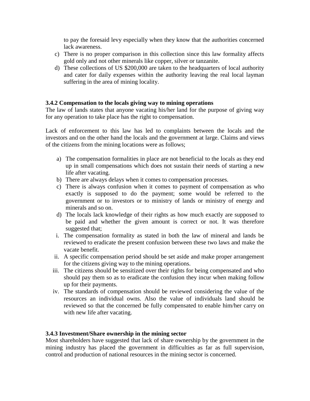to pay the foresaid levy especially when they know that the authorities concerned lack awareness.

- c) There is no proper comparison in this collection since this law formality affects gold only and not other minerals like copper, silver or tanzanite.
- d) These collections of US \$200,000 are taken to the headquarters of local authority and cater for daily expenses within the authority leaving the real local layman suffering in the area of mining locality.

# **3.4.2 Compensation to the locals giving way to mining operations**

The law of lands states that anyone vacating his/her land for the purpose of giving way for any operation to take place has the right to compensation.

Lack of enforcement to this law has led to complaints between the locals and the investors and on the other hand the locals and the government at large. Claims and views of the citizens from the mining locations were as follows;

- a) The compensation formalities in place are not beneficial to the locals as they end up in small compensations which does not sustain their needs of starting a new life after vacating.
- b) There are always delays when it comes to compensation processes.
- c) There is always confusion when it comes to payment of compensation as who exactly is supposed to do the payment; some would be referred to the government or to investors or to ministry of lands or ministry of energy and minerals and so on.
- d) The locals lack knowledge of their rights as how much exactly are supposed to be paid and whether the given amount is correct or not. It was therefore suggested that;
- i. The compensation formality as stated in both the law of mineral and lands be reviewed to eradicate the present confusion between these two laws and make the vacate benefit.
- ii. A specific compensation period should be set aside and make proper arrangement for the citizens giving way to the mining operations.
- iii. The citizens should be sensitized over their rights for being compensated and who should pay them so as to eradicate the confusion they incur when making follow up for their payments.
- iv. The standards of compensation should be reviewed considering the value of the resources an individual owns. Also the value of individuals land should be reviewed so that the concerned be fully compensated to enable him/her carry on with new life after vacating.

### **3.4.3 Investment/Share ownership in the mining sector**

Most shareholders have suggested that lack of share ownership by the government in the mining industry has placed the government in difficulties as far as full supervision, control and production of national resources in the mining sector is concerned.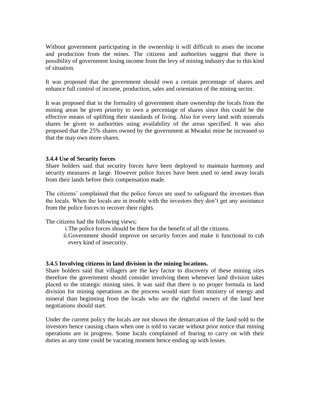Without government participating in the ownership it will difficult to asses the income and production from the mines. The citizens and authorities suggest that there is possibility of government losing income from the levy of mining industry due to this kind of situation.

It was proposed that the government should own a certain percentage of shares and enhance full control of income, production, sales and orientation of the mining sector.

It was proposed that in the formality of government share ownership the locals from the mining areas be given priority to own a percentage of shares since this could be the effective means of uplifting their standards of living. Also for every land with minerals shares be given to authorities using availability of the areas specified. It was also proposed that the 25% shares owned by the government at Mwadui mine be increased so that the may own more shares.

#### **3.4.4 Use of Security forces**

Share holders said that security forces have been deployed to maintain harmony and security measures at large. However police forces have been used to send away locals from their lands before their compensation made.

The citizens' complained that the police forces are used to safeguard the investors than the locals. When the locals are in trouble with the investors they don"t get any assistance from the police forces to recover their rights.

The citizens had the following views;

- i.The police forces should be there for the benefit of all the citizens.
- ii.Government should improve on security forces and make it functional to cub every kind of insecurity.

### **3.4.5 Involving citizens in land division in the mining locations.**

Share holders said that villagers are the key factor to discovery of these mining sites therefore the government should consider involving them whenever land division takes placed to the strategic mining sites. It was said that there is no proper formula in land division for mining operations as the process would start from ministry of energy and mineral than beginning from the locals who are the rightful owners of the land here negotiations should start.

Under the current policy the locals are not shown the demarcation of the land sold to the investors hence causing chaos when one is told to vacate without prior notice that mining operations are in progress. Some locals complained of fearing to carry on with their duties as any time could be vacating moment hence ending up with losses.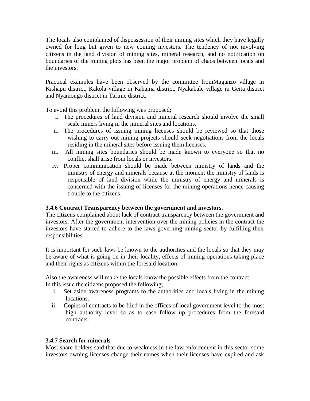The locals also complained of dispossession of their mining sites which they have legally owned for long but given to new coming investors. The tendency of not involving citizens in the land division of mining sites, mineral research, and no notification on boundaries of the mining plots has been the major problem of chaos between locals and the investors.

Practical examples have been observed by the committee fromMaganzo village in Kishapu district, Kakola village in Kahama district, Nyakabale village in Geita district and Nyamongo district in Tarime district.

To avoid this problem, the following was proposed;

- i. The procedures of land division and mineral research should involve the small scale miners living in the mineral sites and locations.
- ii. The procedures of issuing mining licenses should be reviewed so that those wishing to carry out mining projects should seek negotiations from the locals residing in the mineral sites before issuing them licenses.
- iii. All mining sites boundaries should be made known to everyone so that no conflict shall arise from locals or investors.
- iv. Proper communication should be made between ministry of lands and the ministry of energy and minerals because at the moment the ministry of lands is responsible of land division while the ministry of energy and minerals is concerned with the issuing of licenses for the mining operations hence causing trouble to the citizens.

# **3.4.6 Contract Transparency between the government and investors**.

The citizens complained about lack of contract transparency between the government and investors. After the government intervention over the mining policies in the contract the investors have started to adhere to the laws governing mining sector by fulfilling their responsibilities.

It is important for such laws be known to the authorities and the locals so that they may be aware of what is going on in their locality, effects of mining operations taking place and their rights as citizens within the foresaid location.

Also the awareness will make the locals know the possible effects from the contract. In this issue the citizens proposed the following;

- i. Set aside awareness programs to the authorities and locals living in the mining locations.
- ii. Copies of contracts to be filed in the offices of local government level to the most high authority level so as to ease follow up procedures from the foresaid contracts.

# **3.4.7 Search for minerals**

Most share holders said that due to weakness in the law enforcement in this sector some investors owning licenses change their names when their licenses have expired and ask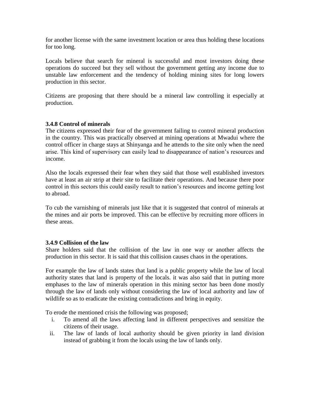for another license with the same investment location or area thus holding these locations for too long.

Locals believe that search for mineral is successful and most investors doing these operations do succeed but they sell without the government getting any income due to unstable law enforcement and the tendency of holding mining sites for long lowers production in this sector.

Citizens are proposing that there should be a mineral law controlling it especially at production.

## **3.4.8 Control of minerals**

The citizens expressed their fear of the government failing to control mineral production in the country. This was practically observed at mining operations at Mwadui where the control officer in charge stays at Shinyanga and he attends to the site only when the need arise. This kind of supervisory can easily lead to disappearance of nation"s resources and income.

Also the locals expressed their fear when they said that those well established investors have at least an air strip at their site to facilitate their operations. And because there poor control in this sectors this could easily result to nation"s resources and income getting lost to abroad.

To cub the varnishing of minerals just like that it is suggested that control of minerals at the mines and air ports be improved. This can be effective by recruiting more officers in these areas.

### **3.4.9 Collision of the law**

Share holders said that the collision of the law in one way or another affects the production in this sector. It is said that this collision causes chaos in the operations.

For example the law of lands states that land is a public property while the law of local authority states that land is property of the locals. it was also said that in putting more emphases to the law of minerals operation in this mining sector has been done mostly through the law of lands only without considering the law of local authority and law of wildlife so as to eradicate the existing contradictions and bring in equity.

To erode the mentioned crisis the following was proposed;

- i. To amend all the laws affecting land in different perspectives and sensitize the citizens of their usage.
- ii. The law of lands of local authority should be given priority in land division instead of grabbing it from the locals using the law of lands only.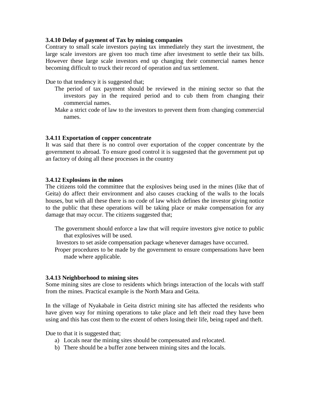#### **3.4.10 Delay of payment of Tax by mining companies**

Contrary to small scale investors paying tax immediately they start the investment, the large scale investors are given too much time after investment to settle their tax bills. However these large scale investors end up changing their commercial names hence becoming difficult to truck their record of operation and tax settlement.

Due to that tendency it is suggested that;

- The period of tax payment should be reviewed in the mining sector so that the investors pay in the required period and to cub them from changing their commercial names.
- Make a strict code of law to the investors to prevent them from changing commercial names.

#### **3.4.11 Exportation of copper concentrate**

It was said that there is no control over exportation of the copper concentrate by the government to abroad. To ensure good control it is suggested that the government put up an factory of doing all these processes in the country

#### **3.4.12 Explosions in the mines**

The citizens told the committee that the explosives being used in the mines (like that of Geita) do affect their environment and also causes cracking of the walls to the locals houses, but with all these there is no code of law which defines the investor giving notice to the public that these operations will be taking place or make compensation for any damage that may occur. The citizens suggested that;

- The government should enforce a law that will require investors give notice to public that explosives will be used.
- Investors to set aside compensation package whenever damages have occurred.
- Proper procedures to be made by the government to ensure compensations have been made where applicable.

#### **3.4.13 Neighborhood to mining sites**

Some mining sites are close to residents which brings interaction of the locals with staff from the mines. Practical example is the North Mara and Geita.

In the village of Nyakabale in Geita district mining site has affected the residents who have given way for mining operations to take place and left their road they have been using and this has cost them to the extent of others losing their life, being raped and theft.

Due to that it is suggested that;

- a) Locals near the mining sites should be compensated and relocated.
- b) There should be a buffer zone between mining sites and the locals.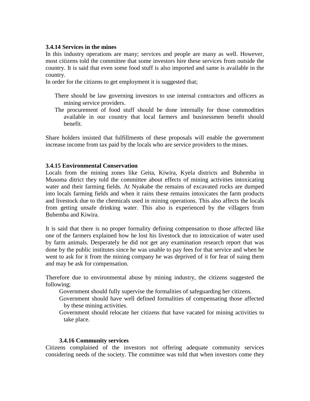#### **3.4.14 Services in the mines**

In this industry operations are many; services and people are many as well. However, most citizens told the committee that some investors hire these services from outside the country. It is said that even some food stuff is also imported and same is available in the country.

In order for the citizens to get employment it is suggested that;

- There should be law governing investors to use internal contractors and officers as mining service providers.
- The procurement of food stuff should be done internally for those commodities available in our country that local farmers and businessmen benefit should benefit.

Share holders insisted that fulfillments of these proposals will enable the government increase income from tax paid by the locals who are service providers to the mines.

#### **3.4.15 Environmental Conservation**

Locals from the mining zones like Geita, Kiwira, Kyela districts and Buhemba in Musoma ditrict they told the committee about effects of mining activities intoxicating water and their farming fields. At Nyakabe the remains of excavated rocks are dumped into locals farming fields and when it rains these remains intoxicates the farm products and livestock due to the chemicals used in mining operations. This also affects the locals from getting unsafe drinking water. This also is experienced by the villagers from Buhemba and Kiwira.

It is said that there is no proper formality defining compensation to those affected like one of the farmers explained how he lost his livestock due to intoxication of water used by farm animals. Desperately he did not get any examination research report that was done by the public institutes since he was unable to pay fees for that service and when he went to ask for it from the mining company he was deprived of it for fear of suing them and may be ask for compensation.

Therefore due to environmental abuse by mining industry, the citizens suggested the following;

Government should fully supervise the formalities of safeguarding her citizens.

- Government should have well defined formalities of compensating those affected by these mining activities.
- Government should relocate her citizens that have vacated for mining activities to take place.

#### **3.4.16 Community services**

Citizens complained of the investors not offering adequate community services considering needs of the society. The committee was told that when investors come they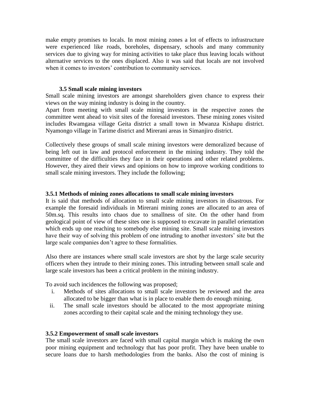make empty promises to locals. In most mining zones a lot of effects to infrastructure were experienced like roads, boreholes, dispensary, schools and many community services due to giving way for mining activities to take place thus leaving locals without alternative services to the ones displaced. Also it was said that locals are not involved when it comes to investors' contribution to community services.

#### **3.5 Small scale mining investors**

Small scale mining investors are amongst shareholders given chance to express their views on the way mining industry is doing in the country.

Apart from meeting with small scale mining investors in the respective zones the committee went ahead to visit sites of the foresaid investors. These mining zones visited includes Rwamgasa village Geita district a small town in Mwanza Kishapu district. Nyamongo village in Tarime district and Mirerani areas in Simanjiro district.

Collectively these groups of small scale mining investors were demoralized because of being left out in law and protocol enforcement in the mining industry. They told the committee of the difficulties they face in their operations and other related problems. However, they aired their views and opinions on how to improve working conditions to small scale mining investors. They include the following;

#### **3.5.1 Methods of mining zones allocations to small scale mining investors**

It is said that methods of allocation to small scale mining investors in disastrous. For example the foresaid individuals in Mirerani mining zones are allocated to an area of 50m.sq. This results into chaos due to smallness of site. On the other hand from geological point of view of these sites one is supposed to excavate in parallel orientation which ends up one reaching to somebody else mining site. Small scale mining investors have their way of solving this problem of one intruding to another investors' site but the large scale companies don"t agree to these formalities.

Also there are instances where small scale investors are shot by the large scale security officers when they intrude to their mining zones. This intruding between small scale and large scale investors has been a critical problem in the mining industry.

To avoid such incidences the following was proposed;

- i. Methods of sites allocations to small scale investors be reviewed and the area allocated to be bigger than what is in place to enable them do enough mining.
- ii. The small scale investors should be allocated to the most appropriate mining zones according to their capital scale and the mining technology they use.

### **3.5.2 Empowerment of small scale investors**

The small scale investors are faced with small capital margin which is making the own poor mining equipment and technology that has poor profit. They have been unable to secure loans due to harsh methodologies from the banks. Also the cost of mining is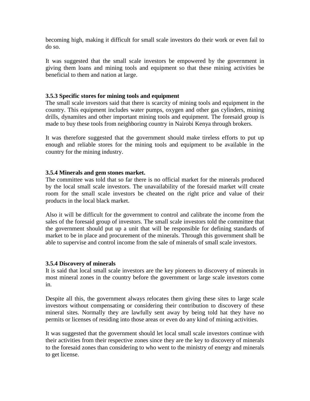becoming high, making it difficult for small scale investors do their work or even fail to do so.

It was suggested that the small scale investors be empowered by the government in giving them loans and mining tools and equipment so that these mining activities be beneficial to them and nation at large.

### **3.5.3 Specific stores for mining tools and equipment**

The small scale investors said that there is scarcity of mining tools and equipment in the country. This equipment includes water pumps, oxygen and other gas cylinders, mining drills, dynamites and other important mining tools and equipment. The foresaid group is made to buy these tools from neighboring country in Nairobi Kenya through brokers.

It was therefore suggested that the government should make tireless efforts to put up enough and reliable stores for the mining tools and equipment to be available in the country for the mining industry.

#### **3.5.4 Minerals and gem stones market.**

The committee was told that so far there is no official market for the minerals produced by the local small scale investors. The unavailability of the foresaid market will create room for the small scale investors be cheated on the right price and value of their products in the local black market.

Also it will be difficult for the government to control and calibrate the income from the sales of the foresaid group of investors. The small scale investors told the committee that the government should put up a unit that will be responsible for defining standards of market to be in place and procurement of the minerals. Through this government shall be able to supervise and control income from the sale of minerals of small scale investors.

#### **3.5.4 Discovery of minerals**

It is said that local small scale investors are the key pioneers to discovery of minerals in most mineral zones in the country before the government or large scale investors come in.

Despite all this, the government always relocates them giving these sites to large scale investors without compensating or considering their contribution to discovery of these mineral sites. Normally they are lawfully sent away by being told hat they have no permits or licenses of residing into those areas or even do any kind of mining activities.

It was suggested that the government should let local small scale investors continue with their activities from their respective zones since they are the key to discovery of minerals to the foresaid zones than considering to who went to the ministry of energy and minerals to get license.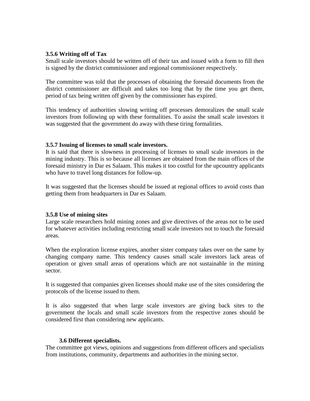### **3.5.6 Writing off of Tax**

Small scale investors should be written off of their tax and issued with a form to fill then is signed by the district commissioner and regional commissioner respectively.

The committee was told that the processes of obtaining the foresaid documents from the district commissioner are difficult and takes too long that by the time you get them, period of tax being written off given by the commissioner has expired.

This tendency of authorities slowing writing off processes demoralizes the small scale investors from following up with these formalities. To assist the small scale investors it was suggested that the government do away with these tiring formalities.

### **3.5.7 Issuing of licenses to small scale investors.**

It is said that there is slowness in processing of licenses to small scale investors in the mining industry. This is so because all licenses are obtained from the main offices of the foresaid ministry in Dar es Salaam. This makes it too costful for the upcountry applicants who have to travel long distances for follow-up.

It was suggested that the licenses should be issued at regional offices to avoid costs than getting them from headquarters in Dar es Salaam.

# **3.5.8 Use of mining sites**

Large scale researchers hold mining zones and give directives of the areas not to be used for whatever activities including restricting small scale investors not to touch the foresaid areas.

When the exploration license expires, another sister company takes over on the same by changing company name. This tendency causes small scale investors lack areas of operation or given small areas of operations which are not sustainable in the mining sector.

It is suggested that companies given licenses should make use of the sites considering the protocols of the license issued to them.

It is also suggested that when large scale investors are giving back sites to the government the locals and small scale investors from the respective zones should be considered first than considering new applicants.

### **3.6 Different specialists.**

The committee got views, opinions and suggestions from different officers and specialists from institutions, community, departments and authorities in the mining sector.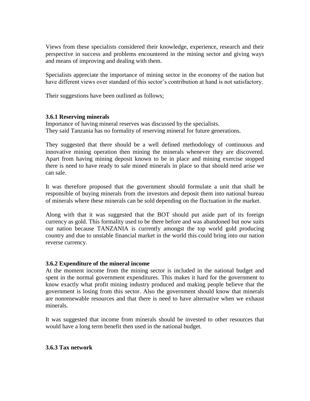Views from these specialists considered their knowledge, experience, research and their perspective in success and problems encountered in the mining sector and giving ways and means of improving and dealing with them.

Specialists appreciate the importance of mining sector in the economy of the nation but have different views over standard of this sector's contribution at hand is not satisfactory.

Their suggestions have been outlined as follows;

## **3.6.1 Reserving minerals**

Importance of having mineral reserves was discussed by the specialists. They said Tanzania has no formality of reserving mineral for future generations.

They suggested that there should be a well defined methodology of continuous and innovative mining operation then mining the minerals whenever they are discovered. Apart from having mining deposit known to be in place and mining exercise stopped there is need to have ready to sale mined minerals in place so that should need arise we can sale.

It was therefore proposed that the government should formulate a unit that shall be responsible of buying minerals from the investors and deposit them into national bureau of minerals where these minerals can be sold depending on the fluctuation in the market.

Along with that it was suggested that the BOT should put aside part of its foreign currency as gold. This formality used to be there before and was abandoned but now suits our nation because TANZANIA is currently amongst the top world gold producing country and due to unstable financial market in the world this could bring into our nation reverse currency.

### **3.6.2 Expenditure of the mineral income**

At the moment income from the mining sector is included in the national budget and spent in the normal government expenditures. This makes it hard for the government to know exactly what profit mining industry produced and making people believe that the government is losing from this sector. Also the government should know that minerals are nonrenewable resources and that there is need to have alternative when we exhaust minerals.

It was suggested that income from minerals should be invested to other resources that would have a long term benefit then used in the national budget.

### **3.6.3 Tax network**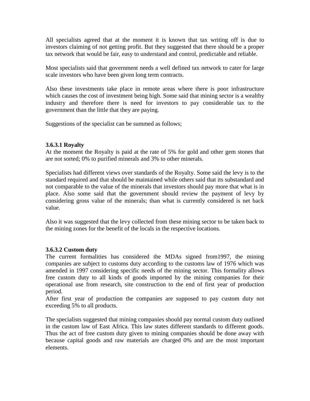All specialists agreed that at the moment it is known that tax writing off is due to investors claiming of not getting profit. But they suggested that there should be a proper tax network that would be fair, easy to understand and control, predictable and reliable.

Most specialists said that government needs a well defined tax network to cater for large scale investors who have been given long term contracts.

Also these investments take place in remote areas where there is poor infrastructure which causes the cost of investment being high. Some said that mining sector is a wealthy industry and therefore there is need for investors to pay considerable tax to the government than the little that they are paying.

Suggestions of the specialist can be summed as follows;

## **3.6.3.1 Royalty**

At the moment the Royalty is paid at the rate of 5% for gold and other gem stones that are not sorted; 0% to purified minerals and 3% to other minerals.

Specialists had different views over standards of the Royalty. Some said the levy is to the standard required and that should be maintained while others said that its substandard and not comparable to the value of the minerals that investors should pay more that what is in place. Also some said that the government should review the payment of levy by considering gross value of the minerals; than what is currently considered is net back value.

Also it was suggested that the levy collected from these mining sector to be taken back to the mining zones for the benefit of the locals in the respective locations.

### **3.6.3.2 Custom duty**

The current formalities has considered the MDAs signed from1997, the mining companies are subject to customs duty according to the customs law of 1976 which was amended in 1997 considering specific needs of the mining sector. This formality allows free custom duty to all kinds of goods imported by the mining companies for their operational use from research, site construction to the end of first year of production period.

After first year of production the companies are supposed to pay custom duty not exceeding 5% to all products.

The specialists suggested that mining companies should pay normal custom duty outlined in the custom law of East Africa. This law states different standards to different goods. Thus the act of free custom duty given to mining companies should be done away with because capital goods and raw materials are charged 0% and are the most important elements.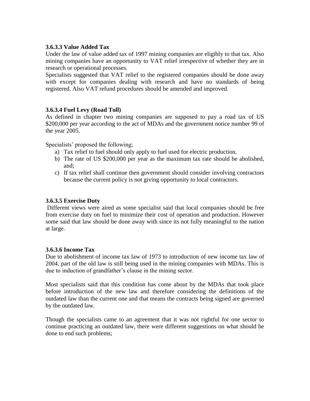## **3.6.3.3 Value Added Tax**

Under the law of value added tax of 1997 mining companies are eligibly to that tax. Also mining companies have an opportunity to VAT relief irrespective of whether they are in research or operational processes.

Specialists suggested that VAT relief to the registered companies should be done away with except for companies dealing with research and have no standards of being registered. Also VAT refund procedures should be amended and improved.

## **3.6.3.4 Fuel Levy (Road Toll)**

As defined in chapter two mining companies are supposed to pay a road tax of US \$200,000 per year according to the act of MDAs and the government notice number 99 of the year 2005.

Specialists' proposed the following;

- a) Tax relief to fuel should only apply to fuel used for electric production.
- b) The rate of US \$200,000 per year as the maximum tax rate should be abolished, and;
- c) If tax relief shall continue then government should consider involving contractors because the current policy is not giving opportunity to local contractors.

# **3.6.3.5 Exercise Duty**

Different views were aired as some specialist said that local companies should be free from exercise duty on fuel to minimize their cost of operation and production. However some said that law should be done away with since its not fully meaningful to the nation at large.

### **3.6.3.6 Income Tax**

Due to abolishment of income tax law of 1973 to introduction of new income tax law of 2004, part of the old law is still being used in the mining companies with MDAs. This is due to induction of grandfather's clause in the mining sector.

Most specialists said that this condition has come about by the MDAs that took place before introduction of the new law and therefore considering the definitions of the outdated law than the current one and that means the contracts being signed are governed by the outdated law.

Though the specialists came to an agreement that it was not rightful for one sector to continue practicing an outdated law, there were different suggestions on what should be done to end such problems;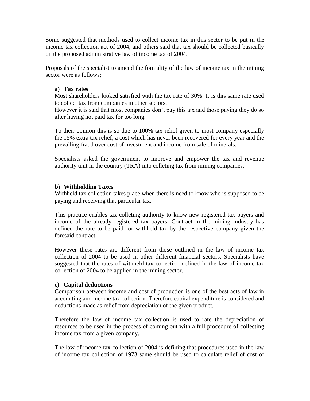Some suggested that methods used to collect income tax in this sector to be put in the income tax collection act of 2004, and others said that tax should be collected basically on the proposed administrative law of income tax of 2004.

Proposals of the specialist to amend the formality of the law of income tax in the mining sector were as follows;

### **a) Tax rates**

Most shareholders looked satisfied with the tax rate of 30%. It is this same rate used to collect tax from companies in other sectors.

However it is said that most companies don't pay this tax and those paying they do so after having not paid tax for too long.

To their opinion this is so due to 100% tax relief given to most company especially the 15% extra tax relief; a cost which has never been recovered for every year and the prevailing fraud over cost of investment and income from sale of minerals.

Specialists asked the government to improve and empower the tax and revenue authority unit in the country (TRA) into colleting tax from mining companies.

### **b) Withholding Taxes**

Withheld tax collection takes place when there is need to know who is supposed to be paying and receiving that particular tax.

This practice enables tax colleting authority to know new registered tax payers and income of the already registered tax payers. Contract in the mining industry has defined the rate to be paid for withheld tax by the respective company given the foresaid contract.

However these rates are different from those outlined in the law of income tax collection of 2004 to be used in other different financial sectors. Specialists have suggested that the rates of withheld tax collection defined in the law of income tax collection of 2004 to be applied in the mining sector.

### **c) Capital deductions**

Comparison between income and cost of production is one of the best acts of law in accounting and income tax collection. Therefore capital expenditure is considered and deductions made as relief from depreciation of the given product.

Therefore the law of income tax collection is used to rate the depreciation of resources to be used in the process of coming out with a full procedure of collecting income tax from a given company.

The law of income tax collection of 2004 is defining that procedures used in the law of income tax collection of 1973 same should be used to calculate relief of cost of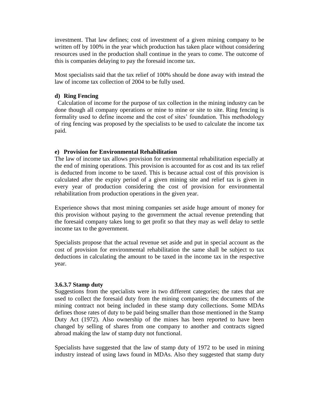investment. That law defines; cost of investment of a given mining company to be written off by 100% in the year which production has taken place without considering resources used in the production shall continue in the years to come. The outcome of this is companies delaying to pay the foresaid income tax.

Most specialists said that the tax relief of 100% should be done away with instead the law of income tax collection of 2004 to be fully used.

### **d) Ring Fencing**

 Calculation of income for the purpose of tax collection in the mining industry can be done though all company operations or mine to mine or site to site. Ring fencing is formality used to define income and the cost of sites' foundation. This methodology of ring fencing was proposed by the specialists to be used to calculate the income tax paid.

## **e) Provision for Environmental Rehabilitation**

The law of income tax allows provision for environmental rehabilitation especially at the end of mining operations. This provision is accounted for as cost and its tax relief is deducted from income to be taxed. This is because actual cost of this provision is calculated after the expiry period of a given mining site and relief tax is given in every year of production considering the cost of provision for environmental rehabilitation from production operations in the given year.

Experience shows that most mining companies set aside huge amount of money for this provision without paying to the government the actual revenue pretending that the foresaid company takes long to get profit so that they may as well delay to settle income tax to the government.

Specialists propose that the actual revenue set aside and put in special account as the cost of provision for environmental rehabilitation the same shall be subject to tax deductions in calculating the amount to be taxed in the income tax in the respective year.

### **3.6.3.7 Stamp duty**

Suggestions from the specialists were in two different categories; the rates that are used to collect the foresaid duty from the mining companies; the documents of the mining contract not being included in these stamp duty collections. Some MDAs defines those rates of duty to be paid being smaller than those mentioned in the Stamp Duty Act (1972). Also ownership of the mines has been reported to have been changed by selling of shares from one company to another and contracts signed abroad making the law of stamp duty not functional.

Specialists have suggested that the law of stamp duty of 1972 to be used in mining industry instead of using laws found in MDAs. Also they suggested that stamp duty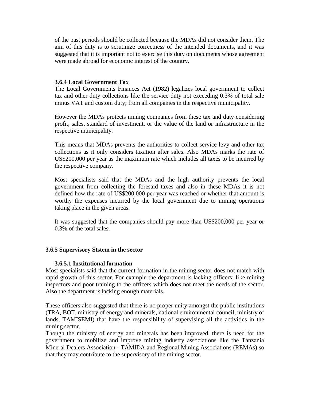of the past periods should be collected because the MDAs did not consider them. The aim of this duty is to scrutinize correctness of the intended documents, and it was suggested that it is important not to exercise this duty on documents whose agreement were made abroad for economic interest of the country.

### **3.6.4 Local Government Tax**

The Local Governments Finances Act (1982) legalizes local government to collect tax and other duty collections like the service duty not exceeding 0.3% of total sale minus VAT and custom duty; from all companies in the respective municipality.

However the MDAs protects mining companies from these tax and duty considering profit, sales, standard of investment, or the value of the land or infrastructure in the respective municipality.

This means that MDAs prevents the authorities to collect service levy and other tax collections as it only considers taxation after sales. Also MDAs marks the rate of US\$200,000 per year as the maximum rate which includes all taxes to be incurred by the respective company.

Most specialists said that the MDAs and the high authority prevents the local government from collecting the foresaid taxes and also in these MDAs it is not defined how the rate of US\$200,000 per year was reached or whether that amount is worthy the expenses incurred by the local government due to mining operations taking place in the given areas.

It was suggested that the companies should pay more than US\$200,000 per year or 0.3% of the total sales.

### **3.6.5 Supervisory Ststem in the sector**

### **3.6.5.1 Institutional formation**

Most specialists said that the current formation in the mining sector does not match with rapid growth of this sector. For example the department is lacking officers; like mining inspectors and poor training to the officers which does not meet the needs of the sector. Also the department is lacking enough materials.

These officers also suggested that there is no proper unity amongst the public institutions (TRA, BOT, ministry of energy and minerals, national environmental council, ministry of lands, TAMISEMI) that have the responsibility of supervising all the activities in the mining sector.

Though the ministry of energy and minerals has been improved, there is need for the government to mobilize and improve mining industry associations like the Tanzania Mineral Dealers Association - TAMIDA and Regional Mining Associations (REMAs) so that they may contribute to the supervisory of the mining sector.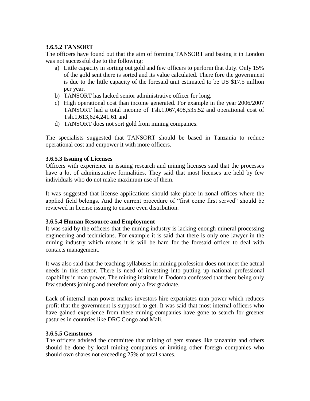# **3.6.5.2 TANSORT**

The officers have found out that the aim of forming TANSORT and basing it in London was not successful due to the following;

- a) Little capacity in sorting out gold and few officers to perform that duty. Only 15% of the gold sent there is sorted and its value calculated. There fore the government is due to the little capacity of the foresaid unit estimated to be US \$17.5 million per year.
- b) TANSORT has lacked senior administrative officer for long.
- c) High operational cost than income generated. For example in the year 2006/2007 TANSORT had a total income of Tsh.1,067,498,535.52 and operational cost of Tsh.1,613,624,241.61 and
- d) TANSORT does not sort gold from mining companies.

The specialists suggested that TANSORT should be based in Tanzania to reduce operational cost and empower it with more officers.

## **3.6.5.3 Issuing of Licenses**

Officers with experience in issuing research and mining licenses said that the processes have a lot of administrative formalities. They said that most licenses are held by few individuals who do not make maximum use of them.

It was suggested that license applications should take place in zonal offices where the applied field belongs. And the current procedure of "first come first served" should be reviewed in license issuing to ensure even distribution.

# **3.6.5.4 Human Resource and Employment**

It was said by the officers that the mining industry is lacking enough mineral processing engineering and technicians. For example it is said that there is only one lawyer in the mining industry which means it is will be hard for the foresaid officer to deal with contacts management.

It was also said that the teaching syllabuses in mining profession does not meet the actual needs in this sector. There is need of investing into putting up national professional capability in man power. The mining institute in Dodoma confessed that there being only few students joining and therefore only a few graduate.

Lack of internal man power makes investors hire expatriates man power which reduces profit that the government is supposed to get. It was said that most internal officers who have gained experience from these mining companies have gone to search for greener pastures in countries like DRC Congo and Mali.

### **3.6.5.5 Gemstones**

The officers advised the committee that mining of gem stones like tanzanite and others should be done by local mining companies or inviting other foreign companies who should own shares not exceeding 25% of total shares.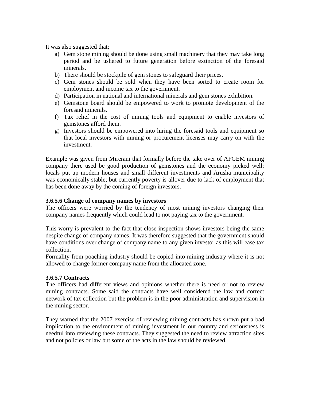It was also suggested that;

- a) Gem stone mining should be done using small machinery that they may take long period and be ushered to future generation before extinction of the foresaid minerals.
- b) There should be stockpile of gem stones to safeguard their prices.
- c) Gem stones should be sold when they have been sorted to create room for employment and income tax to the government.
- d) Participation in national and international minerals and gem stones exhibition.
- e) Gemstone board should be empowered to work to promote development of the foresaid minerals.
- f) Tax relief in the cost of mining tools and equipment to enable investors of gemstones afford them.
- g) Investors should be empowered into hiring the foresaid tools and equipment so that local investors with mining or procurement licenses may carry on with the investment.

Example was given from Mirerani that formally before the take over of AFGEM mining company there used be good production of gemstones and the economy picked well; locals put up modern houses and small different investments and Arusha municipality was economically stable; but currently poverty is allover due to lack of employment that has been done away by the coming of foreign investors.

### **3.6.5.6 Change of company names by investors**

The officers were worried by the tendency of most mining investors changing their company names frequently which could lead to not paying tax to the government.

This worry is prevalent to the fact that close inspection shows investors being the same despite change of company names. It was therefore suggested that the government should have conditions over change of company name to any given investor as this will ease tax collection.

Formality from poaching industry should be copied into mining industry where it is not allowed to change former company name from the allocated zone.

### **3.6.5.7 Contracts**

The officers had different views and opinions whether there is need or not to review mining contracts. Some said the contracts have well considered the law and correct network of tax collection but the problem is in the poor administration and supervision in the mining sector.

They warned that the 2007 exercise of reviewing mining contracts has shown put a bad implication to the environment of mining investment in our country and seriousness is needful into reviewing these contracts. They suggested the need to review attraction sites and not policies or law but some of the acts in the law should be reviewed.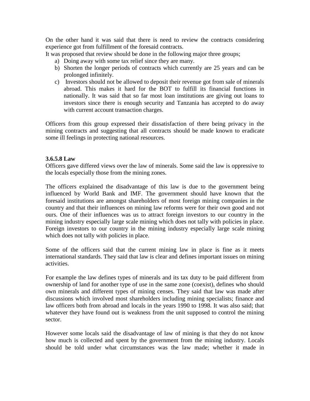On the other hand it was said that there is need to review the contracts considering experience got from fulfillment of the foresaid contracts.

It was proposed that review should be done in the following major three groups;

- a) Doing away with some tax relief since they are many.
- b) Shorten the longer periods of contracts which currently are 25 years and can be prolonged infinitely.
- c) Investors should not be allowed to deposit their revenue got from sale of minerals abroad. This makes it hard for the BOT to fulfill its financial functions in nationally. It was said that so far most loan institutions are giving out loans to investors since there is enough security and Tanzania has accepted to do away with current account transaction charges.

Officers from this group expressed their dissatisfaction of there being privacy in the mining contracts and suggesting that all contracts should be made known to eradicate some ill feelings in protecting national resources.

## **3.6.5.8 Law**

Officers gave differed views over the law of minerals. Some said the law is oppressive to the locals especially those from the mining zones.

The officers explained the disadvantage of this law is due to the government being influenced by World Bank and IMF. The government should have known that the foresaid institutions are amongst shareholders of most foreign mining companies in the country and that their influences on mining law reforms were for their own good and not ours. One of their influences was us to attract foreign investors to our country in the mining industry especially large scale mining which does not tally with policies in place. Foreign investors to our country in the mining industry especially large scale mining which does not tally with policies in place.

Some of the officers said that the current mining law in place is fine as it meets international standards. They said that law is clear and defines important issues on mining activities.

For example the law defines types of minerals and its tax duty to be paid different from ownership of land for another type of use in the same zone (coexist), defines who should own minerals and different types of mining censes. They said that law was made after discussions which involved most shareholders including mining specialists; finance and law officers both from abroad and locals in the years 1990 to 1998. It was also said; that whatever they have found out is weakness from the unit supposed to control the mining sector.

However some locals said the disadvantage of law of mining is that they do not know how much is collected and spent by the government from the mining industry. Locals should be told under what circumstances was the law made; whether it made in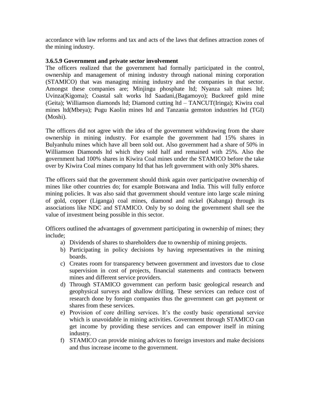accordance with law reforms and tax and acts of the laws that defines attraction zones of the mining industry.

### **3.6.5.9 Government and private sector involvement**

The officers realized that the government had formally participated in the control, ownership and management of mining industry through national mining corporation (STAMICO) that was managing mining industry and the companies in that sector. Amongst these companies are; Minjingu phosphate ltd; Nyanza salt mines ltd; Uvinza(Kigoma); Coastal salt works ltd Saadani,(Bagamoyo); Buckreef gold mine (Geita); Williamson diamonds ltd; Diamond cutting ltd – TANCUT(Iringa); Kiwira coal mines ltd(Mbeya); Pugu Kaolin mines ltd and Tanzania gemston industries ltd (TGI) (Moshi).

The officers did not agree with the idea of the government withdrawing from the share ownership in mining industry. For example the government had 15% shares in Bulyanhulu mines which have all been sold out. Also government had a share of 50% in Williamson Diamonds ltd which they sold half and remained with 25%. Also the government had 100% shares in Kiwira Coal mines under the STAMICO before the take over by Kiwira Coal mines company ltd that has left government with only 30% shares.

The officers said that the government should think again over participative ownership of mines like other countries do; for example Botswana and India. This will fully enforce mining policies. It was also said that government should venture into large scale mining of gold, copper (Liganga) coal mines, diamond and nickel (Kabanga) through its associations like NDC and STAMICO. Only by so doing the government shall see the value of investment being possible in this sector.

Officers outlined the advantages of government participating in ownership of mines; they include;

- a) Dividends of shares to shareholders due to ownership of mining projects.
- b) Participating in policy decisions by having representatives in the mining boards.
- c) Creates room for transparency between government and investors due to close supervision in cost of projects, financial statements and contracts between mines and different service providers.
- d) Through STAMICO government can perform basic geological research and geophysical surveys and shallow drilling. These services can reduce cost of research done by foreign companies thus the government can get payment or shares from these services.
- e) Provision of core drilling services. It's the costly basic operational service which is unavoidable in mining activities. Government through STAMICO can get income by providing these services and can empower itself in mining industry.
- f) STAMICO can provide mining advices to foreign investors and make decisions and thus increase income to the government.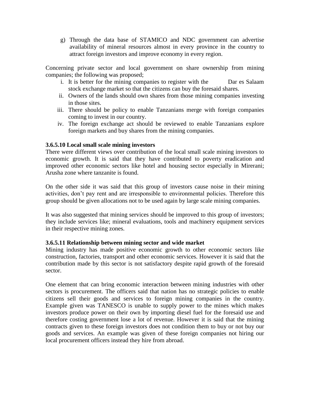g) Through the data base of STAMICO and NDC government can advertise availability of mineral resources almost in every province in the country to attract foreign investors and improve economy in every region.

Concerning private sector and local government on share ownership from mining companies; the following was proposed;

- i. It is better for the mining companies to register with the Dar es Salaam stock exchange market so that the citizens can buy the foresaid shares.
- ii. Owners of the lands should own shares from those mining companies investing in those sites.
- iii. There should be policy to enable Tanzanians merge with foreign companies coming to invest in our country.
- iv. The foreign exchange act should be reviewed to enable Tanzanians explore foreign markets and buy shares from the mining companies.

## **3.6.5.10 Local small scale mining investors**

There were different views over contribution of the local small scale mining investors to economic growth. It is said that they have contributed to poverty eradication and improved other economic sectors like hotel and housing sector especially in Mirerani; Arusha zone where tanzanite is found.

On the other side it was said that this group of investors cause noise in their mining activities, don"t pay rent and are irresponsible to environmental policies. Therefore this group should be given allocations not to be used again by large scale mining companies.

It was also suggested that mining services should be improved to this group of investors; they include services like; mineral evaluations, tools and machinery equipment services in their respective mining zones.

# **3.6.5.11 Relationship between mining sector and wide market**

Mining industry has made positive economic growth to other economic sectors like construction, factories, transport and other economic services. However it is said that the contribution made by this sector is not satisfactory despite rapid growth of the foresaid sector.

One element that can bring economic interaction between mining industries with other sectors is procurement. The officers said that nation has no strategic policies to enable citizens sell their goods and services to foreign mining companies in the country. Example given was TANESCO is unable to supply power to the mines which makes investors produce power on their own by importing diesel fuel for the foresaid use and therefore costing government lose a lot of revenue. However it is said that the mining contracts given to these foreign investors does not condition them to buy or not buy our goods and services. An example was given of these foreign companies not hiring our local procurement officers instead they hire from abroad.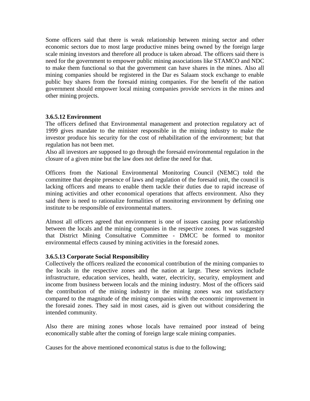Some officers said that there is weak relationship between mining sector and other economic sectors due to most large productive mines being owned by the foreign large scale mining investors and therefore all produce is taken abroad. The officers said there is need for the government to empower public mining associations like STAMCO and NDC to make them functional so that the government can have shares in the mines. Also all mining companies should be registered in the Dar es Salaam stock exchange to enable public buy shares from the foresaid mining companies. For the benefit of the nation government should empower local mining companies provide services in the mines and other mining projects.

## **3.6.5.12 Environment**

The officers defined that Environmental management and protection regulatory act of 1999 gives mandate to the minister responsible in the mining industry to make the investor produce his security for the cost of rehabilitation of the environment; but that regulation has not been met.

Also all investors are supposed to go through the foresaid environmental regulation in the closure of a given mine but the law does not define the need for that.

Officers from the National Environmental Monitoring Council (NEMC) told the committee that despite presence of laws and regulation of the foresaid unit, the council is lacking officers and means to enable them tackle their duties due to rapid increase of mining activities and other economical operations that affects environment. Also they said there is need to rationalize formalities of monitoring environment by defining one institute to be responsible of environmental matters.

Almost all officers agreed that environment is one of issues causing poor relationship between the locals and the mining companies in the respective zones. It was suggested that District Mining Consultative Committee - DMCC be formed to monitor environmental effects caused by mining activities in the foresaid zones.

### **3.6.5.13 Corporate Social Responsibility**

Collectively the officers realized the economical contribution of the mining companies to the locals in the respective zones and the nation at large. These services include infrastructure, education services, health, water, electricity, security, employment and income from business between locals and the mining industry. Most of the officers said the contribution of the mining industry in the mining zones was not satisfactory compared to the magnitude of the mining companies with the economic improvement in the foresaid zones. They said in most cases, aid is given out without considering the intended community.

Also there are mining zones whose locals have remained poor instead of being economically stable after the coming of foreign large scale mining companies.

Causes for the above mentioned economical status is due to the following;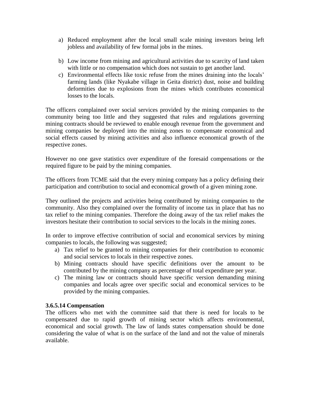- a) Reduced employment after the local small scale mining investors being left jobless and availability of few formal jobs in the mines.
- b) Low income from mining and agricultural activities due to scarcity of land taken with little or no compensation which does not sustain to get another land.
- c) Environmental effects like toxic refuse from the mines draining into the locals" farming lands (like Nyakabe village in Geita district) dust, noise and building deformities due to explosions from the mines which contributes economical losses to the locals.

The officers complained over social services provided by the mining companies to the community being too little and they suggested that rules and regulations governing mining contracts should be reviewed to enable enough revenue from the government and mining companies be deployed into the mining zones to compensate economical and social effects caused by mining activities and also influence economical growth of the respective zones.

However no one gave statistics over expenditure of the foresaid compensations or the required figure to be paid by the mining companies.

The officers from TCME said that the every mining company has a policy defining their participation and contribution to social and economical growth of a given mining zone.

They outlined the projects and activities being contributed by mining companies to the community. Also they complained over the formality of income tax in place that has no tax relief to the mining companies. Therefore the doing away of the tax relief makes the investors hesitate their contribution to social services to the locals in the mining zones.

In order to improve effective contribution of social and economical services by mining companies to locals, the following was suggested;

- a) Tax relief to be granted to mining companies for their contribution to economic and social services to locals in their respective zones.
- b) Mining contracts should have specific definitions over the amount to be contributed by the mining company as percentage of total expenditure per year.
- c) The mining law or contracts should have specific version demanding mining companies and locals agree over specific social and economical services to be provided by the mining companies.

# **3.6.5.14 Compensation**

The officers who met with the committee said that there is need for locals to be compensated due to rapid growth of mining sector which affects environmental, economical and social growth. The law of lands states compensation should be done considering the value of what is on the surface of the land and not the value of minerals available.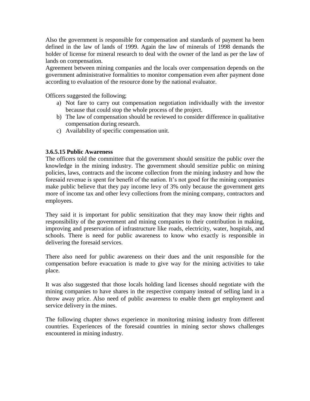Also the government is responsible for compensation and standards of payment ha been defined in the law of lands of 1999. Again the law of minerals of 1998 demands the holder of license for mineral research to deal with the owner of the land as per the law of lands on compensation.

Agreement between mining companies and the locals over compensation depends on the government administrative formalities to monitor compensation even after payment done according to evaluation of the resource done by the national evaluator.

Officers suggested the following;

- a) Not fare to carry out compensation negotiation individually with the investor because that could stop the whole process of the project.
- b) The law of compensation should be reviewed to consider difference in qualitative compensation during research.
- c) Availability of specific compensation unit.

## **3.6.5.15 Public Awareness**

The officers told the committee that the government should sensitize the public over the knowledge in the mining industry. The government should sensitize public on mining policies, laws, contracts and the income collection from the mining industry and how the foresaid revenue is spent for benefit of the nation. It's not good for the mining companies make public believe that they pay income levy of 3% only because the government gets more of income tax and other levy collections from the mining company, contractors and employees.

They said it is important for public sensitization that they may know their rights and responsibility of the government and mining companies to their contribution in making, improving and preservation of infrastructure like roads, electricity, water, hospitals, and schools. There is need for public awareness to know who exactly is responsible in delivering the foresaid services.

There also need for public awareness on their dues and the unit responsible for the compensation before evacuation is made to give way for the mining activities to take place.

It was also suggested that those locals holding land licenses should negotiate with the mining companies to have shares in the respective company instead of selling land in a throw away price. Also need of public awareness to enable them get employment and service delivery in the mines.

The following chapter shows experience in monitoring mining industry from different countries. Experiences of the foresaid countries in mining sector shows challenges encountered in mining industry.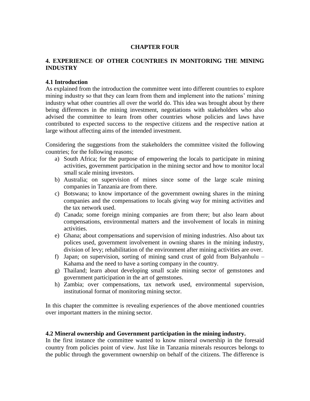# **CHAPTER FOUR**

# **4. EXPERIENCE OF OTHER COUNTRIES IN MONITORING THE MINING INDUSTRY**

### **4.1 Introduction**

As explained from the introduction the committee went into different countries to explore mining industry so that they can learn from them and implement into the nations' mining industry what other countries all over the world do. This idea was brought about by there being differences in the mining investment, negotiations with stakeholders who also advised the committee to learn from other countries whose policies and laws have contributed to expected success to the respective citizens and the respective nation at large without affecting aims of the intended investment.

Considering the suggestions from the stakeholders the committee visited the following countries; for the following reasons;

- a) South Africa; for the purpose of empowering the locals to participate in mining activities, government participation in the mining sector and how to monitor local small scale mining investors.
- b) Australia; on supervision of mines since some of the large scale mining companies in Tanzania are from there.
- c) Botswana; to know importance of the government owning shares in the mining companies and the compensations to locals giving way for mining activities and the tax network used.
- d) Canada; some foreign mining companies are from there; but also learn about compensations, environmental matters and the involvement of locals in mining activities.
- e) Ghana; about compensations and supervision of mining industries. Also about tax polices used, government involvement in owning shares in the mining industry, division of levy; rehabilitation of the environment after mining activities are over.
- f) Japan; on supervision, sorting of mining sand crust of gold from Bulyanhulu Kahama and the need to have a sorting company in the country.
- g) Thailand; learn about developing small scale mining sector of gemstones and government participation in the art of gemstones.
- h) Zambia; over compensations, tax network used, environmental supervision, institutional format of monitoring mining sector.

In this chapter the committee is revealing experiences of the above mentioned countries over important matters in the mining sector.

### **4.2 Mineral ownership and Government participation in the mining industry.**

In the first instance the committee wanted to know mineral ownership in the foresaid country from policies point of view. Just like in Tanzania minerals resources belongs to the public through the government ownership on behalf of the citizens. The difference is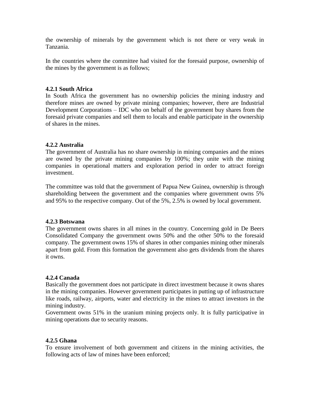the ownership of minerals by the government which is not there or very weak in Tanzania.

In the countries where the committee had visited for the foresaid purpose, ownership of the mines by the government is as follows;

### **4.2.1 South Africa**

In South Africa the government has no ownership policies the mining industry and therefore mines are owned by private mining companies; however, there are Industrial Development Corporations – IDC who on behalf of the government buy shares from the foresaid private companies and sell them to locals and enable participate in the ownership of shares in the mines.

#### **4.2.2 Australia**

The government of Australia has no share ownership in mining companies and the mines are owned by the private mining companies by 100%; they unite with the mining companies in operational matters and exploration period in order to attract foreign investment.

The committee was told that the government of Papua New Guinea, ownership is through shareholding between the government and the companies where government owns 5% and 95% to the respective company. Out of the 5%, 2.5% is owned by local government.

#### **4.2.3 Botswana**

The government owns shares in all mines in the country. Concerning gold in De Beers Consolidated Company the government owns 50% and the other 50% to the foresaid company. The government owns 15% of shares in other companies mining other minerals apart from gold. From this formation the government also gets dividends from the shares it owns.

### **4.2.4 Canada**

Basically the government does not participate in direct investment because it owns shares in the mining companies. However government participates in putting up of infrastructure like roads, railway, airports, water and electricity in the mines to attract investors in the mining industry.

Government owns 51% in the uranium mining projects only. It is fully participative in mining operations due to security reasons.

### **4.2.5 Ghana**

To ensure involvement of both government and citizens in the mining activities, the following acts of law of mines have been enforced;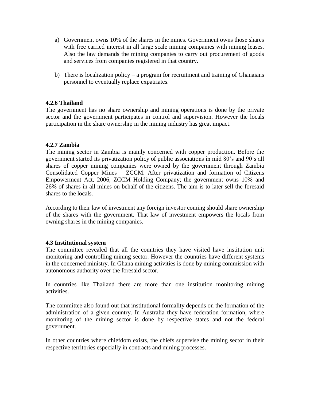- a) Government owns 10% of the shares in the mines. Government owns those shares with free carried interest in all large scale mining companies with mining leases. Also the law demands the mining companies to carry out procurement of goods and services from companies registered in that country.
- b) There is localization policy a program for recruitment and training of Ghanaians personnel to eventually replace expatriates.

# **4.2.6 Thailand**

The government has no share ownership and mining operations is done by the private sector and the government participates in control and supervision. However the locals participation in the share ownership in the mining industry has great impact.

## **4.2.7 Zambia**

The mining sector in Zambia is mainly concerned with copper production. Before the government started its privatization policy of public associations in mid 80"s and 90"s all shares of copper mining companies were owned by the government through Zambia Consolidated Copper Mines – ZCCM. After privatization and formation of Citizens Empowerment Act, 2006, ZCCM Holding Company; the government owns 10% and 26% of shares in all mines on behalf of the citizens. The aim is to later sell the foresaid shares to the locals.

According to their law of investment any foreign investor coming should share ownership of the shares with the government. That law of investment empowers the locals from owning shares in the mining companies.

### **4.3 Institutional system**

The committee revealed that all the countries they have visited have institution unit monitoring and controlling mining sector. However the countries have different systems in the concerned ministry. In Ghana mining activities is done by mining commission with autonomous authority over the foresaid sector.

In countries like Thailand there are more than one institution monitoring mining activities.

The committee also found out that institutional formality depends on the formation of the administration of a given country. In Australia they have federation formation, where monitoring of the mining sector is done by respective states and not the federal government.

In other countries where chiefdom exists, the chiefs supervise the mining sector in their respective territories especially in contracts and mining processes.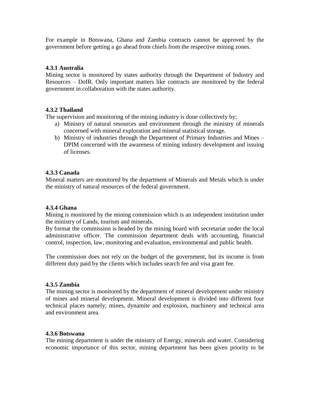For example in Botswana, Ghana and Zambia contracts cannot be approved by the government before getting a go ahead from chiefs from the respective mining zones.

# **4.3.1 Australia**

Mining sector is monitored by states authority through the Department of Industry and Resources – DoIR. Only important matters like contracts are monitored by the federal government in collaboration with the states authority.

### **4.3.2 Thailand**

The supervision and monitoring of the mining industry is done collectively by;

- a) Ministry of natural resources and environment through the ministry of minerals concerned with mineral exploration and mineral statistical storage.
- b) Ministry of industries through the Department of Primary Industries and Mines DPIM concerned with the awareness of mining industry development and issuing of licenses.

### **4.3.3 Canada**

Mineral matters are monitored by the department of Minerals and Metals which is under the ministry of natural resources of the federal government.

### **4.3.4 Ghana**

Mining is monitored by the mining commission which is an independent institution under the ministry of Lands, tourism and minerals.

By format the commission is headed by the mining board with secretariat under the local administrative officer. The commission department deals with accounting, financial control, inspection, law, monitoring and evaluation, environmental and public health.

The commission does not rely on the budget of the government, but its income is from different duty paid by the clients which includes search fee and visa grant fee.

### **4.3.5 Zambia**

The mining sector is monitored by the department of mineral development under ministry of mines and mineral development. Mineral development is divided into different four technical places namely; mines, dynamite and explosion, machinery and technical area and environment area.

### **4.3.6 Botswana**

The mining department is under the ministry of Energy, minerals and water. Considering economic importance of this sector, mining department has been given priority to be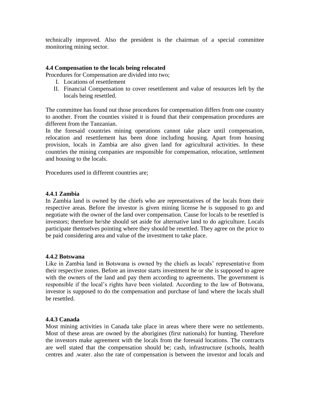technically improved. Also the president is the chairman of a special committee monitoring mining sector.

### **4.4 Compensation to the locals being relocated**

Procedures for Compensation are divided into two;

- I. Locations of resettlement
- II. Financial Compensation to cover resettlement and value of resources left by the locals being resettled.

The committee has found out those procedures for compensation differs from one country to another. From the counties visited it is found that their compensation procedures are different from the Tanzanian.

In the foresaid countries mining operations cannot take place until compensation, relocation and resettlement has been done including housing. Apart from housing provision, locals in Zambia are also given land for agricultural activities. In these countries the mining companies are responsible for compensation, relocation, settlement and housing to the locals.

Procedures used in different countries are;

#### **4.4.1 Zambia**

In Zambia land is owned by the chiefs who are representatives of the locals from their respective areas. Before the investor is given mining license he is supposed to go and negotiate with the owner of the land over compensation. Cause for locals to be resettled is investors; therefore he/she should set aside for alternative land to do agriculture. Locals participate themselves pointing where they should be resettled. They agree on the price to be paid considering area and value of the investment to take place.

### **4.4.2 Botswana**

Like in Zambia land in Botswana is owned by the chiefs as locals" representative from their respective zones. Before an investor starts investment he or she is supposed to agree with the owners of the land and pay them according to agreements. The government is responsible if the local"s rights have been violated. According to the law of Botswana, investor is supposed to do the compensation and purchase of land where the locals shall be resettled.

### **4.4.3 Canada**

Most mining activities in Canada take place in areas where there were no settlements. Most of these areas are owned by the aborigines (first nationals) for hunting. Therefore the investors make agreement with the locals from the foresaid locations. The contracts are well stated that the compensation should be; cash, infrastructure (schools, health centres and .water. also the rate of compensation is between the investor and locals and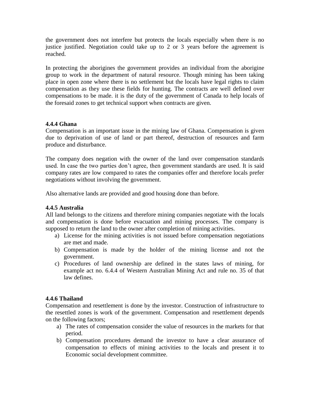the government does not interfere but protects the locals especially when there is no justice justified. Negotiation could take up to 2 or 3 years before the agreement is reached.

In protecting the aborigines the government provides an individual from the aborigine group to work in the department of natural resource. Though mining has been taking place in open zone where there is no settlement but the locals have legal rights to claim compensation as they use these fields for hunting. The contracts are well defined over compensations to be made. it is the duty of the government of Canada to help locals of the foresaid zones to get technical support when contracts are given.

# **4.4.4 Ghana**

Compensation is an important issue in the mining law of Ghana. Compensation is given due to deprivation of use of land or part thereof, destruction of resources and farm produce and disturbance.

The company does negation with the owner of the land over compensation standards used. In case the two parties don"t agree, then government standards are used. It is said company rates are low compared to rates the companies offer and therefore locals prefer negotiations without involving the government.

Also alternative lands are provided and good housing done than before.

# **4.4.5 Australia**

All land belongs to the citizens and therefore mining companies negotiate with the locals and compensation is done before evacuation and mining processes. The company is supposed to return the land to the owner after completion of mining activities.

- a) License for the mining activities is not issued before compensation negotiations are met and made.
- b) Compensation is made by the holder of the mining license and not the government.
- c) Procedures of land ownership are defined in the states laws of mining, for example act no. 6.4.4 of Western Australian Mining Act and rule no. 35 of that law defines.

# **4.4.6 Thailand**

Compensation and resettlement is done by the investor. Construction of infrastructure to the resettled zones is work of the government. Compensation and resettlement depends on the following factors;

- a) The rates of compensation consider the value of resources in the markets for that period.
- b) Compensation procedures demand the investor to have a clear assurance of compensation to effects of mining activities to the locals and present it to Economic social development committee.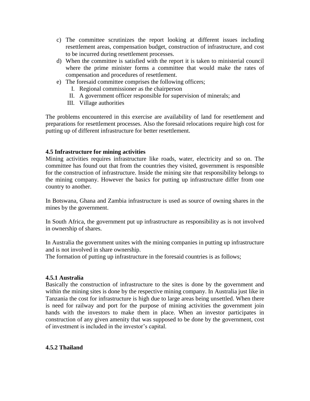- c) The committee scrutinizes the report looking at different issues including resettlement areas, compensation budget, construction of infrastructure, and cost to be incurred during resettlement processes.
- d) When the committee is satisfied with the report it is taken to ministerial council where the prime minister forms a committee that would make the rates of compensation and procedures of resettlement.
- e) The foresaid committee comprises the following officers;
	- I. Regional commissioner as the chairperson
	- II. A government officer responsible for supervision of minerals; and
	- III. Village authorities

The problems encountered in this exercise are availability of land for resettlement and preparations for resettlement processes. Also the foresaid relocations require high cost for putting up of different infrastructure for better resettlement.

## **4.5 Infrastructure for mining activities**

Mining activities requires infrastructure like roads, water, electricity and so on. The committee has found out that from the countries they visited, government is responsible for the construction of infrastructure. Inside the mining site that responsibility belongs to the mining company. However the basics for putting up infrastructure differ from one country to another.

In Botswana, Ghana and Zambia infrastructure is used as source of owning shares in the mines by the government.

In South Africa, the government put up infrastructure as responsibility as is not involved in ownership of shares.

In Australia the government unites with the mining companies in putting up infrastructure and is not involved in share ownership.

The formation of putting up infrastructure in the foresaid countries is as follows;

### **4.5.1 Australia**

Basically the construction of infrastructure to the sites is done by the government and within the mining sites is done by the respective mining company. In Australia just like in Tanzania the cost for infrastructure is high due to large areas being unsettled. When there is need for railway and port for the purpose of mining activities the government join hands with the investors to make them in place. When an investor participates in construction of any given amenity that was supposed to be done by the government, cost of investment is included in the investor"s capital.

### **4.5.2 Thailand**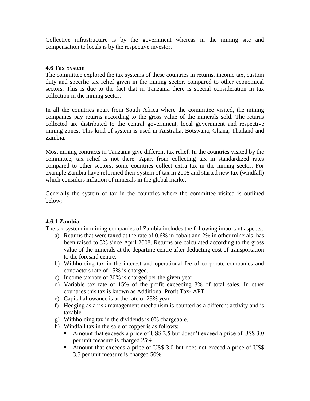Collective infrastructure is by the government whereas in the mining site and compensation to locals is by the respective investor.

# **4.6 Tax System**

The committee explored the tax systems of these countries in returns, income tax, custom duty and specific tax relief given in the mining sector, compared to other economical sectors. This is due to the fact that in Tanzania there is special consideration in tax collection in the mining sector.

In all the countries apart from South Africa where the committee visited, the mining companies pay returns according to the gross value of the minerals sold. The returns collected are distributed to the central government, local government and respective mining zones. This kind of system is used in Australia, Botswana, Ghana, Thailand and Zambia.

Most mining contracts in Tanzania give different tax relief. In the countries visited by the committee, tax relief is not there. Apart from collecting tax in standardized rates compared to other sectors, some countries collect extra tax in the mining sector. For example Zambia have reformed their system of tax in 2008 and started new tax (windfall) which considers inflation of minerals in the global market.

Generally the system of tax in the countries where the committee visited is outlined below;

# **4.6.1 Zambia**

The tax system in mining companies of Zambia includes the following important aspects;

- a) Returns that were taxed at the rate of 0.6% in cobalt and 2% in other minerals, has been raised to 3% since April 2008. Returns are calculated according to the gross value of the minerals at the departure centre after deducting cost of transportation to the foresaid centre.
- b) Withholding tax in the interest and operational fee of corporate companies and contractors rate of 15% is charged.
- c) Income tax rate of 30% is charged per the given year.
- d) Variable tax rate of 15% of the profit exceeding 8% of total sales. In other countries this tax is known as Additional Profit Tax- APT
- e) Capital allowance is at the rate of 25% year.
- f) Hedging as a risk management mechanism is counted as a different activity and is taxable.
- g) Withholding tax in the dividends is 0% chargeable.
- h) Windfall tax in the sale of copper is as follows;
	- Amount that exceeds a price of US\$ 2.5 but doesn't exceed a price of US\$ 3.0 per unit measure is charged 25%
	- Amount that exceeds a price of US\$ 3.0 but does not exceed a price of US\$ 3.5 per unit measure is charged 50%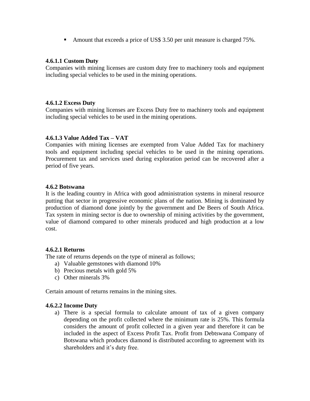Amount that exceeds a price of US\$ 3.50 per unit measure is charged 75%.

#### **4.6.1.1 Custom Duty**

Companies with mining licenses are custom duty free to machinery tools and equipment including special vehicles to be used in the mining operations.

### **4.6.1.2 Excess Duty**

Companies with mining licenses are Excess Duty free to machinery tools and equipment including special vehicles to be used in the mining operations.

## **4.6.1.3 Value Added Tax – VAT**

Companies with mining licenses are exempted from Value Added Tax for machinery tools and equipment including special vehicles to be used in the mining operations. Procurement tax and services used during exploration period can be recovered after a period of five years.

## **4.6.2 Botswana**

It is the leading country in Africa with good administration systems in mineral resource putting that sector in progressive economic plans of the nation. Mining is dominated by production of diamond done jointly by the government and De Beers of South Africa. Tax system in mining sector is due to ownership of mining activities by the government, value of diamond compared to other minerals produced and high production at a low cost.

### **4.6.2.1 Returns**

The rate of returns depends on the type of mineral as follows;

- a) Valuable gemstones with diamond 10%
- b) Precious metals with gold 5%
- c) Other minerals 3%

Certain amount of returns remains in the mining sites.

### **4.6.2.2 Income Duty**

a) There is a special formula to calculate amount of tax of a given company depending on the profit collected where the minimum rate is 25%. This formula considers the amount of profit collected in a given year and therefore it can be included in the aspect of Excess Profit Tax. Profit from Debtswana Company of Botswana which produces diamond is distributed according to agreement with its shareholders and it's duty free.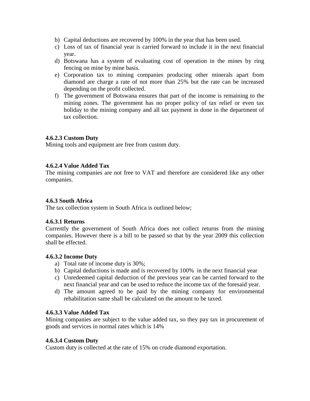- b) Capital deductions are recovered by 100% in the year that has been used.
- c) Loss of tax of financial year is carried forward to include it in the next financial year.
- d) Botswana has a system of evaluating cost of operation in the mines by ring fencing on mine by mine basis.
- e) Corporation tax to mining companies producing other minerals apart from diamond are charge a rate of not more than 25% but the rate can be increased depending on the profit collected.
- f) The government of Botswana ensures that part of the income is remaining to the mining zones. The government has no proper policy of tax relief or even tax holiday to the mining company and all tax payment in done in the department of tax collection.

## **4.6.2.3 Custom Duty**

Mining tools and equipment are free from custom duty.

# **4.6.2.4 Value Added Tax**

The mining companies are not free to VAT and therefore are considered like any other companies.

# **4.6.3 South Africa**

The tax collection system in South Africa is outlined below;

### **4.6.3.1 Returns**

Currently the government of South Africa does not collect returns from the mining companies. However there is a bill to be passed so that by the year 2009 this collection shall be effected.

# **4.6.3.2 Income Duty**

- a) Total rate of income duty is 30%;
- b) Capital deductions is made and is recovered by 100% in the next financial year
- c) Unredeemed capital deduction of the previous year can be carried forward to the next financial year and can be used to reduce the income tax of the foresaid year.
- d) The amount agreed to be paid by the mining company for environmental rehabilitation same shall be calculated on the amount to be taxed.

### **4.6.3.3 Value Added Tax**

Mining companies are subject to the value added tax, so they pay tax in procurement of goods and services in normal rates which is 14%

### **4.6.3.4 Custom Duty**

Custom duty is collected at the rate of 15% on crude diamond exportation.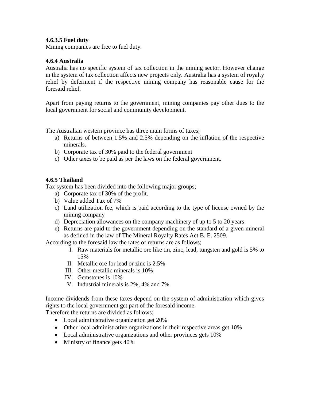### **4.6.3.5 Fuel duty**

Mining companies are free to fuel duty.

### **4.6.4 Australia**

Australia has no specific system of tax collection in the mining sector. However change in the system of tax collection affects new projects only. Australia has a system of royalty relief by deferment if the respective mining company has reasonable cause for the foresaid relief.

Apart from paying returns to the government, mining companies pay other dues to the local government for social and community development.

The Australian western province has three main forms of taxes;

- a) Returns of between 1.5% and 2.5% depending on the inflation of the respective minerals.
- b) Corporate tax of 30% paid to the federal government
- c) Other taxes to be paid as per the laws on the federal government.

## **4.6.5 Thailand**

Tax system has been divided into the following major groups;

- a) Corporate tax of 30% of the profit.
- b) Value added Tax of 7%
- c) Land utilization fee, which is paid according to the type of license owned by the mining company
- d) Depreciation allowances on the company machinery of up to 5 to 20 years
- e) Returns are paid to the government depending on the standard of a given mineral as defined in the law of The Mineral Royalty Rates Act B. E. 2509.

According to the foresaid law the rates of returns are as follows;

- I. Raw materials for metallic ore like tin, zinc, lead, tungsten and gold is 5% to 15%
- II. Metallic ore for lead or zinc is 2.5%
- III. Other metallic minerals is 10%
- IV. Gemstones is 10%
- V. Industrial minerals is 2%, 4% and 7%

Income dividends from these taxes depend on the system of administration which gives rights to the local government get part of the foresaid income.

Therefore the returns are divided as follows;

- Local administrative organization get 20%
- Other local administrative organizations in their respective areas get 10%
- Local administrative organizations and other provinces gets 10%
- Ministry of finance gets  $40\%$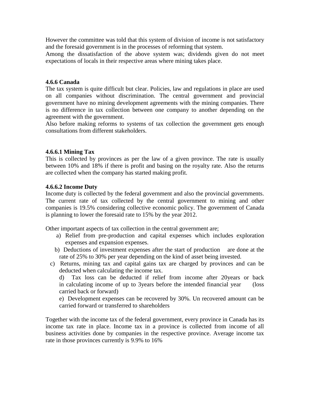However the committee was told that this system of division of income is not satisfactory and the foresaid government is in the processes of reforming that system.

Among the dissatisfaction of the above system was; dividends given do not meet expectations of locals in their respective areas where mining takes place.

### **4.6.6 Canada**

The tax system is quite difficult but clear. Policies, law and regulations in place are used on all companies without discrimination. The central government and provincial government have no mining development agreements with the mining companies. There is no difference in tax collection between one company to another depending on the agreement with the government.

Also before making reforms to systems of tax collection the government gets enough consultations from different stakeholders.

### **4.6.6.1 Mining Tax**

This is collected by provinces as per the law of a given province. The rate is usually between 10% and 18% if there is profit and basing on the royalty rate. Also the returns are collected when the company has started making profit.

### **4.6.6.2 Income Duty**

Income duty is collected by the federal government and also the provincial governments. The current rate of tax collected by the central government to mining and other companies is 19.5% considering collective economic policy. The government of Canada is planning to lower the foresaid rate to 15% by the year 2012.

Other important aspects of tax collection in the central government are;

- a) Relief from pre-production and capital expenses which includes exploration expenses and expansion expenses.
- b) Deductions of investment expenses after the start of production are done at the rate of 25% to 30% per year depending on the kind of asset being invested.
- c) Returns, mining tax and capital gains tax are charged by provinces and can be deducted when calculating the income tax.

d) Tax loss can be deducted if relief from income after 20years or back in calculating income of up to 3years before the intended financial year (loss carried back or forward)

e) Development expenses can be recovered by 30%. Un recovered amount can be carried forward or transferred to shareholders

Together with the income tax of the federal government, every province in Canada has its income tax rate in place. Income tax in a province is collected from income of all business activities done by companies in the respective province. Average income tax rate in those provinces currently is 9.9% to 16%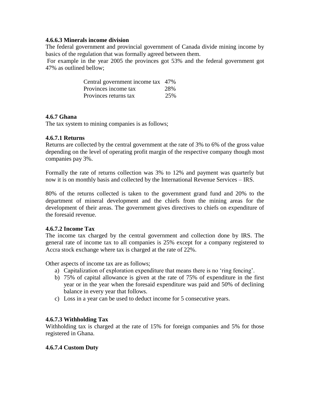### **4.6.6.3 Minerals income division**

The federal government and provincial government of Canada divide mining income by basics of the regulation that was formally agreed between them.

For example in the year 2005 the provinces got 53% and the federal government got 47% as outlined bellow;

| Central government income tax 47% |     |
|-----------------------------------|-----|
| Provinces income tax              | 28% |
| Provinces returns tax             | 25% |

### **4.6.7 Ghana**

The tax system to mining companies is as follows;

### **4.6.7.1 Returns**

Returns are collected by the central government at the rate of 3% to 6% of the gross value depending on the level of operating profit margin of the respective company though most companies pay 3%.

Formally the rate of returns collection was 3% to 12% and payment was quarterly but now it is on monthly basis and collected by the International Revenue Services – IRS.

80% of the returns collected is taken to the government grand fund and 20% to the department of mineral development and the chiefs from the mining areas for the development of their areas. The government gives directives to chiefs on expenditure of the foresaid revenue.

### **4.6.7.2 Income Tax**

The income tax charged by the central government and collection done by IRS. The general rate of income tax to all companies is 25% except for a company registered to Accra stock exchange where tax is charged at the rate of 22%.

Other aspects of income tax are as follows;

- a) Capitalization of exploration expenditure that means there is no "ring fencing".
- b) 75% of capital allowance is given at the rate of 75% of expenditure in the first year or in the year when the foresaid expenditure was paid and 50% of declining balance in every year that follows.
- c) Loss in a year can be used to deduct income for 5 consecutive years.

### **4.6.7.3 Withholding Tax**

Withholding tax is charged at the rate of 15% for foreign companies and 5% for those registered in Ghana.

### **4.6.7.4 Custom Duty**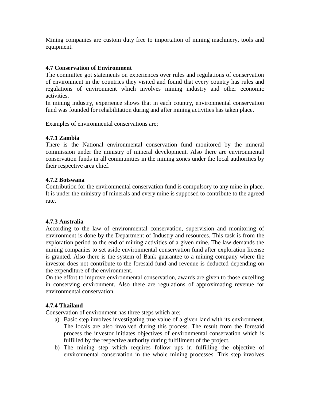Mining companies are custom duty free to importation of mining machinery, tools and equipment.

## **4.7 Conservation of Environment**

The committee got statements on experiences over rules and regulations of conservation of environment in the countries they visited and found that every country has rules and regulations of environment which involves mining industry and other economic activities.

In mining industry, experience shows that in each country, environmental conservation fund was founded for rehabilitation during and after mining activities has taken place.

Examples of environmental conservations are;

### **4.7.1 Zambia**

There is the National environmental conservation fund monitored by the mineral commission under the ministry of mineral development. Also there are environmental conservation funds in all communities in the mining zones under the local authorities by their respective area chief.

### **4.7.2 Botswana**

Contribution for the environmental conservation fund is compulsory to any mine in place. It is under the ministry of minerals and every mine is supposed to contribute to the agreed rate.

### **4.7.3 Australia**

According to the law of environmental conservation, supervision and monitoring of environment is done by the Department of Industry and resources. This task is from the exploration period to the end of mining activities of a given mine. The law demands the mining companies to set aside environmental conservation fund after exploration license is granted. Also there is the system of Bank guarantee to a mining company where the investor does not contribute to the foresaid fund and revenue is deducted depending on the expenditure of the environment.

On the effort to improve environmental conservation, awards are given to those excelling in conserving environment. Also there are regulations of approximating revenue for environmental conservation.

# **4.7.4 Thailand**

Conservation of environment has three steps which are;

- a) Basic step involves investigating true value of a given land with its environment. The locals are also involved during this process. The result from the foresaid process the investor initiates objectives of environmental conservation which is fulfilled by the respective authority during fulfillment of the project.
- b) The mining step which requires follow ups in fulfilling the objective of environmental conservation in the whole mining processes. This step involves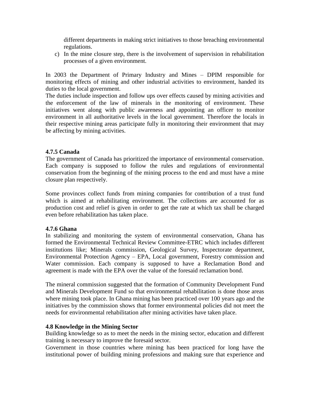different departments in making strict initiatives to those breaching environmental regulations.

c) In the mine closure step, there is the involvement of supervision in rehabilitation processes of a given environment.

In 2003 the Department of Primary Industry and Mines – DPIM responsible for monitoring effects of mining and other industrial activities to environment, handed its duties to the local government.

The duties include inspection and follow ups over effects caused by mining activities and the enforcement of the law of minerals in the monitoring of environment. These initiatives went along with public awareness and appointing an officer to monitor environment in all authoritative levels in the local government. Therefore the locals in their respective mining areas participate fully in monitoring their environment that may be affecting by mining activities.

### **4.7.5 Canada**

The government of Canada has prioritized the importance of environmental conservation. Each company is supposed to follow the rules and regulations of environmental conservation from the beginning of the mining process to the end and must have a mine closure plan respectively.

Some provinces collect funds from mining companies for contribution of a trust fund which is aimed at rehabilitating environment. The collections are accounted for as production cost and relief is given in order to get the rate at which tax shall be charged even before rehabilitation has taken place.

### **4.7.6 Ghana**

In stabilizing and monitoring the system of environmental conservation, Ghana has formed the Environmental Technical Review Committee-ETRC which includes different institutions like; Minerals commission, Geological Survey, Inspectorate department, Environmental Protection Agency – EPA, Local government, Forestry commission and Water commission. Each company is supposed to have a Reclamation Bond and agreement is made with the EPA over the value of the foresaid reclamation bond.

The mineral commission suggested that the formation of Community Development Fund and Minerals Development Fund so that environmental rehabilitation is done those areas where mining took place. In Ghana mining has been practiced over 100 years ago and the initiatives by the commission shows that former environmental policies did not meet the needs for environmental rehabilitation after mining activities have taken place.

### **4.8 Knowledge in the Mining Sector**

Building knowledge so as to meet the needs in the mining sector, education and different training is necessary to improve the foresaid sector.

Government in those countries where mining has been practiced for long have the institutional power of building mining professions and making sure that experience and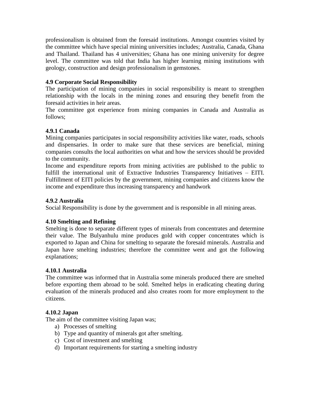professionalism is obtained from the foresaid institutions. Amongst countries visited by the committee which have special mining universities includes; Australia, Canada, Ghana and Thailand. Thailand has 4 universities; Ghana has one mining university for degree level. The committee was told that India has higher learning mining institutions with geology, construction and design professionalism in gemstones.

### **4.9 Corporate Social Responsibility**

The participation of mining companies in social responsibility is meant to strengthen relationship with the locals in the mining zones and ensuring they benefit from the foresaid activities in heir areas.

The committee got experience from mining companies in Canada and Australia as follows;

### **4.9.1 Canada**

Mining companies participates in social responsibility activities like water, roads, schools and dispensaries. In order to make sure that these services are beneficial, mining companies consults the local authorities on what and how the services should be provided to the community.

Income and expenditure reports from mining activities are published to the public to fulfill the international unit of Extractive Industries Transparency Initiatives – EITI. Fulfillment of EITI policies by the government, mining companies and citizens know the income and expenditure thus increasing transparency and handwork

### **4.9.2 Australia**

Social Responsibility is done by the government and is responsible in all mining areas.

### **4.10 Smelting and Refining**

Smelting is done to separate different types of minerals from concentrates and determine their value. The Bulyanhulu mine produces gold with copper concentrates which is exported to Japan and China for smelting to separate the foresaid minerals. Australia and Japan have smelting industries; therefore the committee went and got the following explanations;

### **4.10.1 Australia**

The committee was informed that in Australia some minerals produced there are smelted before exporting them abroad to be sold. Smelted helps in eradicating cheating during evaluation of the minerals produced and also creates room for more employment to the citizens.

### **4.10.2 Japan**

The aim of the committee visiting Japan was;

- a) Processes of smelting
- b) Type and quantity of minerals got after smelting.
- c) Cost of investment and smelting
- d) Important requirements for starting a smelting industry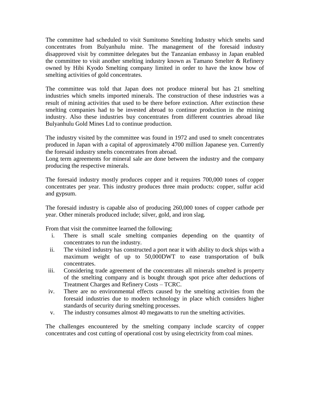The committee had scheduled to visit Sumitomo Smelting Industry which smelts sand concentrates from Bulyanhulu mine. The management of the foresaid industry disapproved visit by committee delegates but the Tanzanian embassy in Japan enabled the committee to visit another smelting industry known as Tamano Smelter & Refinery owned by Hibi Kyodo Smelting company limited in order to have the know how of smelting activities of gold concentrates.

The committee was told that Japan does not produce mineral but has 21 smelting industries which smelts imported minerals. The construction of these industries was a result of mining activities that used to be there before extinction. After extinction these smelting companies had to be invested abroad to continue production in the mining industry. Also these industries buy concentrates from different countries abroad like Bulyanhulu Gold Mines Ltd to continue production.

The industry visited by the committee was found in 1972 and used to smelt concentrates produced in Japan with a capital of approximately 4700 million Japanese yen. Currently the foresaid industry smelts concentrates from abroad.

Long term agreements for mineral sale are done between the industry and the company producing the respective minerals.

The foresaid industry mostly produces copper and it requires 700,000 tones of copper concentrates per year. This industry produces three main products: copper, sulfur acid and gypsum.

The foresaid industry is capable also of producing 260,000 tones of copper cathode per year. Other minerals produced include; silver, gold, and iron slag.

From that visit the committee learned the following;

- i. There is small scale smelting companies depending on the quantity of concentrates to run the industry.
- ii. The visited industry has constructed a port near it with ability to dock ships with a maximum weight of up to 50,000DWT to ease transportation of bulk concentrates.
- iii. Considering trade agreement of the concentrates all minerals smelted is property of the smelting company and is bought through spot price after deductions of Treatment Charges and Refinery Costs – TCRC.
- iv. There are no environmental effects caused by the smelting activities from the foresaid industries due to modern technology in place which considers higher standards of security during smelting processes.
- v. The industry consumes almost 40 megawatts to run the smelting activities.

The challenges encountered by the smelting company include scarcity of copper concentrates and cost cutting of operational cost by using electricity from coal mines.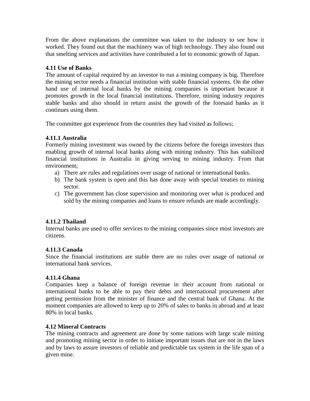From the above explanations the committee was taken to the industry to see how it worked. They found out that the machinery was of high technology. They also found out that smelting services and activities have contributed a lot to economic growth of Japan.

# **4.11 Use of Banks**

The amount of capital required by an investor to run a mining company is big. Therefore the mining sector needs a financial institution with stable financial systems. On the other hand use of internal local banks by the mining companies is important because it promotes growth in the local financial institutions. Therefore, mining industry requires stable banks and also should in return assist the growth of the foresaid banks as it continues using them.

The committee got experience from the countries they had visited as follows;

# **4.11.1 Australia**

Formerly mining investment was owned by the citizens before the foreign investors thus enabling growth of internal local banks along with mining industry. This has stabilized financial institutions in Australia in giving serving to mining industry. From that environment;

- a) There are rules and regulations over usage of national or international banks.
- b) The bank system is open and this has done away with special treaties to mining sector.
- c) The government has close supervision and monitoring over what is produced and sold by the mining companies and loans to ensure refunds are made accordingly.

# **4.11.2 Thailand**

Internal banks are used to offer services to the mining companies since most investors are citizens.

# **4.11.3 Canada**

Since the financial institutions are stable there are no rules over usage of national or international bank services.

# **4.11.4 Ghana**

Companies keep a balance of foreign revenue in their account from national or international banks to be able to pay their debts and international procurement after getting permission from the minister of finance and the central bank of Ghana. At the moment companies are allowed to keep up to 20% of sales to banks in abroad and at least 80% in local banks.

# **4.12 Mineral Contracts**

The mining contracts and agreement are done by some nations with large scale mining and promoting mining sector in order to initiate important issues that are not in the laws and by laws to assure investors of reliable and predictable tax system in the life span of a given mine.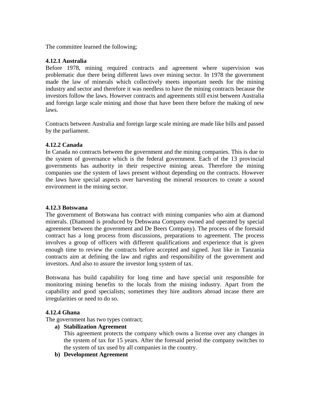The committee learned the following;

### **4.12.1 Australia**

Before 1978, mining required contracts and agreement where supervision was problematic due there being different laws over mining sector. In 1978 the government made the law of minerals which collectively meets important needs for the mining industry and sector and therefore it was needless to have the mining contracts because the investors follow the laws. However contracts and agreements still exist between Australia and foreign large scale mining and those that have been there before the making of new laws.

Contracts between Australia and foreign large scale mining are made like bills and passed by the parliament.

# **4.12.2 Canada**

In Canada no contracts between the government and the mining companies. This is due to the system of governance which is the federal government. Each of the 13 provincial governments has authority in their respective mining areas. Therefore the mining companies use the system of laws present without depending on the contracts. However the laws have special aspects over harvesting the mineral resources to create a sound environment in the mining sector.

# **4.12.3 Botswana**

The government of Botswana has contract with mining companies who aim at diamond minerals. (Diamond is produced by Debswana Company owned and operated by special agreement between the government and De Beers Company). The process of the foresaid contract has a long process from discussions, preparations to agreement. The process involves a group of officers with different qualifications and experience that is given enough time to review the contracts before accepted and signed. Just like in Tanzania contracts aim at defining the law and rights and responsibility of the government and investors. And also to assure the investor long system of tax.

Botswana has build capability for long time and have special unit responsible for monitoring mining benefits to the locals from the mining industry. Apart from the capability and good specialists; sometimes they hire auditors abroad incase there are irregularities or need to do so.

# **4.12.4 Ghana**

The government has two types contract;

**a) Stabilization Agreement**

This agreement protects the company which owns a license over any changes in the system of tax for 15 years. After the foresaid period the company switches to the system of tax used by all companies in the country.

**b) Development Agreement**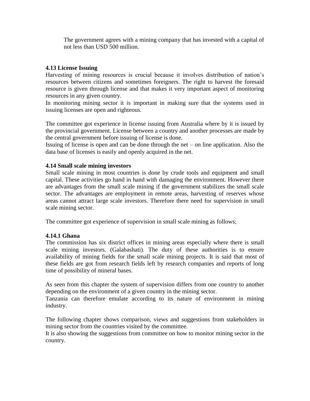The government agrees with a mining company that has invested with a capital of not less than USD 500 million.

### **4.13 License Issuing**

Harvesting of mining resources is crucial because it involves distribution of nation"s resources between citizens and sometimes foreigners. The right to harvest the foresaid resource is given through license and that makes it very important aspect of monitoring resources in any given country.

In monitoring mining sector it is important in making sure that the systems used in issuing licenses are open and righteous.

The committee got experience in license issuing from Australia where by it is issued by the provincial government. License between a country and another processes are made by the central government before issuing of license is done.

Issuing of license is open and can be done through the net – on line application. Also the data base of licenses is easily and openly acquired in the net.

### **4.14 Small scale mining investors**

Small scale mining in most countries is done by crude tools and equipment and small capital. These activities go hand in hand with damaging the environment. However there are advantages from the small scale mining if the government stabilizes the small scale sector. The advantages are employment in remote areas, harvesting of reserves whose areas cannot attract large scale investors. Therefore there need for supervision in small scale mining sector.

The committee got experience of supervision in small scale mining as follows;

### **4.14.1 Ghana**

The commission has six district offices in mining areas especially where there is small scale mining investors. (Galabashati). The duty of these authorities is to ensure availability of mining fields for the small scale mining projects. It is said that most of these fields are got from research fields left by research companies and reports of long time of possibility of mineral bases.

As seen from this chapter the system of supervision differs from one country to another depending on the environment of a given country in the mining sector.

Tanzania can therefore emulate according to its nature of environment in mining industry.

The following chapter shows comparison, views and suggestions from stakeholders in mining sector from the countries visited by the committee.

It is also showing the suggestions from committee on how to monitor mining sector in the country.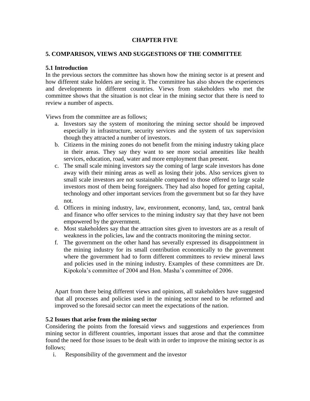### **CHAPTER FIVE**

### **5. COMPARISON, VIEWS AND SUGGESTIONS OF THE COMMITTEE**

### **5.1 Introduction**

In the previous sectors the committee has shown how the mining sector is at present and how different stake holders are seeing it. The committee has also shown the experiences and developments in different countries. Views from stakeholders who met the committee shows that the situation is not clear in the mining sector that there is need to review a number of aspects.

Views from the committee are as follows;

- a. Investors say the system of monitoring the mining sector should be improved especially in infrastructure, security services and the system of tax supervision though they attracted a number of investors.
- b. Citizens in the mining zones do not benefit from the mining industry taking place in their areas. They say they want to see more social amenities like health services, education, road, water and more employment than present.
- c. The small scale mining investors say the coming of large scale investors has done away with their mining areas as well as losing their jobs. Also services given to small scale investors are not sustainable compared to those offered to large scale investors most of them being foreigners. They had also hoped for getting capital, technology and other important services from the government but so far they have not.
- d. Officers in mining industry, law, environment, economy, land, tax, central bank and finance who offer services to the mining industry say that they have not been empowered by the government.
- e. Most stakeholders say that the attraction sites given to investors are as a result of weakness in the policies, law and the contracts monitoring the mining sector.
- f. The government on the other hand has severally expressed its disappointment in the mining industry for its small contribution economically to the government where the government had to form different committees to review mineral laws and policies used in the mining industry. Examples of these committees are Dr. Kipokola"s committee of 2004 and Hon. Masha"s committee of 2006.

Apart from there being different views and opinions, all stakeholders have suggested that all processes and policies used in the mining sector need to be reformed and improved so the foresaid sector can meet the expectations of the nation.

### **5.2 Issues that arise from the mining sector**

Considering the points from the foresaid views and suggestions and experiences from mining sector in different countries, important issues that arose and that the committee found the need for those issues to be dealt with in order to improve the mining sector is as follows;

i. Responsibility of the government and the investor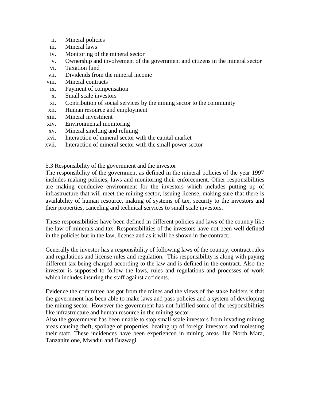- ii. Mineral policies
- iii. Mineral laws
- iv. Monitoring of the mineral sector
- v. Ownership and involvement of the government and citizens in the mineral sector
- vi. Taxation fund
- vii. Dividends from the mineral income
- viii. Mineral contracts
- ix. Payment of compensation
- x. Small scale investors
- xi. Contribution of social services by the mining sector to the community
- xii. Human resource and employment
- xiii. Mineral investment
- xiv. Environmental monitoring
- xv. Mineral smelting and refining
- xvi. Interaction of mineral sector with the capital market
- xvii. Interaction of mineral sector with the small power sector

5.3 Responsibility of the government and the investor

The responsibility of the government as defined in the mineral policies of the year 1997 includes making policies, laws and monitoring their enforcement. Other responsibilities are making conducive environment for the investors which includes putting up of infrastructure that will meet the mining sector, issuing license, making sure that there is availability of human resource, making of systems of tax, security to the investors and their properties, canceling and technical services to small scale investors.

These responsibilities have been defined in different policies and laws of the country like the law of minerals and tax. Responsibilities of the investors have not been well defined in the policies but in the law, license and as it will be shown in the contract.

Generally the investor has a responsibility of following laws of the country, contract rules and regulations and license rules and regulation. This responsibility is along with paying different tax being charged according to the law and is defined in the contract. Also the investor is supposed to follow the laws, rules and regulations and processes of work which includes insuring the staff against accidents.

Evidence the committee has got from the mines and the views of the stake holders is that the government has been able to make laws and pass policies and a system of developing the mining sector. However the government has not fulfilled some of the responsibilities like infrastructure and human resource in the mining sector.

Also the government has been unable to stop small scale investors from invading mining areas causing theft, spoilage of properties, beating up of foreign investors and molesting their staff. These incidences have been experienced in mining areas like North Mara, Tanzanite one, Mwadui and Buzwagi.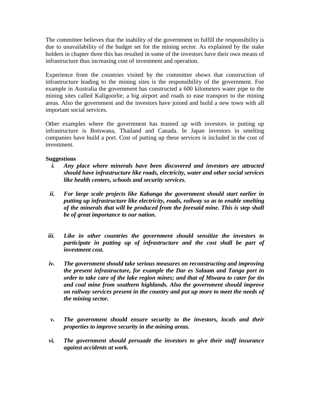The committee believes that the inability of the government to fulfill the responsibility is due to unavailability of the budget set for the mining sector. As explained by the stake holders in chapter three this has resulted in some of the investors have their own means of infrastructure thus increasing cost of investment and operation.

Experience from the countries visited by the committee shows that construction of infrastructure leading to the mining sites is the responsibility of the government. Foe example in Australia the government has constructed a 600 kilometers water pipe to the mining sites called Kaligoorlie, a big airport and roads to ease transport to the mining areas. Also the government and the investors have joined and build a new town with all important social services.

Other examples where the government has teamed up with investors in putting up infrastructure is Botswana, Thailand and Canada. In Japan investors in smelting companies have build a port. Cost of putting up these services is included in the cost of investment.

### **Suggestions**

- *i. Any place where minerals have been discovered and investors are attracted should have infrastructure like roads, electricity, water and other social services like health centers, schools and security services.*
- *ii. For large scale projects like Kabanga the government should start earlier in putting up infrastructure like electricity, roads, railway so as to enable smelting of the minerals that will be produced from the foresaid mine. This is step shall be of great importance to our nation.*
- *iii. Like in other countries the government should sensitize the investors to participate in putting up of infrastructure and the cost shall be part of investment cost.*
- *iv. The government should take serious measures on reconstructing and improving the present infrastructure, for example the Dar es Salaam and Tanga port in order to take care of the lake region mines; and that of Mtwara to cater for tin and coal mine from southern highlands. Also the government should improve on railway services present in the country and put up more to meet the needs of the mining sector.*
- *v. The government should ensure security to the investors, locals and their properties to improve security in the mining areas.*
- *vi. The government should persuade the investors to give their staff insurance against accidents at work.*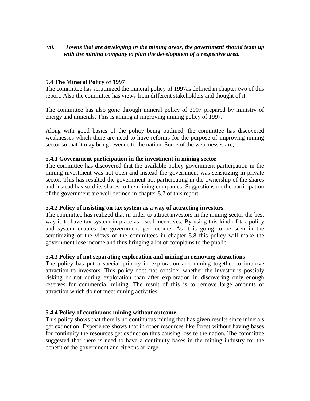## *vii. Towns that are developing in the mining areas, the government should team up with the mining company to plan the development of a respective area.*

### **5.4 The Mineral Policy of 1997**

The committee has scrutinized the mineral policy of 1997as defined in chapter two of this report. Also the committee has views from different stakeholders and thought of it.

The committee has also gone through mineral policy of 2007 prepared by ministry of energy and minerals. This is aiming at improving mining policy of 1997.

Along with good basics of the policy being outlined, the committee has discovered weaknesses which there are need to have reforms for the purpose of improving mining sector so that it may bring revenue to the nation. Some of the weaknesses are;

### **5.4.1 Government participation in the investment in mining sector**

The committee has discovered that the available policy government participation in the mining investment was not open and instead the government was sensitizing in private sector. This has resulted the government not participating in the ownership of the shares and instead has sold its shares to the mining companies. Suggestions on the participation of the government are well defined in chapter 5.7 of this report.

### **5.4.2 Policy of insisting on tax system as a way of attracting investors**

The committee has realized that in order to attract investors in the mining sector the best way is to have tax system in place as fiscal incentives. By using this kind of tax policy and system enables the government get income. As it is going to be seen in the scrutinizing of the views of the committees in chapter 5.8 this policy will make the government lose income and thus bringing a lot of complains to the public.

### **5.4.3 Policy of not separating exploration and mining in removing attractions**

The policy has put a special priority in exploration and mining together to improve attraction to investors. This policy does not consider whether the investor is possibly risking or not during exploration than after exploration in discovering only enough reserves for commercial mining. The result of this is to remove large amounts of attraction which do not meet mining activities.

### **5.4.4 Policy of continuous mining without outcome.**

This policy shows that there is no continuous mining that has given results since minerals get extinction. Experience shows that in other resources like forest without having bases for continuity the resources get extinction thus causing loss to the nation. The committee suggested that there is need to have a continuity bases in the mining industry for the benefit of the government and citizens at large.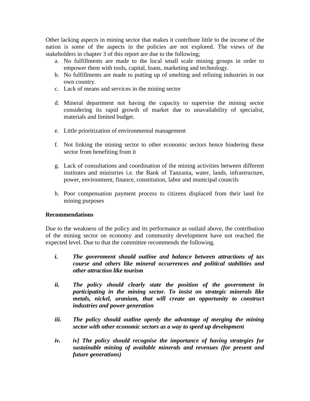Other lacking aspects in mining sector that makes it contribute little to the income of the nation is some of the aspects in the policies are not explored. The views of the stakeholders in chapter 3 of this report are due to the following;

- a. No fulfillments are made to the local small scale mining groups in order to empower them with tools, capital, loans, marketing and technology.
- b. No fulfillments are made to putting up of smelting and refining industries in our own country.
- c. Lack of means and services in the mining sector
- d. Mineral department not having the capacity to supervise the mining sector considering its rapid growth of market due to unavailability of specialist, materials and limited budget.
- e. Little prioritization of environmental management
- f. Not linking the mining sector to other economic sectors hence hindering those sector from benefiting from it
- g. Lack of consultations and coordination of the mining activities between different institutes and ministries i.e. the Bank of Tanzania, water, lands, infrastructure, power, environment, finance, constitution, labor and municipal councils
- h. Poor compensation payment process to citizens displaced from their land for mining purposes

### **Recommendations**

Due to the weakness of the policy and its performance as outlaid above, the contribution of the mining sector on economy and community development have not reached the expected level. Due to that the committee recommends the following.

- *i. The government should outline and balance between attractions of tax course and others like mineral occurrences and political stabilities and other attraction like tourism*
- *ii. The policy should clearly state the position of the government in participating in the mining sector. To insist on strategic minerals like metals, nickel, uranium, that will create an opportunity to construct industries and power generation*
- *iii. The policy should outline openly the advantage of merging the mining sector with other economic sectors as a way to speed up development*
- *iv. iv] The policy should recognise the importance of having strategies for sustainable mining of available minerals and revenues (for present and future generations)*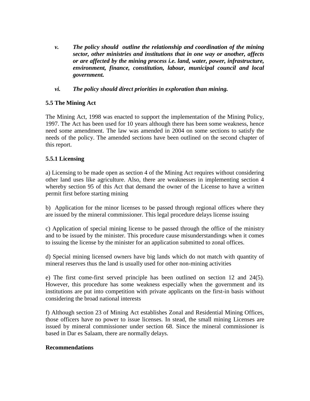- *v. The policy should outline the relationship and coordination of the mining sector, other ministries and institutions that in one way or another, affects or are affected by the mining process i.e. land, water, power, infrastructure, environment, finance, constitution, labour, municipal council and local government.*
- *vi. The policy should direct priorities in exploration than mining.*

# **5.5 The Mining Act**

The Mining Act, 1998 was enacted to support the implementation of the Mining Policy, 1997. The Act has been used for 10 years although there has been some weakness, hence need some amendment. The law was amended in 2004 on some sections to satisfy the needs of the policy. The amended sections have been outlined on the second chapter of this report.

### **5.5.1 Licensing**

a) Licensing to be made open as section 4 of the Mining Act requires without considering other land uses like agriculture. Also, there are weaknesses in implementing section 4 whereby section 95 of this Act that demand the owner of the License to have a written permit first before starting mining

b) Application for the minor licenses to be passed through regional offices where they are issued by the mineral commissioner. This legal procedure delays license issuing

c) Application of special mining license to be passed through the office of the ministry and to be issued by the minister. This procedure cause misunderstandings when it comes to issuing the license by the minister for an application submitted to zonal offices.

d) Special mining licensed owners have big lands which do not match with quantity of mineral reserves thus the land is usually used for other non-mining activities

e) The first come-first served principle has been outlined on section 12 and 24(5). However, this procedure has some weakness especially when the government and its institutions are put into competition with private applicants on the first-in basis without considering the broad national interests

f) Although section 23 of Mining Act establishes Zonal and Residential Mining Offices, those officers have no power to issue licenses. In stead, the small mining Licenses are issued by mineral commissioner under section 68. Since the mineral commissioner is based in Dar es Salaam, there are normally delays.

### **Recommendations**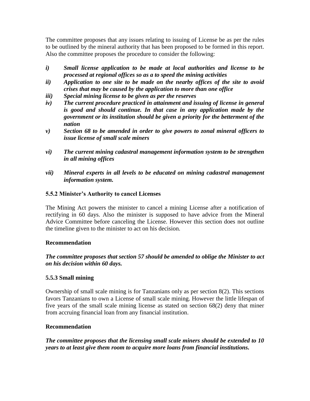The committee proposes that any issues relating to issuing of License be as per the rules to be outlined by the mineral authority that has been proposed to be formed in this report. Also the committee proposes the procedure to consider the following:

- *i) Small license application to be made at local authorities and license to be processed at regional offices so as a to speed the mining activities*
- *ii) Application to one site to be made on the nearby offices of the site to avoid crises that may be caused by the application to more than one office*
- *iii) Special mining license to be given as per the reserves*
- *iv) The current procedure practiced in attainment and issuing of license in general is good and should continue. In that case in any application made by the government or its institution should be given a priority for the betterment of the nation*
- *v) Section 68 to be amended in order to give powers to zonal mineral officers to issue license of small scale miners*
- *vi) The current mining cadastral management information system to be strengthen in all mining offices*
- *vii) Mineral experts in all levels to be educated on mining cadastral management information system.*

# **5.5.2 Minister's Authority to cancel Licenses**

The Mining Act powers the minister to cancel a mining License after a notification of rectifying in 60 days. Also the minister is supposed to have advice from the Mineral Advice Committee before canceling the License. However this section does not outline the timeline given to the minister to act on his decision.

# **Recommendation**

*The committee proposes that section 57 should be amended to oblige the Minister to act on his decision within 60 days.* 

# **5.5.3 Small mining**

Ownership of small scale mining is for Tanzanians only as per section 8(2). This sections favors Tanzanians to own a License of small scale mining. However the little lifespan of five years of the small scale mining license as stated on section 68(2) deny that miner from accruing financial loan from any financial institution.

# **Recommendation**

*The committee proposes that the licensing small scale miners should be extended to 10 years to at least give them room to acquire more loans from financial institutions.*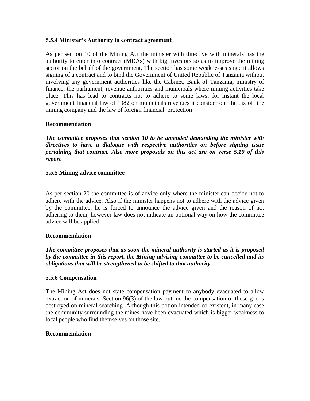### **5.5.4 Minister's Authority in contract agreement**

As per section 10 of the Mining Act the minister with directive with minerals has the authority to enter into contract (MDAs) with big investors so as to improve the mining sector on the behalf of the government. The section has some weaknesses since it allows signing of a contract and to bind the Government of United Republic of Tanzania without involving any government authorities like the Cabinet, Bank of Tanzania, ministry of finance, the parliament, revenue authorities and municipals where mining activities take place. This has lead to contracts not to adhere to some laws, for instant the local government financial law of 1982 on municipals revenues it consider on the tax of the mining company and the law of foreign financial protection

### **Recommendation**

*The committee proposes that section 10 to be amended demanding the minister with directives to have a dialogue with respective authorities on before signing issue pertaining that contract. Also more proposals on this act are on verse 5.10 of this report*

### **5.5.5 Mining advice committee**

As per section 20 the committee is of advice only where the minister can decide not to adhere with the advice. Also if the minister happens not to adhere with the advice given by the committee, he is forced to announce the advice given and the reason of not adhering to them, however law does not indicate an optional way on how the committee advice will be applied

### **Recommendation**

*The committee proposes that as soon the mineral authority is started as it is proposed by the committee in this report, the Mining advising committee to be cancelled and its obligations that will be strengthened to be shifted to that authority*

#### **5.5.6 Compensation**

The Mining Act does not state compensation payment to anybody evacuated to allow extraction of minerals. Section 96(3) of the law outline the compensation of those goods destroyed on mineral searching. Although this potion intended co-existent, in many case the community surrounding the mines have been evacuated which is bigger weakness to local people who find themselves on those site.

### **Recommendation**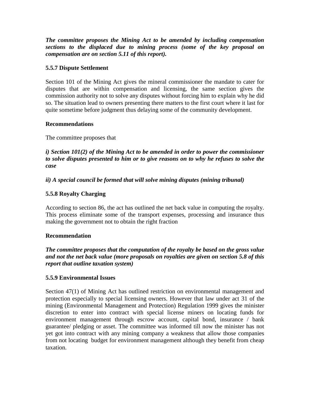*The committee proposes the Mining Act to be amended by including compensation sections to the displaced due to mining process (some of the key proposal on compensation are on section 5.11 of this report).*

# **5.5.7 Dispute Settlement**

Section 101 of the Mining Act gives the mineral commissioner the mandate to cater for disputes that are within compensation and licensing, the same section gives the commission authority not to solve any disputes without forcing him to explain why he did so. The situation lead to owners presenting there matters to the first court where it last for quite sometime before judgment thus delaying some of the community development.

### **Recommendations**

The committee proposes that

*i) Section 101(2) of the Mining Act to be amended in order to power the commissioner to solve disputes presented to him or to give reasons on to why he refuses to solve the case* 

*ii) A special council be formed that will solve mining disputes (mining tribunal)*

# **5.5.8 Royalty Charging**

According to section 86, the act has outlined the net back value in computing the royalty. This process eliminate some of the transport expenses, processing and insurance thus making the government not to obtain the right fraction

### **Recommendation**

*The committee proposes that the computation of the royalty be based on the gross value and not the net back value (more proposals on royalties are given on section 5.8 of this report that outline taxation system)*

### **5.5.9 Environmental Issues**

Section 47(1) of Mining Act has outlined restriction on environmental management and protection especially to special licensing owners. However that law under act 31 of the mining (Environmental Management and Protection) Regulation 1999 gives the minister discretion to enter into contract with special license miners on locating funds for environment management through escrow account, capital bond, insurance / bank guarantee/ pledging or asset. The committee was informed till now the minister has not yet got into contract with any mining company a weakness that allow those companies from not locating budget for environment management although they benefit from cheap taxation.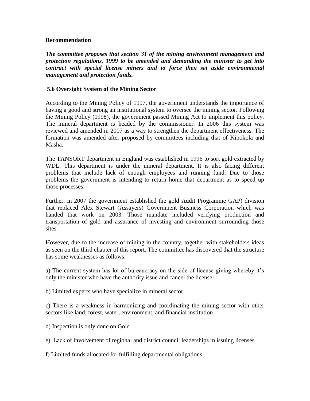### **Recommendation**

*The committee proposes that section 31 of the mining environment management and protection regulations, 1999 to be amended and demanding the minister to get into contract with special license miners and to force then set aside environmental management and protection funds.*

## **5.6 Oversight System of the Mining Sector**

According to the Mining Policy of 1997, the government understands the importance of having a good and strong an institutional system to oversee the mining sector. Following the Mining Policy (1998), the government passed Mining Act to implement this policy. The mineral department is headed by the commissioner. In 2006 this system was reviewed and amended in 2007 as a way to strengthen the department effectiveness. The formation was amended after proposed by committees including that of Kipokola and Masha.

The TANSORT department in England was established in 1996 to sort gold extracted by WDL. This department is under the mineral department. It is also facing different problems that include lack of enough employees and running fund. Due to those problems the government is intending to return home that department as to speed up those processes.

Further, in 2007 the government established the gold Audit Programme GAP) division that replaced Alex Stewart (Assayers) Government Business Corporation which was handed that work on 2003. Those mandate included verifying production and transportation of gold and assurance of investing and environment surrounding those sites.

However, due to the increase of mining in the country, together with stakeholders ideas as seen on the third chapter of this report. The committee has discovered that the structure has some weaknesses as follows.

a) The current system has lot of bureaucracy on the side of license giving whereby it"s only the minister who have the authority issue and cancel the license

b) Limited experts who have specialize in mineral sector

c) There is a weakness in harmonizing and coordinating the mining sector with other sectors like land, forest, water, environment, and financial institution

d) Inspection is only done on Gold

e) Lack of involvement of regional and district council leaderships in issuing licenses

f) Limited funds allocated for fulfilling departmental obligations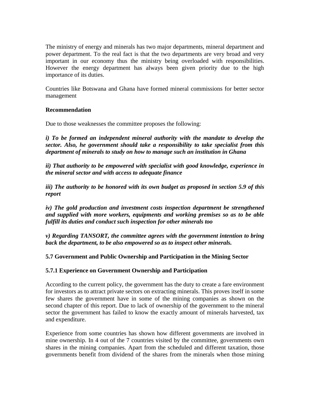The ministry of energy and minerals has two major departments, mineral department and power department. To the real fact is that the two departments are very broad and very important in our economy thus the ministry being overloaded with responsibilities. However the energy department has always been given priority due to the high importance of its duties.

Countries like Botswana and Ghana have formed mineral commissions for better sector management

### **Recommendation**

Due to those weaknesses the committee proposes the following:

*i)* To be formed an independent mineral authority with the mandate to develop the *sector. Also, he government should take a responsibility to take specialist from this department of minerals to study on how to manage such an institution in Ghana* 

*ii) That authority to be empowered with specialist with good knowledge, experience in the mineral sector and with access to adequate finance* 

*iii) The authority to be honored with its own budget as proposed in section 5.9 of this report*

*iv) The gold production and investment costs inspection department be strengthened and supplied with more workers, equipments and working premises so as to be able fulfill its duties and conduct such inspection for other minerals too*

*v) Regarding TANSORT, the committee agrees with the government intention to bring back the department, to be also empowered so as to inspect other minerals.*

# **5.7 Government and Public Ownership and Participation in the Mining Sector**

### **5.7.1 Experience on Government Ownership and Participation**

According to the current policy, the government has the duty to create a fare environment for investors as to attract private sectors on extracting minerals. This proves itself in some few shares the government have in some of the mining companies as shown on the second chapter of this report. Due to lack of ownership of the government to the mineral sector the government has failed to know the exactly amount of minerals harvested, tax and expenditure.

Experience from some countries has shown how different governments are involved in mine ownership. In 4 out of the 7 countries visited by the committee, governments own shares in the mining companies. Apart from the scheduled and different taxation, those governments benefit from dividend of the shares from the minerals when those mining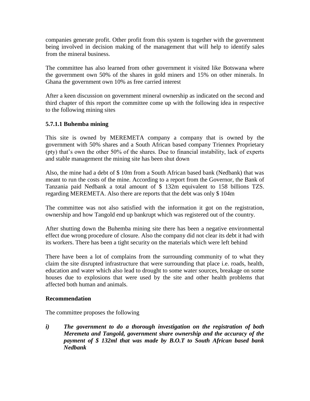companies generate profit. Other profit from this system is together with the government being involved in decision making of the management that will help to identify sales from the mineral business.

The committee has also learned from other government it visited like Botswana where the government own 50% of the shares in gold miners and 15% on other minerals. In Ghana the government own 10% as free carried interest

After a keen discussion on government mineral ownership as indicated on the second and third chapter of this report the committee come up with the following idea in respective to the following mining sites

# **5.7.1.1 Buhemba mining**

This site is owned by MEREMETA company a company that is owned by the government with 50% shares and a South African based company Triennex Proprietary (pty) that"s own the other 50% of the shares. Due to financial instability, lack of experts and stable management the mining site has been shut down

Also, the mine had a debt of \$ 10m from a South African based bank (Nedbank) that was meant to run the costs of the mine. According to a report from the Governor, the Bank of Tanzania paid Nedbank a total amount of \$ 132m equivalent to 158 billions TZS. regarding MEREMETA. Also there are reports that the debt was only \$ 104m

The committee was not also satisfied with the information it got on the registration, ownership and how Tangold end up bankrupt which was registered out of the country.

After shutting down the Buhemba mining site there has been a negative environmental effect due wrong procedure of closure. Also the company did not clear its debt it had with its workers. There has been a tight security on the materials which were left behind

There have been a lot of complains from the surrounding community of to what they claim the site disrupted infrastructure that were surrounding that place i.e. roads, health, education and water which also lead to drought to some water sources, breakage on some houses due to explosions that were used by the site and other health problems that affected both human and animals.

### **Recommendation**

The committee proposes the following

*i) The government to do a thorough investigation on the registration of both Meremeta and Tangold, government share ownership and the accuracy of the payment of \$ 132ml that was made by B.O.T to South African based bank Nedbank*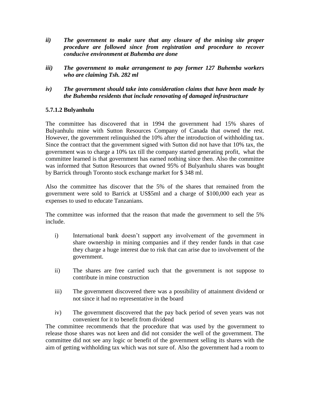- *ii) The government to make sure that any closure of the mining site proper procedure are followed since from registration and procedure to recover conducive environment at Buhemba are done*
- *iii) The government to make arrangement to pay former 127 Buhemba workers who are claiming Tsh. 282 ml*
- *iv) The government should take into consideration claims that have been made by the Buhemba residents that include renovating of damaged infrastructure*

# **5.7.1.2 Bulyanhulu**

The committee has discovered that in 1994 the government had 15% shares of Bulyanhulu mine with Sutton Resources Company of Canada that owned the rest. However, the government relinquished the 10% after the introduction of withholding tax. Since the contract that the government signed with Sutton did not have that 10% tax, the government was to charge a 10% tax till the company started generating profit, what the committee learned is that government has earned nothing since then. Also the committee was informed that Sutton Resources that owned 95% of Bulyanhulu shares was bought by Barrick through Toronto stock exchange market for \$ 348 ml.

Also the committee has discover that the 5% of the shares that remained from the government were sold to Barrick at US\$5ml and a charge of \$100,000 each year as expenses to used to educate Tanzanians.

The committee was informed that the reason that made the government to sell the 5% include.

- i) International bank doesn't support any involvement of the government in share ownership in mining companies and if they render funds in that case they charge a huge interest due to risk that can arise due to involvement of the government.
- ii) The shares are free carried such that the government is not suppose to contribute in mine construction
- iii) The government discovered there was a possibility of attainment dividend or not since it had no representative in the board
- iv) The government discovered that the pay back period of seven years was not convenient for it to benefit from dividend

The committee recommends that the procedure that was used by the government to release those shares was not keen and did not consider the well of the government. The committee did not see any logic or benefit of the government selling its shares with the aim of getting withholding tax which was not sure of. Also the government had a room to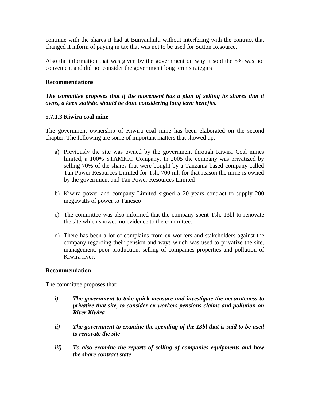continue with the shares it had at Bunyanhulu without interfering with the contract that changed it inform of paying in tax that was not to be used for Sutton Resource.

Also the information that was given by the government on why it sold the 5% was not convenient and did not consider the government long term strategies

### **Recommendations**

## *The committee proposes that if the movement has a plan of selling its shares that it owns, a keen statistic should be done considering long term benefits.*

### **5.7.1.3 Kiwira coal mine**

The government ownership of Kiwira coal mine has been elaborated on the second chapter. The following are some of important matters that showed up.

- a) Previously the site was owned by the government through Kiwira Coal mines limited, a 100% STAMICO Company. In 2005 the company was privatized by selling 70% of the shares that were bought by a Tanzania based company called Tan Power Resources Limited for Tsh. 700 ml. for that reason the mine is owned by the government and Tan Power Resources Limited
- b) Kiwira power and company Limited signed a 20 years contract to supply 200 megawatts of power to Tanesco
- c) The committee was also informed that the company spent Tsh. 13bl to renovate the site which showed no evidence to the committee.
- d) There has been a lot of complains from ex-workers and stakeholders against the company regarding their pension and ways which was used to privatize the site, management, poor production, selling of companies properties and pollution of Kiwira river.

### **Recommendation**

The committee proposes that:

- *i) The government to take quick measure and investigate the accurateness to privatize that site, to consider ex-workers pensions claims and pollution on River Kiwira*
- *ii) The government to examine the spending of the 13bl that is said to be used to renovate the site*
- *iii) To also examine the reports of selling of companies equipments and how the share contract state*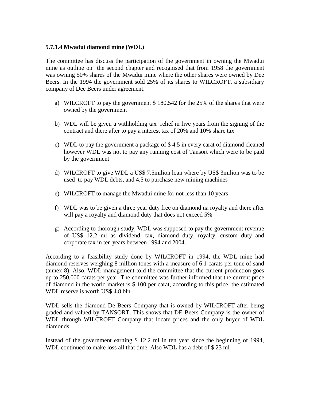### **5.7.1.4 Mwadui diamond mine (WDL)**

The committee has discuss the participation of the government in owning the Mwadui mine as outline on the second chapter and recognised that from 1958 the government was owning 50% shares of the Mwadui mine where the other shares were owned by Dee Beers. In the 1994 the government sold 25% of its shares to WILCROFT, a subsidiary company of Dee Beers under agreement.

- a) WILCROFT to pay the government \$ 180,542 for the 25% of the shares that were owned by the government
- b) WDL will be given a withholding tax relief in five years from the signing of the contract and there after to pay a interest tax of 20% and 10% share tax
- c) WDL to pay the government a package of \$ 4.5 in every carat of diamond cleaned however WDL was not to pay any running cost of Tansort which were to be paid by the government
- d) WILCROFT to give WDL a US\$ 7.5milion loan where by US\$ 3milion was to be used to pay WDL debts, and 4.5 to purchase new mining machines
- e) WILCROFT to manage the Mwadui mine for not less than 10 years
- f) WDL was to be given a three year duty free on diamond na royalty and there after will pay a royalty and diamond duty that does not exceed 5%
- g) According to thorough study, WDL was supposed to pay the government revenue of US\$ 12.2 ml as dividend, tax, diamond duty, royalty, custom duty and corporate tax in ten years between 1994 and 2004.

According to a feasibility study done by WILCROFT in 1994, the WDL mine had diamond reserves weighing 8 million tones with a measure of 6.1 carats per tone of sand (annex 8). Also, WDL management told the committee that the current production goes up to 250,000 carats per year. The committee was further informed that the current price of diamond in the world market is \$ 100 per carat, according to this price, the estimated WDL reserve is worth US\$ 4.8 bln.

WDL sells the diamond De Beers Company that is owned by WILCROFT after being graded and valued by TANSORT. This shows that DE Beers Company is the owner of WDL through WILCROFT Company that locate prices and the only buyer of WDL diamonds

Instead of the government earning \$ 12.2 ml in ten year since the beginning of 1994, WDL continued to make loss all that time. Also WDL has a debt of \$ 23 ml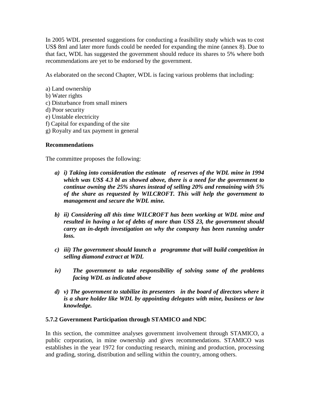In 2005 WDL presented suggestions for conducting a feasibility study which was to cost US\$ 8ml and later more funds could be needed for expanding the mine (annex 8). Due to that fact, WDL has suggested the government should reduce its shares to 5% where both recommendations are yet to be endorsed by the government.

As elaborated on the second Chapter, WDL is facing various problems that including:

- a) Land ownership
- b) Water rights
- c) Disturbance from small miners
- d) Poor security
- e) Unstable electricity
- f) Capital for expanding of the site
- g) Royalty and tax payment in general

### **Recommendations**

The committee proposes the following:

- *a) i) Taking into consideration the estimate of reserves of the WDL mine in 1994 which was US\$ 4.3 bl as showed above, there is a need for the government to continue owning the 25% shares instead of selling 20% and remaining with 5% of the share as requested by WILCROFT. This will help the government to management and secure the WDL mine.*
- *b) ii) Considering all this time WILCROFT has been working at WDL mine and resulted in having a lot of debts of more than US\$ 23, the government should carry an in-depth investigation on why the company has been running under loss.*
- *c) iii) The government should launch a programme that will build competition in selling diamond extract at WDL*
- *iv) The government to take responsibility of solving some of the problems facing WDL as indicated above*
- *d) v) The government to stabilize its presenters in the board of directors where it is a share holder like WDL by appointing delegates with mine, business or law knowledge.*

### **5.7.2 Government Participation through STAMICO and NDC**

In this section, the committee analyses government involvement through STAMICO, a public corporation, in mine ownership and gives recommendations. STAMICO was establishes in the year 1972 for conducting research, mining and production, processing and grading, storing, distribution and selling within the country, among others.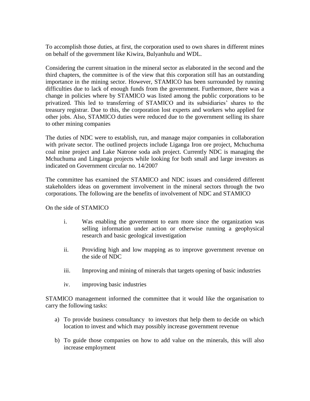To accomplish those duties, at first, the corporation used to own shares in different mines on behalf of the government like Kiwira, Bulyanhulu and WDL.

Considering the current situation in the mineral sector as elaborated in the second and the third chapters, the committee is of the view that this corporation still has an outstanding importance in the mining sector. However, STAMICO has been surrounded by running difficulties due to lack of enough funds from the government. Furthermore, there was a change in policies where by STAMICO was listed among the public corporations to be privatized. This led to transferring of STAMICO and its subsidiaries" shares to the treasury registrar. Due to this, the corporation lost experts and workers who applied for other jobs. Also, STAMICO duties were reduced due to the government selling its share to other mining companies

The duties of NDC were to establish, run, and manage major companies in collaboration with private sector. The outlined projects include Liganga Iron ore project, Mchuchuma coal mine project and Lake Natrone soda ash project. Currently NDC is managing the Mchuchuma and Linganga projects while looking for both small and large investors as indicated on Government circular no. 14/2007

The committee has examined the STAMICO and NDC issues and considered different stakeholders ideas on government involvement in the mineral sectors through the two corporations. The following are the benefits of involvement of NDC and STAMICO

On the side of STAMICO

- i. Was enabling the government to earn more since the organization was selling information under action or otherwise running a geophysical research and basic geological investigation
- ii. Providing high and low mapping as to improve government revenue on the side of NDC
- iii. Improving and mining of minerals that targets opening of basic industries
- iv. improving basic industries

STAMICO management informed the committee that it would like the organisation to carry the following tasks:

- a) To provide business consultancy to investors that help them to decide on which location to invest and which may possibly increase government revenue
- b) To guide those companies on how to add value on the minerals, this will also increase employment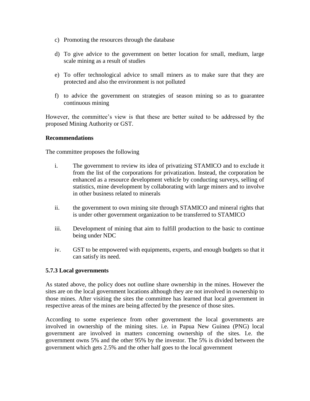- c) Promoting the resources through the database
- d) To give advice to the government on better location for small, medium, large scale mining as a result of studies
- e) To offer technological advice to small miners as to make sure that they are protected and also the environment is not polluted
- f) to advice the government on strategies of season mining so as to guarantee continuous mining

However, the committee"s view is that these are better suited to be addressed by the proposed Mining Authority or GST.

### **Recommendations**

The committee proposes the following

- i. The government to review its idea of privatizing STAMICO and to exclude it from the list of the corporations for privatization. Instead, the corporation be enhanced as a resource development vehicle by conducting surveys, selling of statistics, mine development by collaborating with large miners and to involve in other business related to minerals
- ii. the government to own mining site through STAMICO and mineral rights that is under other government organization to be transferred to STAMICO
- iii. Development of mining that aim to fulfill production to the basic to continue being under NDC
- iv. GST to be empowered with equipments, experts, and enough budgets so that it can satisfy its need.

### **5.7.3 Local governments**

As stated above, the policy does not outline share ownership in the mines. However the sites are on the local government locations although they are not involved in ownership to those mines. After visiting the sites the committee has learned that local government in respective areas of the mines are being affected by the presence of those sites.

According to some experience from other government the local governments are involved in ownership of the mining sites. i.e. in Papua New Guinea (PNG) local government are involved in matters concerning ownership of the sites. I.e. the government owns 5% and the other 95% by the investor. The 5% is divided between the government which gets 2.5% and the other half goes to the local government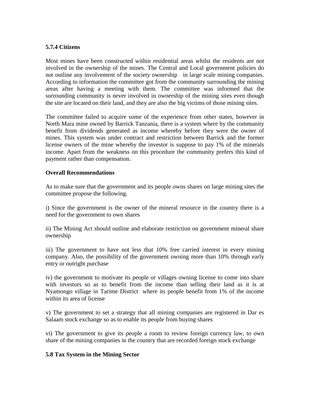### **5.7.4 Citizens**

Most mines have been constructed within residential areas whilst the residents are not involved in the ownership of the mines. The Central and Local government policies do not outline any involvement of the society ownership in large scale mining companies. According to information the committee got from the community surrounding the mining areas after having a meeting with them. The committee was informed that the surrounding community is never involved in ownership of the mining sites even though the site are located on their land, and they are also the big victims of those mining sites.

The committee failed to acquire some of the experience from other states, however in North Mara mine owned by Barrick Tanzania, there is a system where by the community benefit from dividends generated as income whereby before they were the owner of mines. This system was under contract and restriction between Barrick and the former license owners of the mine whereby the investor is suppose to pay 1% of the minerals income. Apart from the weakness on this procedure the community prefers this kind of payment rather than compensation.

### **Overall Recommendations**

As to make sure that the government and its people owns shares on large mining sites the committee propose the following.

i) Since the government is the owner of the mineral resource in the country there is a need for the government to own shares

ii) The Mining Act should outline and elaborate restriction on government mineral share ownership

iii) The government to have not less that 10% free carried interest in every mining company. Also, the possibility of the government owning more than 10% through early entry or outright purchase

iv) the government to motivate its people or villages owning license to come into share with investors so as to benefit from the income than selling their land as it is at Nyamongo village in Tarime District where its people benefit from 1% of the income within its area of license

v) The government to set a strategy that all mining companies are registered in Dar es Salaam stock exchange so as to enable its people from buying shares

vi) The government to give its people a room to review foreign currency law, to own share of the mining companies in the country that are recorded foreign stock exchange

### **5.8 Tax System in the Mining Sector**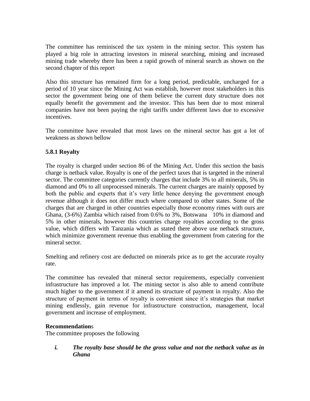The committee has reminisced the tax system in the mining sector. This system has played a big role in attracting investors in mineral searching, mining and increased mining trade whereby there has been a rapid growth of mineral search as shown on the second chapter of this report

Also this structure has remained firm for a long period, predictable, uncharged for a period of 10 year since the Mining Act was establish, however most stakeholders in this sector the government being one of them believe the current duty structure does not equally benefit the government and the investor. This has been due to most mineral companies have not been paying the right tariffs under different laws due to excessive incentives.

The committee have revealed that most laws on the mineral sector has got a lot of weakness as shown bellow

# **5.8.1 Royalty**

The royalty is charged under section 86 of the Mining Act. Under this section the basis charge is netback value. Royalty is one of the perfect taxes that is targeted in the mineral sector. The committee categories currently charges that include 3% to all minerals, 5% in diamond and 0% to all unprocessed minerals. The current charges are mainly opposed by both the public and experts that it's very little hence denying the government enough revenue although it does not differ much where compared to other states. Some of the charges that are charged in other countries especially those economy rimes with ours are Ghana, (3-6%) Zambia which raised from 0.6% to 3%, Botswana 10% in diamond and 5% in other minerals, however this countries charge royalties according to the gross value, which differs with Tanzania which as stated there above use netback structure, which minimize government revenue thus enabling the government from catering for the mineral sector.

Smelting and refinery cost are deducted on minerals price as to get the accurate royalty rate.

The committee has revealed that mineral sector requirements, especially convenient infrastructure has improved a lot. The mining sector is also able to amend contribute much higher to the government if it amend its structure of payment in royalty. Also the structure of payment in terms of royalty is convenient since it's strategies that market mining endlessly, gain revenue for infrastructure construction, management, local government and increase of employment.

# **Recommendation**s

The committee proposes the following

*i. The royalty base should be the gross value and not the netback value as in Ghana*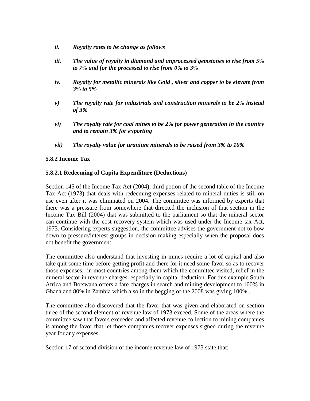- *ii. Royalty rates to be change as follows*
- *iii. The value of royalty in diamond and unprocessed gemstones to rise from 5% to 7% and for the processed to rise from 0% to 3%*
- *iv. Royalty for metallic minerals like Gold , silver and copper to be elevate from 3% to 5%*
- *v) The royalty rate for industrials and construction minerals to be 2% instead of 3%*
- *vi) The royalty rate for coal mines to be 2% for power generation in the country and to remain 3% for exporting*
- *vii) The royalty value for uranium minerals to be raised from 3% to 10%*

### **5.8.2 Income Tax**

### **5.8.2.1 Redeeming of Capita Expenditure (Deductions)**

Section 145 of the Income Tax Act (2004), third potion of the second table of the Income Tax Act (1973) that deals with redeeming expenses related to mineral duties is still on use even after it was eliminated on 2004. The committee was informed by experts that there was a pressure from somewhere that directed the inclusion of that section in the Income Tax Bill (2004) that was submitted to the parliament so that the mineral sector can continue with the cost recovery system which was used under the Income tax Act, 1973. Considering experts suggestion, the committee advises the government not to bow down to pressure/interest groups in decision making especially when the proposal does not benefit the government.

The committee also understand that investing in mines require a lot of capital and also take quit some time before getting profit and there for it need some favor so as to recover those expenses, in most countries among them which the committee visited, relief in the mineral sector in revenue charges especially in capital deduction. For this example South Africa and Botswana offers a fare charges in search and mining development to 100% in Ghana and 80% in Zambia which also in the begging of the 2008 was giving 100% .

The committee also discovered that the favor that was given and elaborated on section three of the second element of revenue law of 1973 exceed. Some of the areas where the committee saw that favors exceeded and affected revenue collection to mining companies is among the favor that let those companies recover expenses signed during the revenue year for any expenses

Section 17 of second division of the income revenue law of 1973 state that: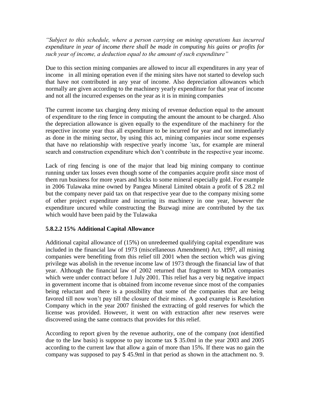*"Subject to this schedule, where a person carrying on mining operations has incurred expenditure in year of income there shall be made in computing his gains or profits for such year of income, a deduction equal to the amount of such expenditure"*

Due to this section mining companies are allowed to incur all expenditures in any year of income in all mining operation even if the mining sites have not started to develop such that have not contributed in any year of income. Also depreciation allowances which normally are given according to the machinery yearly expenditure for that year of income and not all the incurred expenses on the year as it is in mining companies

The current income tax charging deny mixing of revenue deduction equal to the amount of expenditure to the ring fence in computing the amount the amount to be charged. Also the depreciation allowance is given equally to the expenditure of the machinery for the respective income year thus all expenditure to be incurred for year and not immediately as done in the mining sector, by using this act, mining companies incur some expenses that have no relationship with respective yearly income `tax, for example are mineral search and construction expenditure which don"t contribute in the respective year income.

Lack of ring fencing is one of the major that lead big mining company to continue running under tax losses even though some of the companies acquire profit since most of them run business for more years and hicks to some mineral especially gold. For example in 2006 Tulawaka mine owned by Pangea Mineral Limited obtain a profit of \$ 28.2 ml but the company never paid tax on that respective year due to the company mixing some of other project expenditure and incurring its machinery in one year, however the expenditure uncured while constructing the Buzwagi mine are contributed by the tax which would have been paid by the Tulawaka

# **5.8.2.2 15% Additional Capital Allowance**

Additional capital allowance of (15%) on unredeemed qualifying capital expenditure was included in the financial law of 1973 (miscellaneous Amendment) Act, 1997, all mining companies were benefiting from this relief till 2001 when the section which was giving privilege was abolish in the revenue income law of 1973 through the financial law of that year. Although the financial law of 2002 returned that fragment to MDA companies which were under contract before 1 July 2001. This relief has a very big negative impact in government income that is obtained from income revenue since most of the companies being reluctant and there is a possibility that some of the companies that are being favored till now won"t pay till the closure of their mines. A good example is Resolution Company which in the year 2007 finished the extracting of gold reserves for which the license was provided. However, it went on with extraction after new reserves were discovered using the same contracts that provides for this relief.

According to report given by the revenue authority, one of the company (not identified due to the law basis) is suppose to pay income tax \$ 35.0ml in the year 2003 and 2005 according to the current law that allow a gain of more than 15%. If there was no gain the company was supposed to pay \$ 45.9ml in that period as shown in the attachment no. 9.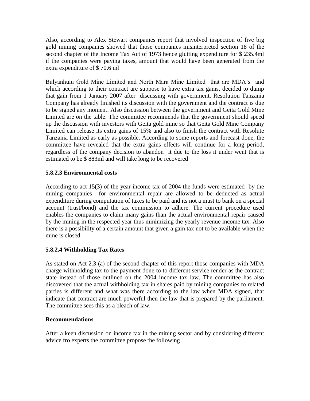Also, according to Alex Stewart companies report that involved inspection of five big gold mining companies showed that those companies misinterpreted section 18 of the second chapter of the Income Tax Act of 1973 hence glutting expenditure for \$ 235.4ml if the companies were paying taxes, amount that would have been generated from the extra expenditure of \$ 70.6 ml

Bulyanhulu Gold Mine Limited and North Mara Mine Limited that are MDA"s and which according to their contract are suppose to have extra tax gains, decided to dump that gain from 1 January 2007 after discussing with government. Resolution Tanzania Company has already finished its discussion with the government and the contract is due to be signed any moment. Also discussion between the government and Geita Gold Mine Limited are on the table. The committee recommends that the government should speed up the discussion with investors with Geita gold mine so that Geita Gold Mine Company Limited can release its extra gains of 15% and also to finish the contract with Resolute Tanzania Limited as early as possible. According to some reports and forecast done, the committee have revealed that the extra gains effects will continue for a long period, regardless of the company decision to abandon it due to the loss it under went that is estimated to be \$ 883ml and will take long to be recovered

# **5.8.2.3 Environmental costs**

According to act 15(3) of the year income tax of 2004 the funds were estimated by the mining companies for environmental repair are allowed to be deducted as actual expenditure during computation of taxes to be paid and its not a must to bank on a special account (trust/bond) and the tax commission to adhere. The current procedure used enables the companies to claim many gains than the actual environmental repair caused by the mining in the respected year thus minimizing the yearly revenue income tax. Also there is a possibility of a certain amount that given a gain tax not to be available when the mine is closed.

# **5.8.2.4 Withholding Tax Rates**

As stated on Act 2.3 (a) of the second chapter of this report those companies with MDA charge withholding tax to the payment done to to different service render as the contract state instead of those outlined on the 2004 income tax law. The committee has also discovered that the actual withholding tax in shares paid by mining companies to related parties is different and what was there according to the law when MDA signed, that indicate that contract are much powerful then the law that is prepared by the parliament. The committee sees this as a bleach of law.

### **Recommendations**

After a keen discussion on income tax in the mining sector and by considering different advice fro experts the committee propose the following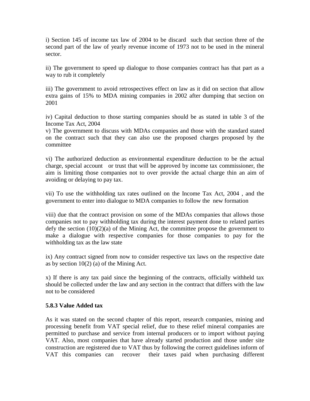i) Section 145 of income tax law of 2004 to be discard such that section three of the second part of the law of yearly revenue income of 1973 not to be used in the mineral sector.

ii) The government to speed up dialogue to those companies contract has that part as a way to rub it completely

iii) The government to avoid retrospectives effect on law as it did on section that allow extra gains of 15% to MDA mining companies in 2002 after dumping that section on 2001

iv) Capital deduction to those starting companies should be as stated in table 3 of the Income Tax Act, 2004

v) The government to discuss with MDAs companies and those with the standard stated on the contract such that they can also use the proposed charges proposed by the committee

vi) The authorized deduction as environmental expenditure deduction to be the actual charge, special account or trust that will be approved by income tax commissioner, the aim is limiting those companies not to over provide the actual charge thin an aim of avoiding or delaying to pay tax.

vii) To use the withholding tax rates outlined on the Income Tax Act, 2004 , and the government to enter into dialogue to MDA companies to follow the new formation

viii) due that the contract provision on some of the MDAs companies that allows those companies not to pay withholding tax during the interest payment done to related parties defy the section  $(10)(2)(a)$  of the Mining Act, the committee propose the government to make a dialogue with respective companies for those companies to pay for the withholding tax as the law state

ix) Any contract signed from now to consider respective tax laws on the respective date as by section 10(2) (a) of the Mining Act.

x) If there is any tax paid since the beginning of the contracts, officially withheld tax should be collected under the law and any section in the contract that differs with the law not to be considered

### **5.8.3 Value Added tax**

As it was stated on the second chapter of this report, research companies, mining and processing benefit from VAT special relief, due to these relief mineral companies are permitted to purchase and service from internal producers or to import without paying VAT. Also, most companies that have already started production and those under site construction are registered due to VAT thus by following the correct guidelines inform of VAT this companies can recover their taxes paid when purchasing different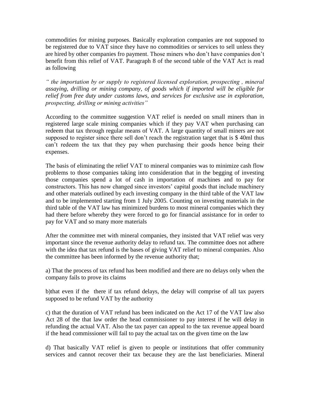commodities for mining purposes. Basically exploration companies are not supposed to be registered due to VAT since they have no commodities or services to sell unless they are hired by other companies fro payment. Those miners who don"t have companies don"t benefit from this relief of VAT. Paragraph 8 of the second table of the VAT Act is read as following

*" the importation by or supply to registered licensed exploration, prospecting , mineral assaying, drilling or mining company, of goods which if imported will be eligible for relief from free duty under customs laws, and services for exclusive use in exploration, prospecting, drilling or mining activities"* 

According to the committee suggestion VAT relief is needed on small miners than in registered large scale mining companies which if they pay VAT when purchasing can redeem that tax through regular means of VAT. A large quantity of small miners are not supposed to register since there sell don't reach the registration target that is \$40ml thus can"t redeem the tax that they pay when purchasing their goods hence being their expenses.

The basis of eliminating the relief VAT to mineral companies was to minimize cash flow problems to those companies taking into consideration that in the begging of investing those companies spend a lot of cash in importation of machines and to pay for constructors. This has now changed since investors' capital goods that include machinery and other materials outlined by each investing company in the third table of the VAT law and to be implemented starting from 1 July 2005. Counting on investing materials in the third table of the VAT law has minimized burdens to most mineral companies which they had there before whereby they were forced to go for financial assistance for in order to pay for VAT and so many more materials

After the committee met with mineral companies, they insisted that VAT relief was very important since the revenue authority delay to refund tax. The committee does not adhere with the idea that tax refund is the bases of giving VAT relief to mineral companies. Also the committee has been informed by the revenue authority that;

a) That the process of tax refund has been modified and there are no delays only when the company fails to prove its claims

b)that even if the there if tax refund delays, the delay will comprise of all tax payers supposed to be refund VAT by the authority

c) that the duration of VAT refund has been indicated on the Act 17 of the VAT law also Act 28 of the that law order the head commissioner to pay interest if he will delay in refunding the actual VAT. Also the tax payer can appeal to the tax revenue appeal board if the head commissioner will fail to pay the actual tax on the given time on the law

d) That basically VAT relief is given to people or institutions that offer community services and cannot recover their tax because they are the last beneficiaries. Mineral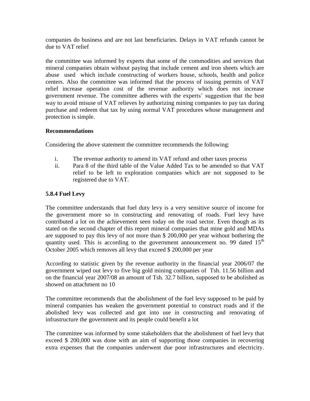companies do business and are not last beneficiaries. Delays in VAT refunds cannot be due to VAT relief

the committee was informed by experts that some of the commodities and services that mineral companies obtain without paying that include cement and iron sheets which are abuse used which include constructing of workers house, schools, health and police centers. Also the committee was informed that the process of issuing permits of VAT relief increase operation cost of the revenue authority which does not increase government revenue. The committee adheres with the experts" suggestion that the best way to avoid misuse of VAT relieves by authorizing mining companies to pay tax during purchase and redeem that tax by using normal VAT procedures whose management and protection is simple.

### **Recommendations**

Considering the above statement the committee recommends the following:

- i. The revenue authority to amend its VAT refund and other taxes process
- ii. Para 8 of the third table of the Value Added Tax to be amended so that VAT relief to be left to exploration companies which are not supposed to be registered due to VAT.

# **5.8.4 Fuel Levy**

The committee understands that fuel duty levy is a very sensitive source of income for the government more so in constructing and renovating of roads. Fuel levy have contributed a lot on the achievement seen today on the road sector. Even though as its stated on the second chapter of this report mineral companies that mine gold and MDAs are supposed to pay this levy of not more than \$ 200,000 per year without bothering the quantity used. This is according to the government announcement no. 99 dated  $15<sup>th</sup>$ October 2005 which removes all levy that exceed \$ 200,000 per year

According to statistic given by the revenue authority in the financial year 2006/07 the government wiped out levy to five big gold mining companies of Tsh. 11.56 billion and on the financial year 2007/08 an amount of Tsh. 32.7 billion, supposed to be abolished as showed on attachment no 10

The committee recommends that the abolishment of the fuel levy supposed to be paid by mineral companies has weaken the government potential to construct roads and if the abolished levy was collected and got into use in constructing and renovating of infrastructure the government and its people could benefit a lot

The committee was informed by some stakeholders that the abolishment of fuel levy that exceed \$ 200,000 was done with an aim of supporting those companies in recovering extra expenses that the companies underwent due poor infrastructures and electricity.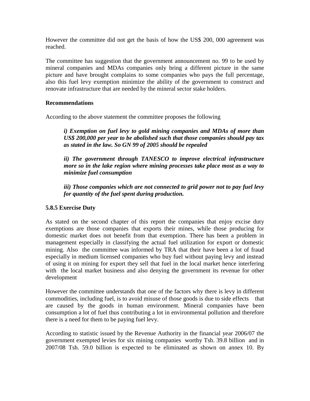However the committee did not get the basis of how the US\$ 200, 000 agreement was reached.

The committee has suggestion that the government announcement no. 99 to be used by mineral companies and MDAs companies only bring a different picture in the same picture and have brought complains to some companies who pays the full percentage, also this fuel levy exemption minimize the ability of the government to construct and renovate infrastructure that are needed by the mineral sector stake holders.

### **Recommendations**

According to the above statement the committee proposes the following

*i) Exemption on fuel levy to gold mining companies and MDAs of more than US\$ 200,000 per year to be abolished such that those companies should pay tax as stated in the law. So GN 99 of 2005 should be repealed* 

*ii) The government through TANESCO to improve electrical infrastructure more so in the lake region where mining processes take place most as a way to minimize fuel consumption* 

*iii) Those companies which are not connected to grid power not to pay fuel levy for quantity of the fuel spent during production.*

# **5.8.5 Exercise Duty**

As stated on the second chapter of this report the companies that enjoy excise duty exemptions are those companies that exports their mines, while those producing for domestic market does not benefit from that exemption. There has been a problem in management especially in classifying the actual fuel utilization for export or domestic mining. Also the committee was informed by TRA that their have been a lot of fraud especially in medium licensed companies who buy fuel without paying levy and instead of using it on mining for export they sell that fuel in the local market hence interfering with the local market business and also denying the government its revenue for other development

However the committee understands that one of the factors why there is levy in different commodities, including fuel, is to avoid misuse of those goods is due to side effects that are caused by the goods in human environment. Mineral companies have been consumption a lot of fuel thus contributing a lot in environmental pollution and therefore there is a need for them to be paying fuel levy.

According to statistic issued by the Revenue Authority in the financial year 2006/07 the government exempted levies for six mining companies worthy Tsh. 39.8 billion and in 2007/08 Tsh. 59.0 billion is expected to be eliminated as shown on annex 10. By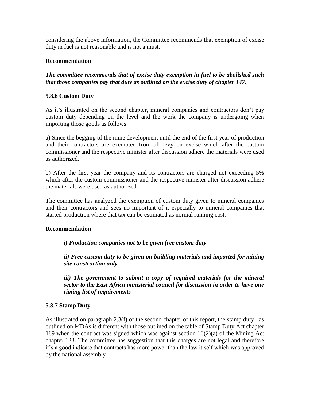considering the above information, the Committee recommends that exemption of excise duty in fuel is not reasonable and is not a must.

## **Recommendation**

*The committee recommends that of excise duty exemption in fuel to be abolished such that those companies pay that duty as outlined on the excise duty of chapter 147.*

## **5.8.6 Custom Duty**

As it"s illustrated on the second chapter, mineral companies and contractors don"t pay custom duty depending on the level and the work the company is undergoing when importing those goods as follows

a) Since the begging of the mine development until the end of the first year of production and their contractors are exempted from all levy on excise which after the custom commissioner and the respective minister after discussion adhere the materials were used as authorized.

b) After the first year the company and its contractors are charged not exceeding 5% which after the custom commissioner and the respective minister after discussion adhere the materials were used as authorized.

The committee has analyzed the exemption of custom duty given to mineral companies and their contractors and sees no important of it especially to mineral companies that started production where that tax can be estimated as normal running cost.

## **Recommendation**

*i) Production companies not to be given free custom duty*

*ii) Free custom duty to be given on building materials and imported for mining site construction only* 

*iii) The government to submit a copy of required materials for the mineral sector to the East Africa ministerial council for discussion in order to have one riming list of requirements* 

## **5.8.7 Stamp Duty**

As illustrated on paragraph 2.3(f) of the second chapter of this report, the stamp duty as outlined on MDAs is different with those outlined on the table of Stamp Duty Act chapter 189 when the contract was signed which was against section 10(2)(a) of the Mining Act chapter 123. The committee has suggestion that this charges are not legal and therefore it"s a good indicate that contracts has more power than the law it self which was approved by the national assembly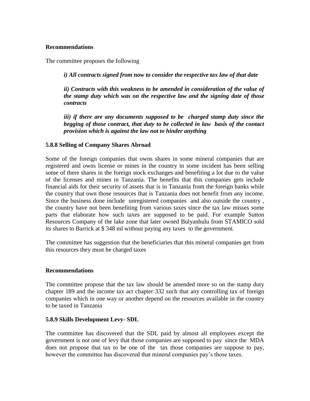#### **Recommendations**

The committee proposes the following

*i) All contracts signed from now to consider the respective tax law of that date* 

*ii)* Contracts with this weakness to be amended in consideration of the value of *the stamp duty which was on the respective law and the signing date of those contracts*

*iii) if there are any documents supposed to be charged stamp duty since the begging of those contract, that duty to be collected in law basis of the contact provision which is against the law not to hinder anything* 

#### **5.8.8 Selling of Company Shares Abroad**

Some of the foreign companies that owns shares in some mineral companies that are registered and owns license or mines in the country in some incident has been selling some of there shares in the foreign stock exchanges and benefiting a lot due to the value of the licenses and mines in Tanzania. The benefits that this companies gets include financial aids for their security of assets that is in Tanzania from the foreign banks while the country that own those resources that is Tanzania does not benefit from any income. Since the business done include unregistered companies and also outside the country , the country have not been benefiting from various taxes since the tax law misses some parts that elaborate how such taxes are supposed to be paid. For example Sutton Resources Company of the lake zone that later owned Bulyanhulu from STAMICO sold its shares to Barrick at \$ 348 ml without paying any taxes to the government.

The committee has suggestion that the beneficiaries that this mineral companies get from this resources they must be charged taxes

#### **Recommendations**

The committee propose that the tax law should be amended more so on the stamp duty chapter 189 and the income tax act chapter 332 such that any controlling tax of foreign companies which in one way or another depend on the resources available in the country to be taxed in Tanzania

## **5.8.9 Skills Development Levy- SDL**

The committee has discovered that the SDL paid by almost all employees except the government is not one of levy that those companies are supposed to pay since the MDA does not propose that tax to be one of the tax those companies are suppose to pay, however the committee has discovered that mineral companies pay's those taxes.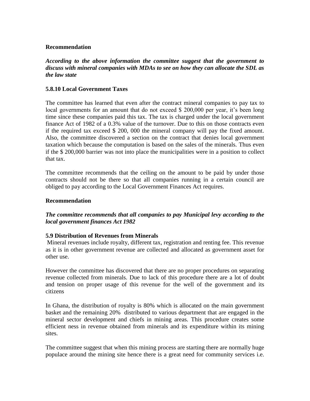## **Recommendation**

*According to the above information the committee suggest that the government to discuss with mineral companies with MDAs to see on how they can allocate the SDL as the law state* 

## **5.8.10 Local Government Taxes**

The committee has learned that even after the contract mineral companies to pay tax to local governments for an amount that do not exceed \$ 200,000 per year, it's been long time since these companies paid this tax. The tax is charged under the local government finance Act of 1982 of a 0.3% value of the turnover. Due to this on those contracts even if the required tax exceed \$ 200, 000 the mineral company will pay the fixed amount. Also, the committee discovered a section on the contract that denies local government taxation which because the computation is based on the sales of the minerals. Thus even if the \$ 200,000 barrier was not into place the municipalities were in a position to collect that tax.

The committee recommends that the ceiling on the amount to be paid by under those contracts should not be there so that all companies running in a certain council are obliged to pay according to the Local Government Finances Act requires.

## **Recommendation**

## *The committee recommends that all companies to pay Municipal levy according to the local government finances Act 1982*

## **5.9 Distribution of Revenues from Minerals**

Mineral revenues include royalty, different tax, registration and renting fee. This revenue as it is in other government revenue are collected and allocated as government asset for other use.

However the committee has discovered that there are no proper procedures on separating revenue collected from minerals. Due to lack of this procedure there are a lot of doubt and tension on proper usage of this revenue for the well of the government and its citizens

In Ghana, the distribution of royalty is 80% which is allocated on the main government basket and the remaining 20% distributed to various department that are engaged in the mineral sector development and chiefs in mining areas. This procedure creates some efficient ness in revenue obtained from minerals and its expenditure within its mining sites.

The committee suggest that when this mining process are starting there are normally huge populace around the mining site hence there is a great need for community services i.e.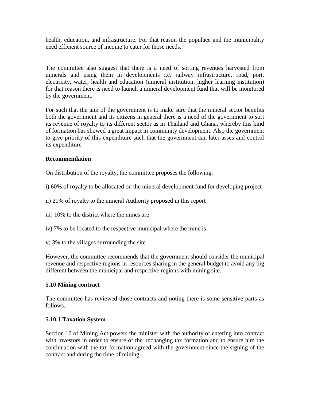health, education, and infrastructure. For that reason the populace and the municipality need efficient source of income to cater for those needs.

The committee also suggest that there is a need of sorting revenues harvested from minerals and using them in developments i.e. railway infrastructure, road, port, electricity, water, health and education (mineral institution, higher learning institution) for that reason there is need to launch a mineral development fund that will be monitored by the government.

For such that the aim of the government is to make sure that the mineral sector benefits both the government and its citizens in general there is a need of the government to sort its revenue of royalty to its different sector as in Thailand and Ghana, whereby this kind of formation has showed a great impact in community development. Also the government to give priority of this expenditure such that the government can later asses and control its expenditure

## **Recommendation**

On distribution of the royalty, the committee proposes the following:

- i) 60% of royalty to be allocated on the mineral development fund for developing project
- ii) 20% of royalty to the mineral Authority proposed in this report
- iii) 10% to the district where the mines are
- iv) 7% to be located to the respective municipal where the mine is
- v) 3% to the villages surrounding the site

However, the committee recommends that the government should consider the municipal revenue and respective regions in resources sharing in the general budget to avoid any big different between the municipal and respective regions with mining site.

## **5.10 Mining contract**

The committee has reviewed those contracts and noting there is some sensitive parts as follows.

## **5.10.1 Taxation System**

Section 10 of Mining Act powers the minister with the authority of entering into contract with investors in order to ensure of the unchanging tax formation and to ensure him the continuation with the tax formation agreed with the government since the signing of the contract and during the time of mining.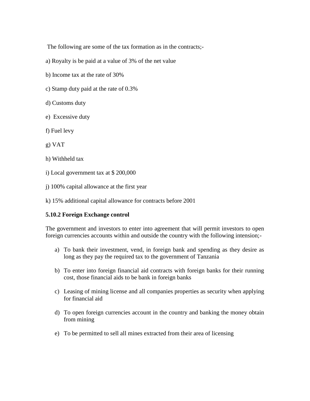The following are some of the tax formation as in the contracts;-

- a) Royalty is be paid at a value of 3% of the net value
- b) Income tax at the rate of 30%
- c) Stamp duty paid at the rate of 0.3%
- d) Customs duty
- e) Excessive duty
- f) Fuel levy
- g) VAT
- h) Withheld tax
- i) Local government tax at \$ 200,000
- j) 100% capital allowance at the first year
- k) 15% additional capital allowance for contracts before 2001

# **5.10.2 Foreign Exchange control**

The government and investors to enter into agreement that will permit investors to open foreign currencies accounts within and outside the country with the following intension;-

- a) To bank their investment, vend, in foreign bank and spending as they desire as long as they pay the required tax to the government of Tanzania
- b) To enter into foreign financial aid contracts with foreign banks for their running cost, those financial aids to be bank in foreign banks
- c) Leasing of mining license and all companies properties as security when applying for financial aid
- d) To open foreign currencies account in the country and banking the money obtain from mining
- e) To be permitted to sell all mines extracted from their area of licensing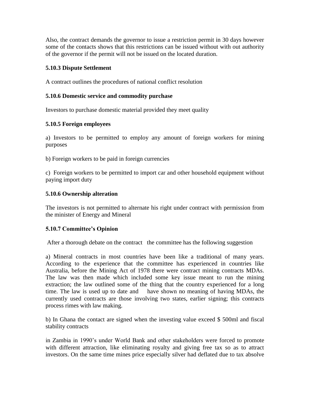Also, the contract demands the governor to issue a restriction permit in 30 days however some of the contacts shows that this restrictions can be issued without with out authority of the governor if the permit will not be issued on the located duration.

# **5.10.3 Dispute Settlement**

A contract outlines the procedures of national conflict resolution

# **5.10.6 Domestic service and commodity purchase**

Investors to purchase domestic material provided they meet quality

# **5.10.5 Foreign employees**

a) Investors to be permitted to employ any amount of foreign workers for mining purposes

b) Foreign workers to be paid in foreign currencies

c) Foreign workers to be permitted to import car and other household equipment without paying import duty

# **5.10.6 Ownership alteration**

The investors is not permitted to alternate his right under contract with permission from the minister of Energy and Mineral

# **5.10.7 Committee's Opinion**

After a thorough debate on the contract the committee has the following suggestion

a) Mineral contracts in most countries have been like a traditional of many years. According to the experience that the committee has experienced in countries like Australia, before the Mining Act of 1978 there were contract mining contracts MDAs. The law was then made which included some key issue meant to run the mining extraction; the law outlined some of the thing that the country experienced for a long time. The law is used up to date and have shown no meaning of having MDAs, the currently used contracts are those involving two states, earlier signing; this contracts process rimes with law making.

b) In Ghana the contact are signed when the investing value exceed \$ 500ml and fiscal stability contracts

in Zambia in 1990"s under World Bank and other stakeholders were forced to promote with different attraction, like eliminating royalty and giving free tax so as to attract investors. On the same time mines price especially silver had deflated due to tax absolve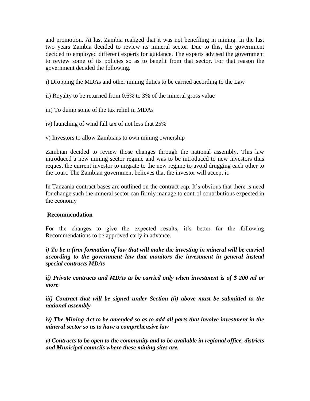and promotion. At last Zambia realized that it was not benefiting in mining. In the last two years Zambia decided to review its mineral sector. Due to this, the government decided to employed different experts for guidance. The experts advised the government to review some of its policies so as to benefit from that sector. For that reason the government decided the following.

- i) Dropping the MDAs and other mining duties to be carried according to the Law
- ii) Royalty to be returned from 0.6% to 3% of the mineral gross value
- iii) To dump some of the tax relief in MDAs
- iv) launching of wind fall tax of not less that 25%
- v) Investors to allow Zambians to own mining ownership

Zambian decided to review those changes through the national assembly. This law introduced a new mining sector regime and was to be introduced to new investors thus request the current investor to migrate to the new regime to avoid drugging each other to the court. The Zambian government believes that the investor will accept it.

In Tanzania contract bases are outlined on the contract cap. It"s obvious that there is need for change such the mineral sector can firmly manage to control contributions expected in the economy

# **Recommendation**

For the changes to give the expected results, it's better for the following Recommendations to be approved early in advance.

*i)* To be a firm formation of law that will make the investing in mineral will be carried *according to the government law that monitors the investment in general instead special contracts MDAs*

*ii) Private contracts and MDAs to be carried only when investment is of \$ 200 ml or more* 

*iii)* Contract that will be signed under Section *(ii)* above must be submitted to the *national assembly* 

*iv) The Mining Act to be amended so as to add all parts that involve investment in the mineral sector so as to have a comprehensive law* 

*v) Contracts to be open to the community and to be available in regional office, districts and Municipal councils where these mining sites are.*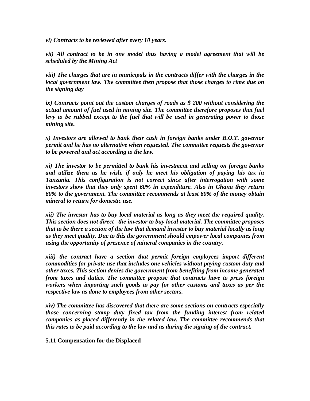*vi) Contracts to be reviewed after every 10 years.*

*vii) All contract to be in one model thus having a model agreement that will be scheduled by the Mining Act*

*viii) The charges that are in municipals in the contracts differ with the charges in the local government law. The committee then propose that those charges to rime due on the signing day*

*ix) Contracts point out the custom charges of roads as \$ 200 without considering the actual amount of fuel used in mining site. The committee therefore proposes that fuel levy to be rubbed except to the fuel that will be used in generating power to those mining site.*

*x) Investors are allowed to bank their cash in foreign banks under B.O.T. governor permit and he has no alternative when requested. The committee requests the governor to be powered and act according to the law.*

*xi) The investor to be permitted to bank his investment and selling on foreign banks and utilize them as he wish, if only he meet his obligation of paying his tax in Tanzania. This configuration is not correct since after interrogation with some investors show that they only spent 60% in expenditure. Also in Ghana they return 60% to the government. The committee recommends at least 60% of the money obtain mineral to return for domestic use.*

*xii) The investor has to buy local material as long as they meet the required quality. This section does not direct the investor to buy local material. The committee proposes that to be there a section of the law that demand investor to buy material locally as long as they meet quality. Due to this the government should empower local companies from using the opportunity of presence of mineral companies in the country.*

*xiii) the contract have a section that permit foreign employees import different commodities for private use that includes one vehicles without paying custom duty and other taxes. This section denies the government from benefiting from income generated from taxes and duties. The committee propose that contracts have to press foreign workers when importing such goods to pay for other customs and taxes as per the respective law as done to employees from other sectors.*

*xiv) The committee has discovered that there are some sections on contracts especially those concerning stamp duty fixed tax from the funding interest from related companies as placed differently in the related law. The committee recommends that this rates to be paid according to the law and as during the signing of the contract.*

**5.11 Compensation for the Displaced**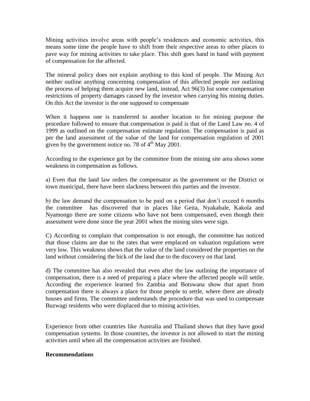Mining activities involve areas with people"s residences and economic activities, this means some time the people have to shift from their respective areas to other places to pave way for mining activities to take place. This shift goes hand in hand with payment of compensation for the affected.

The mineral policy does not explain anything to this kind of people. The Mining Act neither outline anything concerning compensation of this affected people nor outlining the process of helping them acquire new land, instead, Act 96(3) list some compensation restrictions of property damages caused by the investor when carrying his mining duties. On this Act the investor is the one supposed to compensate

When it happens one is transferred to another location to for mining purpose the procedure followed to ensure that compensation is paid is that of the Land Law no. 4 of 1999 as outlined on the compensation estimate regulation. The compensation is paid as per the land assessment of the value of the land for compensation regulation of 2001 given by the government notice no. 78 of  $4<sup>th</sup>$  May 2001.

According to the experience got by the committee from the mining site area shows some weakness in compensation as follows.

a) Even that the land law orders the compensator as the government or the District or town municipal, there have been slackness between this parties and the investor.

b) the law demand the compensation to be paid on a period that don"t exceed 6 months the committee has discovered that in places like Geita, Nyakabale, Kakola and Nyamongo there are some citizens who have not been compensated, even though their assessment were done since the year 2001 when the mining sites were sign.

C) According to complain that compensation is not enough, the committee has noticed that those claims are due to the rates that were emplaced on valuation regulations were very low. This weakness shows that the value of the land considered the properties on the land without considering the hick of the land due to the discovery on that land.

d) The committee has also revealed that even after the law outlining the importance of compensation, there is a need of preparing a place where the affected people will settle. According the experience learned fro Zambia and Botswana show that apart from compensation there is always a place for those people to settle, where there are already houses and firms. The committee understands the procedure that was used to compensate Buzwagi residents who were displaced due to mining activities.

Experience from other countries like Australia and Thailand shows that they have good compensation systems. In those countries, the investor is not allowed to start the mining activities until when all the compensation activities are finished.

## **Recommendations**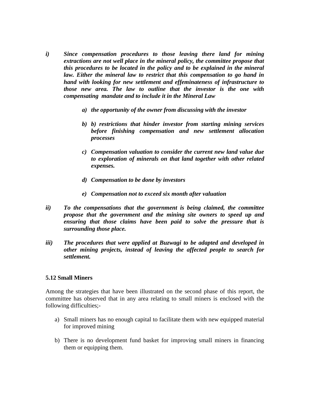- *i) Since compensation procedures to those leaving there land for mining extractions are not well place in the mineral policy, the committee propose that this procedures to be located in the policy and to be explained in the mineral*  law. Either the mineral law to restrict that this compensation to go hand in *hand with looking for new settlement and effeminateness of infrastructure to those new area. The law to outline that the investor is the one with compensating mandate and to include it in the Mineral Law*
	- *a) the opportunity of the owner from discussing with the investor*
	- *b) b) restrictions that hinder investor from starting mining services before finishing compensation and new settlement allocation processes*
	- *c) Compensation valuation to consider the current new land value due to exploration of minerals on that land together with other related expenses.*
	- *d) Compensation to be done by investors*
	- *e) Compensation not to exceed six month after valuation*
- *ii) To the compensations that the government is being claimed, the committee propose that the government and the mining site owners to speed up and ensuring that those claims have been paid to solve the pressure that is surrounding those place.*
- *iii) The procedures that were applied at Buzwagi to be adapted and developed in other mining projects, instead of leaving the affected people to search for settlement.*

#### **5.12 Small Miners**

Among the strategies that have been illustrated on the second phase of this report, the committee has observed that in any area relating to small miners is enclosed with the following difficulties;-

- a) Small miners has no enough capital to facilitate them with new equipped material for improved mining
- b) There is no development fund basket for improving small miners in financing them or equipping them.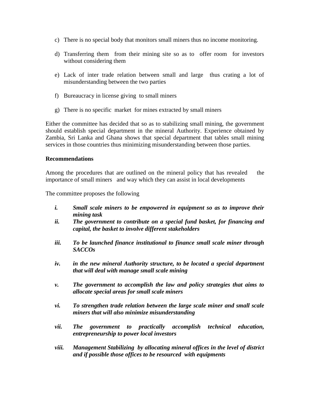- c) There is no special body that monitors small miners thus no income monitoring.
- d) Transferring them from their mining site so as to offer room for investors without considering them
- e) Lack of inter trade relation between small and large thus crating a lot of misunderstanding between the two parties
- f) Bureaucracy in license giving to small miners
- g) There is no specific market for mines extracted by small miners

Either the committee has decided that so as to stabilizing small mining, the government should establish special department in the mineral Authority. Experience obtained by Zambia, Sri Lanka and Ghana shows that special department that tables small mining services in those countries thus minimizing misunderstanding between those parties.

## **Recommendations**

Among the procedures that are outlined on the mineral policy that has revealed the importance of small miners and way which they can assist in local developments

The committee proposes the following

- *i. Small scale miners to be empowered in equipment so as to improve their mining task*
- *ii. The government to contribute on a special fund basket, for financing and capital, the basket to involve different stakeholders*
- *iii. To be launched finance institutional to finance small scale miner through SACCOs*
- *iv. in the new mineral Authority structure, to be located a special department that will deal with manage small scale mining*
- *v. The government to accomplish the law and policy strategies that aims to allocate special areas for small scale miners*
- *vi. To strengthen trade relation between the large scale miner and small scale miners that will also minimize misunderstanding*
- *vii. The government to practically accomplish technical education, entrepreneurship to power local investors*
- *viii. Management Stabilizing by allocating mineral offices in the level of district and if possible those offices to be resourced with equipments*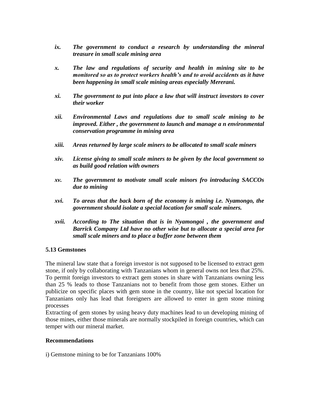- *ix. The government to conduct a research by understanding the mineral treasure in small scale mining area*
- *x. The law and regulations of security and health in mining site to be monitored so as to protect workers health's and to avoid accidents as it have been happening in small scale mining areas especially Mererani.*
- *xi. The government to put into place a law that will instruct investors to cover their worker*
- *xii. Environmental Laws and regulations due to small scale mining to be improved. Either , the government to launch and manage a n environmental conservation programme in mining area*
- *xiii. Areas returned by large scale miners to be allocated to small scale miners*
- *xiv. License giving to small scale miners to be given by the local government so as build good relation with owners*
- *xv. The government to motivate small scale minors fro introducing SACCOs due to mining*
- *xvi. To areas that the back born of the economy is mining i.e. Nyamongo, the government should isolate a special location for small scale miners.*
- *xvii. According to The situation that is in Nyamongoi , the government and Barrick Company Ltd have no other wise but to allocate a special area for small scale miners and to place a buffer zone between them*

## **5.13 Gemstones**

The mineral law state that a foreign investor is not supposed to be licensed to extract gem stone, if only by collaborating with Tanzanians whom in general owns not less that 25%. To permit foreign investors to extract gem stones in share with Tanzanians owning less than 25 % leads to those Tanzanians not to benefit from those gem stones. Either un publicize on specific places with gem stone in the country, like not special location for Tanzanians only has lead that foreigners are allowed to enter in gem stone mining processes

Extracting of gem stones by using heavy duty machines lead to un developing mining of those mines, either those minerals are normally stockpiled in foreign countries, which can temper with our mineral market.

#### **Recommendations**

i) Gemstone mining to be for Tanzanians 100%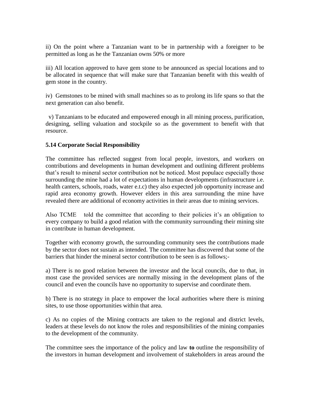ii) On the point where a Tanzanian want to be in partnership with a foreigner to be permitted as long as he the Tanzanian owns 50% or more

iii) All location approved to have gem stone to be announced as special locations and to be allocated in sequence that will make sure that Tanzanian benefit with this wealth of gem stone in the country.

iv) Gemstones to be mined with small machines so as to prolong its life spans so that the next generation can also benefit.

 v) Tanzanians to be educated and empowered enough in all mining process, purification, designing, selling valuation and stockpile so as the government to benefit with that resource.

## **5.14 Corporate Social Responsibility**

The committee has reflected suggest from local people, investors, and workers on contributions and developments in human development and outlining different problems that"s result to mineral sector contribution not be noticed. Most populace especially those surrounding the mine had a lot of expectations in human developments (infrastructure i.e. health canters, schools, roads, water e.t.c) they also expected job opportunity increase and rapid area economy growth. However elders in this area surrounding the mine have revealed there are additional of economy activities in their areas due to mining services.

Also TCME told the committee that according to their policies it's an obligation to every company to build a good relation with the community surrounding their mining site in contribute in human development.

Together with economy growth, the surrounding community sees the contributions made by the sector does not sustain as intended. The committee has discovered that some of the barriers that hinder the mineral sector contribution to be seen is as follows;-

a) There is no good relation between the investor and the local councils, due to that, in most case the provided services are normally missing in the development plans of the council and even the councils have no opportunity to supervise and coordinate them.

b) There is no strategy in place to empower the local authorities where there is mining sites, to use those opportunities within that area.

c) As no copies of the Mining contracts are taken to the regional and district levels, leaders at these levels do not know the roles and responsibilities of the mining companies to the development of the community.

The committee sees the importance of the policy and law **to** outline the responsibility of the investors in human development and involvement of stakeholders in areas around the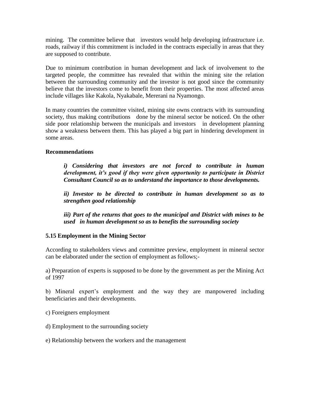mining. The committee believe that investors would help developing infrastructure i.e. roads, railway if this commitment is included in the contracts especially in areas that they are supposed to contribute.

Due to minimum contribution in human development and lack of involvement to the targeted people, the committee has revealed that within the mining site the relation between the surrounding community and the investor is not good since the community believe that the investors come to benefit from their properties. The most affected areas include villages like Kakola, Nyakabale, Mererani na Nyamongo.

In many countries the committee visited, mining site owns contracts with its surrounding society, thus making contributions done by the mineral sector be noticed. On the other side poor relationship between the municipals and investors in development planning show a weakness between them. This has played a big part in hindering development in some areas.

# **Recommendations**

*i) Considering that investors are not forced to contribute in human development, it's good if they were given opportunity to participate in District Consultant Council so as to understand the importance to those developments.*

*ii) Investor to be directed to contribute in human development so as to strengthen good relationship* 

*iii) Part of the returns that goes to the municipal and District with mines to be used in human development so as to benefits the surrounding society* 

# **5.15 Employment in the Mining Sector**

According to stakeholders views and committee preview, employment in mineral sector can be elaborated under the section of employment as follows;-

a) Preparation of experts is supposed to be done by the government as per the Mining Act of 1997

b) Mineral expert's employment and the way they are manpowered including beneficiaries and their developments.

c) Foreigners employment

- d) Employment to the surrounding society
- e) Relationship between the workers and the management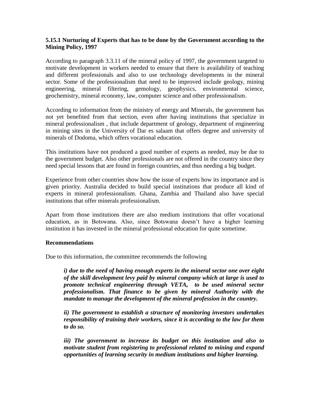## **5.15.1 Nurturing of Experts that has to be done by the Government according to the Mining Policy, 1997**

According to paragraph 3.3.11 of the mineral policy of 1997, the government targeted to motivate development in workers needed to ensure that there is availability of teaching and different professionals and also to use technology developments in the mineral sector. Some of the professionalism that need to be improved include geology, mining engineering, mineral filtering, gemology, geophysics, environmental science, geochemistry, mineral economy, law, computer science and other professionalism.

According to information from the ministry of energy and Minerals, the government has not yet benefited from that section, even after having institutions that specialize in mineral professionalism , that include department of geology, department of engineering in mining sites in the University of Dar es salaam that offers degree and university of minerals of Dodoma, which offers vocational education.

This institutions have not produced a good number of experts as needed, may be due to the government budget. Also other professionals are not offered in the country since they need special lessons that are found in foreign countries, and thus needing a big budget.

Experience from other countries show how the issue of experts how its importance and is given priority. Australia decided to build special institutions that produce all kind of experts in mineral professionalism. Ghana, Zambia and Thailand also have special institutions that offer minerals professionalism.

Apart from those institutions there are also medium institutions that offer vocational education, as in Botswana. Also, since Botswana doesn"t have a higher learning institution it has invested in the mineral professional education for quite sometime.

## **Recommendations**

Due to this information, the committee recommends the following

*i) due to the need of having enough experts in the mineral sector one over eight of the skill development levy paid by mineral company which at large is used to promote technical engineering through VETA, to be used mineral sector professionalism. That finance to be given by mineral Authority with the mandate to manage the development of the mineral profession in the country.*

*ii) The government to establish a structure of monitoring investors undertakes responsibility of training their workers, since it is according to the law for them to do so.*

*iii) The government to increase its budget on this institution and also to motivate student from registering to professional related to mining and expand opportunities of learning security in medium institutions and higher learning.*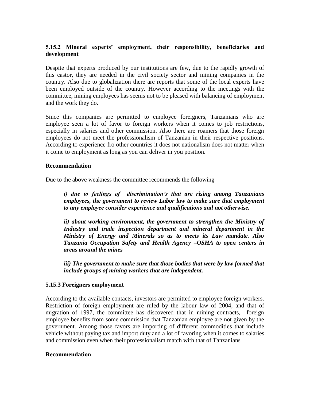# **5.15.2 Mineral experts' employment, their responsibility, beneficiaries and development**

Despite that experts produced by our institutions are few, due to the rapidly growth of this castor, they are needed in the civil society sector and mining companies in the country. Also due to globalization there are reports that some of the local experts have been employed outside of the country. However according to the meetings with the committee, mining employees has seems not to be pleased with balancing of employment and the work they do.

Since this companies are permitted to employee foreigners, Tanzanians who are employee seen a lot of favor to foreign workers when it comes to job restrictions, especially in salaries and other commission. Also there are roamers that those foreign employees do not meet the professionalism of Tanzanian in their respective positions. According to experience fro other countries it does not nationalism does not matter when it come to employment as long as you can deliver in you position.

## **Recommendation**

Due to the above weakness the committee recommends the following

*i) due to feelings of discrimination's that are rising among Tanzanians employees, the government to review Labor law to make sure that employment to any employee consider experience and qualifications and not otherwise.*

*ii) about working environment, the government to strengthen the Ministry of Industry and trade inspection department and mineral department in the Ministry of Energy and Minerals so as to meets its Law mandate. Also Tanzania Occupation Safety and Health Agency –OSHA to open centers in areas around the mines*

*iii)* The government to make sure that those bodies that were by law formed that *include groups of mining workers that are independent.*

## **5.15.3 Foreigners employment**

According to the available contacts, investors are permitted to employee foreign workers. Restriction of foreign employment are ruled by the labour law of 2004, and that of migration of 1997, the committee has discovered that in mining contracts, foreign employee benefits from some commission that Tanzanian employee are not given by the government. Among those favors are importing of different commodities that include vehicle without paying tax and import duty and a lot of favoring when it comes to salaries and commission even when their professionalism match with that of Tanzanians

## **Recommendation**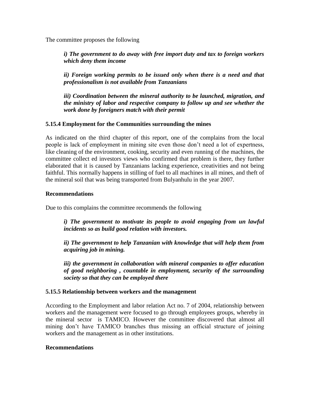The committee proposes the following

*i) The government to do away with free import duty and tax to foreign workers which deny them income*

*ii) Foreign working permits to be issued only when there is a need and that professionalism is not available from Tanzanians*

*iii) Coordination between the mineral authority to be launched, migration, and the ministry of labor and respective company to follow up and see whether the work done by foreigners match with their permit* 

## **5.15.4 Employment for the Communities surrounding the mines**

As indicated on the third chapter of this report, one of the complains from the local people is lack of employment in mining site even those don"t need a lot of expertness, like cleaning of the environment, cooking, security and even running of the machines, the committee collect ed investors views who confirmed that problem is there, they further elaborated that it is caused by Tanzanians lacking experience, creativities and not being faithful. This normally happens in stilling of fuel to all machines in all mines, and theft of the mineral soil that was being transported from Bulyanhulu in the year 2007.

## **Recommendations**

Due to this complains the committee recommends the following

*i) The government to motivate its people to avoid engaging from un lawful incidents so as build good relation with investors.*

*ii) The government to help Tanzanian with knowledge that will help them from acquiring job in mining.*

*iii) the government in collaboration with mineral companies to offer education of good neighboring , countable in employment, security of the surrounding society so that they can be employed there*

## **5.15.5 Relationship between workers and the management**

According to the Employment and labor relation Act no. 7 of 2004, relationship between workers and the management were focused to go through employees groups, whereby in the mineral sector is TAMICO. However the committee discovered that almost all mining don"t have TAMICO branches thus missing an official structure of joining workers and the management as in other institutions.

## **Recommendations**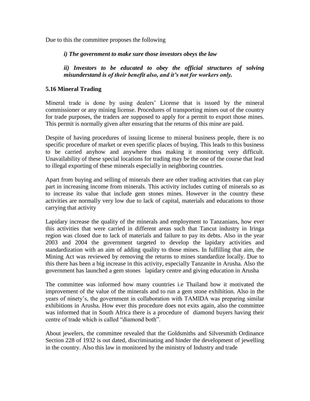Due to this the committee proposes the following

*i) The government to make sure those investors obeys the law*

*ii) Investors to be educated to obey the official structures of solving misunderstand is of their benefit also, and it's not for workers only.*

## **5.16 Mineral Trading**

Mineral trade is done by using dealers" License that is issued by the mineral commissioner or any mining license. Procedures of transporting mines out of the country for trade purposes, the traders are supposed to apply for a permit to export those mines. This permit is normally given after ensuring that the returns of this mine are paid.

Despite of having procedures of issuing license to mineral business people, there is no specific procedure of market or even specific places of buying. This leads to this business to be carried anyhow and anywhere thus making it monitoring very difficult. Unavailability of these special locations for trading may be the one of the course that lead to illegal exporting of these minerals especially in neighboring countries.

Apart from buying and selling of minerals there are other trading activities that can play part in increasing income from minerals. This activity includes cutting of minerals so as to increase its value that include gem stones mines. However in the country these activities are normally very low due to lack of capital, materials and educations to those carrying that activity

Lapidary increase the quality of the minerals and employment to Tanzanians, how ever this activities that were carried in different areas such that Tancut industry in Iringa region was closed due to lack of materials and failure to pay its debts. Also in the year 2003 and 2004 the government targeted to develop the lapidary activities and standardization with an aim of adding quality to those mines. In fulfilling that aim, the Mining Act was reviewed by removing the returns to mines standardize locally. Due to this there has been a big increase in this activity, especially Tanzanite in Arusha. Also the government has launched a gem stones lapidary centre and giving education in Arusha

The committee was informed how many countries i.e Thailand how it motivated the improvement of the value of the minerals and to run a gem stone exhibition. Also in the years of ninety"s, the government in collaboration with TAMIDA was preparing similar exhibitions in Arusha. How ever this procedure does not exits again, also the committee was informed that in South Africa there is a procedure of diamond buyers having their centre of trade which is called "diamond both".

About jewelers, the committee revealed that the Goldsmiths and Silversmith Ordinance Section 228 of 1932 is out dated, discriminating and hinder the development of jewelling in the country. Also this law in monitored by the ministry of Industry and trade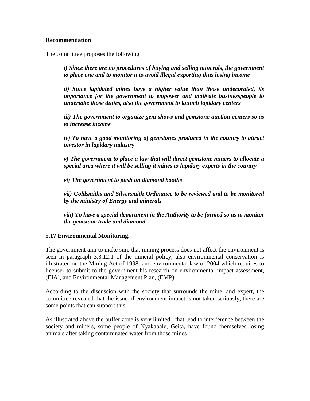## **Recommendation**

The committee proposes the following

*i) Since there are no procedures of buying and selling minerals, the government to place one and to monitor it to avoid illegal exporting thus losing income* 

*ii) Since lapidated mines have a higher value than those undecorated, its importance for the government to empower and motivate businesspeople to undertake those duties, also the government to launch lapidary centers*

*iii) The government to organize gem shows and gemstone auction centers so as to increase income* 

*iv) To have a good monitoring of gemstones produced in the country to attract investor in lapidary industry* 

*v) The government to place a law that will direct gemstone miners to allocate a special area where it will be selling it mines to lapidary experts in the country*

*vi) The government to push on diamond booths* 

*vii) Goldsmiths and Silversmith Ordinance to be reviewed and to be monitored by the ministry of Energy and minerals* 

*viii) To have a special department in the Authority to be formed so as to monitor the gemstone trade and diamond* 

# **5.17 Environmental Monitoring.**

The government aim to make sure that mining process does not affect the environment is seen in paragraph 3.3.12.1 of the mineral policy, also environmental conservation is illustrated on the Mining Act of 1998, and environmental law of 2004 which requires to licenser to submit to the government his research on environmental impact assessment, (EIA), and Environmental Management Plan, (EMP)

According to the discussion with the society that surrounds the mine, and expert, the committee revealed that the issue of environment impact is not taken seriously, there are some points that can support this.

As illustrated above the buffer zone is very limited , that lead to interference between the society and miners, some people of Nyakabale, Geita, have found themselves losing animals after taking contaminated water from those mines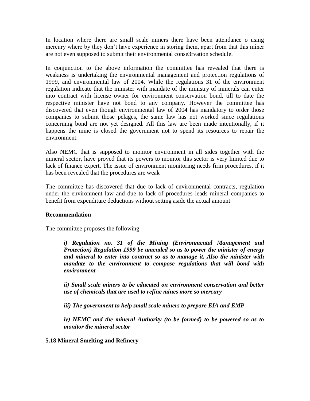In location where there are small scale miners there have been attendance o using mercury where by they don"t have experience in storing them, apart from that this miner are not even supposed to submit their environmental conse3rvation schedule.

In conjunction to the above information the committee has revealed that there is weakness is undertaking the environmental management and protection regulations of 1999, and environmental law of 2004. While the regulations 31 of the environment regulation indicate that the minister with mandate of the ministry of minerals can enter into contract with license owner for environment conservation bond, till to date the respective minister have not bond to any company. However the committee has discovered that even though environmental law of 2004 has mandatory to order those companies to submit those pelages, the same law has not worked since regulations concerning bond are not yet designed. All this law are been made intentionally, if it happens the mine is closed the government not to spend its resources to repair the environment.

Also NEMC that is supposed to monitor environment in all sides together with the mineral sector, have proved that its powers to monitor this sector is very limited due to lack of finance expert. The issue of environment monitoring needs firm procedures, if it has been revealed that the procedures are weak

The committee has discovered that due to lack of environmental contracts, regulation under the environment law and due to lack of procedures leads mineral companies to benefit from expenditure deductions without setting aside the actual amount

## **Recommendation**

The committee proposes the following

*i) Regulation no. 31 of the Mining (Environmental Management and Protection) Regulation 1999 be amended so as to power the minister of energy and mineral to enter into contract so as to manage it. Also the minister with mandate to the environment to compose regulations that will bond with environment* 

*ii) Small scale miners to be educated on environment conservation and better use of chemicals that are used to refine mines more so mercury* 

*iii) The government to help small scale miners to prepare EIA and EMP* 

*iv) NEMC and the mineral Authority (to be formed) to be powered so as to monitor the mineral sector* 

**5.18 Mineral Smelting and Refinery**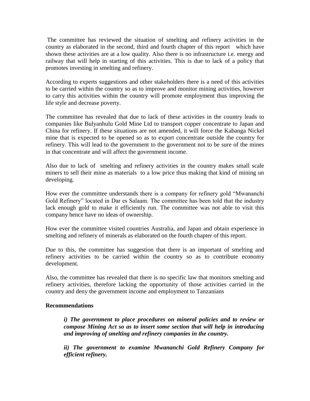The committee has reviewed the situation of smelting and refinery activities in the country as elaborated in the second, third and fourth chapter of this report which have shown these activities are at a low quality. Also there is no infrastructure i.e. energy and railway that will help in starting of this activities. This is due to lack of a policy that promotes investing in smelting and refinery.

According to experts suggestions and other stakeholders there is a need of this activities to be carried within the country so as to improve and monitor mining activities, however to carry this activities within the country will promote employment thus improving the life style and decrease poverty.

The committee has revealed that due to lack of these activities in the country leads to companies like Bulyanhulu Gold Mine Ltd to transport copper concentrate to Japan and China for refinery. If these situations are not amended, it will force the Kabanga Nickel mine that is expected to be opened so as to export concentrate outside the country for refinery. This will lead to the government to the government not to be sure of the mines in that concentrate and will affect the government income.

Also due to lack of smelting and refinery activities in the country makes small scale miners to sell their mine as materials to a low price thus making that kind of mining un developing.

How ever the committee understands there is a company for refinery gold "Mwananchi Gold Refinery" located in Dar es Salaam. The committee has been told that the industry lack enough gold to make it efficiently run. The committee was not able to visit this company hence have no ideas of ownership.

How ever the committee visited countries Australia, and Japan and obtain experience in smelting and refinery of minerals as elaborated on the fourth chapter of this report.

Due to this, the committee has suggestion that there is an important of smelting and refinery activities to be carried within the country so as to contribute economy development.

Also, the committee has revealed that there is no specific law that monitors smelting and refinery activities, therefore lacking the opportunity of those activities carried in the country and deny the government income and employment to Tanzanians

## **Recommendations**

*i) The government to place procedures on mineral policies and to review or compose Mining Act so as to insert some section that will help in introducing and improving of smelting and refinery companies in the country.*

*ii) The government to examine Mwananchi Gold Refinery Company for efficient refinery.*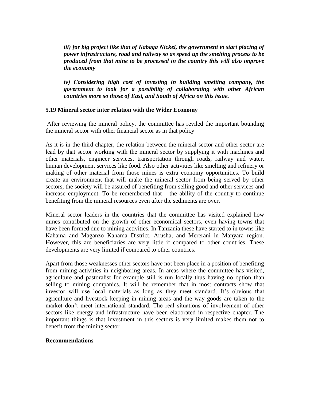*iii) for big project like that of Kabaga Nickel, the government to start placing of power infrastructure, road and railway so as speed up the smelting process to be produced from that mine to be processed in the country this will also improve the economy*

*iv) Considering high cost of investing in building smelting company, the government to look for a possibility of collaborating with other African countries more so those of East, and South of Africa on this issue.*

## **5.19 Mineral sector inter relation with the Wider Economy**

After reviewing the mineral policy, the committee has reviled the important bounding the mineral sector with other financial sector as in that policy

As it is in the third chapter, the relation between the mineral sector and other sector are lead by that sector working with the mineral sector by supplying it with machines and other materials, engineer services, transportation through roads, railway and water, human development services like food. Also other activities like smelting and refinery or making of other material from those mines is extra economy opportunities. To build create an environment that will make the mineral sector from being served by other sectors, the society will be assured of benefiting from selling good and other services and increase employment. To be remembered that the ability of the country to continue benefiting from the mineral resources even after the sediments are over.

Mineral sector leaders in the countries that the committee has visited explained how mines contributed on the growth of other economical sectors, even having towns that have been formed due to mining activities. In Tanzania these have started to in towns like Kahama and Maganzo Kahama District, Arusha, and Mererani in Manyara region. However, this are beneficiaries are very little if compared to other countries. These developments are very limited if compared to other countries.

Apart from those weaknesses other sectors have not been place in a position of benefiting from mining activities in neighboring areas. In areas where the committee has visited, agriculture and pastoralist for example still is run locally thus having no option than selling to mining companies. It will be remember that in most contracts show that investor will use local materials as long as they meet standard. It's obvious that agriculture and livestock keeping in mining areas and the way goods are taken to the market don"t meet international standard. The real situations of involvement of other sectors like energy and infrastructure have been elaborated in respective chapter. The important things is that investment in this sectors is very limited makes them not to benefit from the mining sector.

## **Recommendations**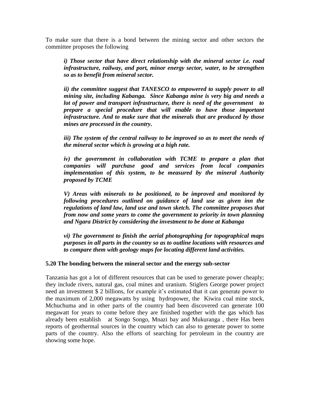To make sure that there is a bond between the mining sector and other sectors the committee proposes the following

*i) Those sector that have direct relationship with the mineral sector i.e. road infrastructure, railway, and port, minor energy sector, water, to be strengthen so as to benefit from mineral sector.*

*ii) the committee suggest that TANESCO to empowered to supply power to all mining site, including Kabanga. Since Kabanga mine is very big and needs a lot of power and transport infrastructure, there is need of the government to prepare a special procedure that will enable to have those important infrastructure. And to make sure that the minerals that are produced by those mines are processed in the country.*

*iii)* The system of the central railway to be improved so as to meet the needs of *the mineral sector which is growing at a high rate.*

*iv) the government in collaboration with TCME to prepare a plan that companies will purchase good and services from local companies implementation of this system, to be measured by the mineral Authority proposed by TCME*

*V) Areas with minerals to be positioned, to be improved and monitored by following procedures outlined on guidance of land use as given inn the regulations of land law, land use and town sketch. The committee proposes that from now and some years to come the government to priority in town planning and Ngara District by considering the investment to be done at Kabanga*

*vi) The government to finish the aerial photographing for topographical maps purposes in all parts in the country so as to outline locations with resources and to compare them with geology maps for locating different land activities.*

#### **5.20 The bonding between the mineral sector and the energy sub-sector**

Tanzania has got a lot of different resources that can be used to generate power cheaply; they include rivers, natural gas, coal mines and uranium. Stiglers George power project need an investment \$ 2 billions, for example it's estimated that it can generate power to the maximum of 2,000 megawatts by using hydropower, the Kiwira coal mine stock, Mchuchuma and in other parts of the country had been discovered can generate 100 megawatt for years to come before they are finished together with the gas which has already been establish at Songo Songo, Mnazi bay and Mukuranga , there Has been reports of geothermal sources in the country which can also to generate power to some parts of the country. Also the efforts of searching for petroleum in the country are showing some hope.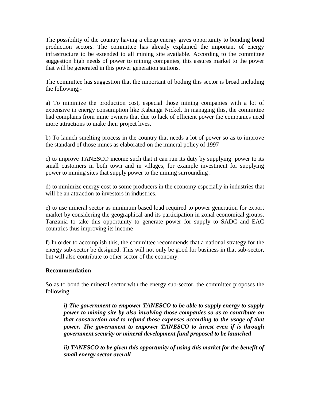The possibility of the country having a cheap energy gives opportunity to bonding bond production sectors. The committee has already explained the important of energy infrastructure to be extended to all mining site available. According to the committee suggestion high needs of power to mining companies, this assures market to the power that will be generated in this power generation stations.

The committee has suggestion that the important of boding this sector is broad including the following;-

a) To minimize the production cost, especial those mining companies with a lot of expensive in energy consumption like Kabanga Nickel. In managing this, the committee had complains from mine owners that due to lack of efficient power the companies need more attractions to make their project lives.

b) To launch smelting process in the country that needs a lot of power so as to improve the standard of those mines as elaborated on the mineral policy of 1997

c) to improve TANESCO income such that it can run its duty by supplying power to its small customers in both town and in villages, for example investment for supplying power to mining sites that supply power to the mining surrounding .

d) to minimize energy cost to some producers in the economy especially in industries that will be an attraction to investors in industries.

e) to use mineral sector as minimum based load required to power generation for export market by considering the geographical and its participation in zonal economical groups. Tanzania to take this opportunity to generate power for supply to SADC and EAC countries thus improving its income

f) In order to accomplish this, the committee recommends that a national strategy for the energy sub-sector be designed. This will not only be good for business in that sub-sector, but will also contribute to other sector of the economy.

## **Recommendation**

So as to bond the mineral sector with the energy sub-sector, the committee proposes the following

*i) The government to empower TANESCO to be able to supply energy to supply power to mining site by also involving those companies so as to contribute on that construction and to refund those expenses according to the usage of that power. The government to empower TANESCO to invest even if is through government security or mineral development fund proposed to be launched*

*ii) TANESCO to be given this opportunity of using this market for the benefit of small energy sector overall*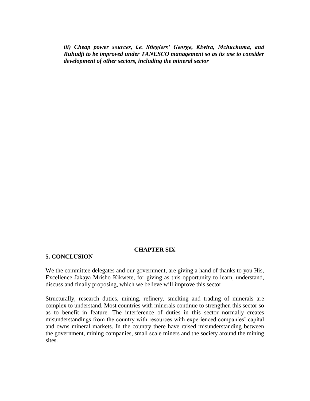*iii) Cheap power sources, i.e. Stieglers' George, Kiwira, Mchuchuma, and Ruhudji to be improved under TANESCO management so as its use to consider development of other sectors, including the mineral sector* 

#### **CHAPTER SIX**

#### **5. CONCLUSION**

We the committee delegates and our government, are giving a hand of thanks to you His, Excellence Jakaya Mrisho Kikwete, for giving as this opportunity to learn, understand, discuss and finally proposing, which we believe will improve this sector

Structurally, research duties, mining, refinery, smelting and trading of minerals are complex to understand. Most countries with minerals continue to strengthen this sector so as to benefit in feature. The interference of duties in this sector normally creates misunderstandings from the country with resources with experienced companies" capital and owns mineral markets. In the country there have raised misunderstanding between the government, mining companies, small scale miners and the society around the mining sites.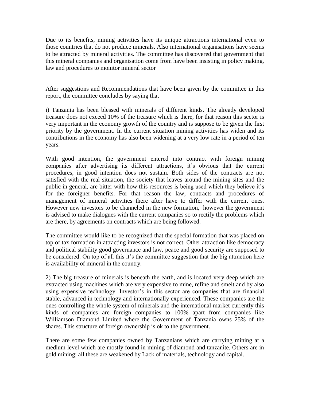Due to its benefits, mining activities have its unique attractions international even to those countries that do not produce minerals. Also international organisations have seems to be attracted by mineral activities. The committee has discovered that government that this mineral companies and organisation come from have been insisting in policy making, law and procedures to monitor mineral sector

After suggestions and Recommendations that have been given by the committee in this report, the committee concludes by saying that

i) Tanzania has been blessed with minerals of different kinds. The already developed treasure does not exceed 10% of the treasure which is there, for that reason this sector is very important in the economy growth of the country and is suppose to be given the first priority by the government. In the current situation mining activities has widen and its contributions in the economy has also been widening at a very low rate in a period of ten years.

With good intention, the government entered into contract with foreign mining companies after advertising its different attractions, it's obvious that the current procedures, in good intention does not sustain. Both sides of the contracts are not satisfied with the real situation, the society that leaves around the mining sites and the public in general, are bitter with how this resources is being used which they believe it"s for the foreigner benefits. For that reason the law, contracts and procedures of management of mineral activities there after have to differ with the current ones. However new investors to be channeled in the new formation, however the government is advised to make dialogues with the current companies so to rectify the problems which are there, by agreements on contracts which are being followed.

The committee would like to be recognized that the special formation that was placed on top of tax formation in attracting investors is not correct. Other attraction like democracy and political stability good governance and law, peace and good security are supposed to be considered. On top of all this it's the committee suggestion that the big attraction here is availability of mineral in the country.

2) The big treasure of minerals is beneath the earth, and is located very deep which are extracted using machines which are very expensive to mine, refine and smelt and by also using expensive technology. Investor's in this sector are companies that are financial stable, advanced in technology and internationally experienced. These companies are the ones controlling the whole system of minerals and the international market currently this kinds of companies are foreign companies to 100% apart from companies like Williamson Diamond Limited where the Government of Tanzania owns 25% of the shares. This structure of foreign ownership is ok to the government.

There are some few companies owned by Tanzanians which are carrying mining at a medium level which are mostly found in mining of diamond and tanzanite. Others are in gold mining; all these are weakened by Lack of materials, technology and capital.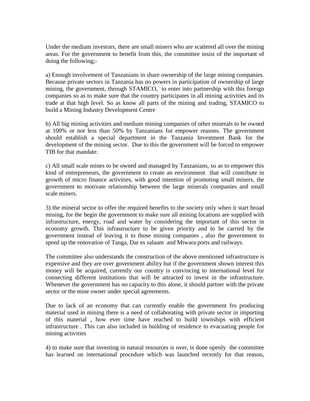Under the medium investors, there are small miners who are scattered all over the mining areas. For the government to benefit from this, the committee insist of the important of doing the following;-

a) Enough involvement of Tanzanians in share ownership of the large mining companies. Because private sectors in Tanzania has no powers in participation of ownership of large mining, the government, through STAMICO, to enter into partnership with this foreign companies so as to make sure that the country participates in all mining activities and its trade at that high level. So as know all parts of the mining and trading, STAMICO to build a Mining Industry Development Centre

b) All big mining activities and medium mining companies of other minerals to be owned at 100% or not less than 50% by Tanzanians for empower reasons. The government should establish a special department in the Tanzania Investment Bank for the development of the mining sector. Due to this the government will be forced to empower TIB for that mandate.

c) All small scale mines to be owned and managed by Tanzanians, so as to empower this kind of entrepreneurs, the government to create an environment that will contribute in growth of micro finance activities, with good intention of promoting small miners, the government to motivate relationship between the large minerals companies and small scale miners.

3) the mineral sector to offer the required benefits to the society only when it start broad mining, for the begin the government to make sure all mining locations are supplied with infrastructure, energy, road and water by considering the important of this sector in economy growth. This infrastructure to be given priority and to be carried by the government instead of leaving it to those mining companies , also the government to speed up the renovation of Tanga, Dar es salaam and Mtwara ports and railways.

The committee also understands the construction of the above mentioned infrastructure is expensive and they are over government ability but if the government shown interest this money will be acquired, currently our country is convincing to international level for connecting different institutions that will be attracted to invest in the infrastructure. Whenever the government has no capacity to this alone, it should partner with the private sector or the mine owner under special agreements.

Due to lack of an economy that can currently enable the government fro producing material used in mining there is a need of collaborating with private sector in importing of this material , how ever time have reached to build townships with efficient infrastructure . This can also included in building of residence to evacuating people for mining activities

4) to make sure that investing in natural resources is over, is done openly the committee has learned on international procedure which was launched recently for that reason,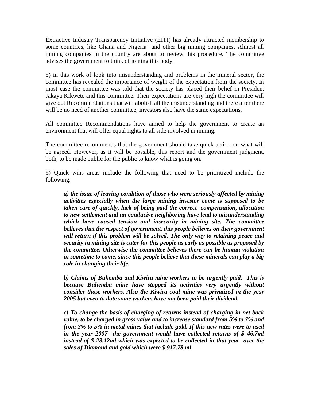Extractive Industry Transparency Initiative (EITI) has already attracted membership to some countries, like Ghana and Nigeria and other big mining companies. Almost all mining companies in the country are about to review this procedure. The committee advises the government to think of joining this body.

5) in this work of look into misunderstanding and problems in the mineral sector, the committee has revealed the importance of weight of the expectation from the society. In most case the committee was told that the society has placed their belief in President Jakaya Kikwete and this committee. Their expectations are very high the committee will give out Recommendations that will abolish all the misunderstanding and there after there will be no need of another committee, investors also have the same expectations.

All committee Recommendations have aimed to help the government to create an environment that will offer equal rights to all side involved in mining.

The committee recommends that the government should take quick action on what will be agreed. However, as it will be possible, this report and the government judgment, both, to be made public for the public to know what is going on.

6) Quick wins areas include the following that need to be prioritized include the following:

*a) the issue of leaving condition of those who were seriously affected by mining activities especially when the large mining investor come is supposed to be taken care of quickly, lack of being paid the correct compensation, allocation to new settlement and un conducive neighboring have lead to misunderstanding which have caused tension and insecurity in mining site. The committee believes that the respect of government, this people believes on their government will return if this problem will be solved. The only way to retaining peace and security in mining site is cater for this people as early as possible as proposed by the committee. Otherwise the committee believes there can be human violation in sometime to come, since this people believe that these minerals can play a big role in changing their life.*

*b) Claims of Buhemba and Kiwira mine workers to be urgently paid. This is because Buhemba mine have stopped its activities very urgently without consider those workers. Also the Kiwira coal mine was privatized in the year 2005 but even to date some workers have not been paid their dividend.*

*c) To change the basis of charging of returns instead of charging in net back value, to be charged in gross value and to increase standard from 5% to 7% and from 3% to 5% in metal mines that include gold. If this new rates were to used in the year 2007 the government would have collected returns of \$ 46.7ml instead of \$ 28.12ml which was expected to be collected in that year over the sales of Diamond and gold which were \$ 917.78 ml*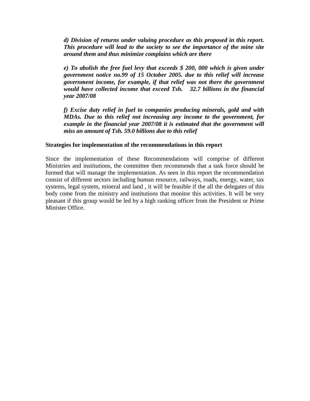*d) Division of returns under valuing procedure as this proposed in this report. This procedure will lead to the society to see the importance of the mine site around them and thus minimize complains which are there*

*e) To abolish the free fuel levy that exceeds \$ 200, 000 which is given under government notice no.99 of 15 October 2005. due to this relief will increase government income, for example, if that relief was not there the government would have collected income that exceed Tsh. 32.7 billions in the financial year 2007/08*

*f) Excise duty relief in fuel to companies producing minerals, gold and with MDAs. Due to this relief not increasing any income to the government, for example in the financial year 2007/08 it is estimated that the government will miss an amount of Tsh. 59.0 billions due to this relief*

#### **Strategies for implementation of the recommendations in this report**

Since the implementation of these Recommendations will comprise of different Ministries and institutions, the committee then recommends that a task force should be formed that will manage the implementation. As seen in this report the recommendation consist of different sectors including human resource, railways, roads, energy, water, tax systems, legal system, mineral and land , it will be feasible if the all the delegates of this body come from the ministry and institutions that monitor this activities. It will be very pleasant if this group would be led by a high ranking officer from the President or Prime Minister Office.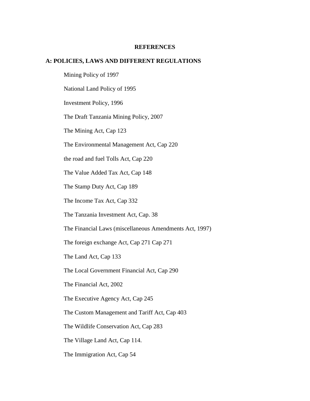#### **REFERENCES**

#### **A: POLICIES, LAWS AND DIFFERENT REGULATIONS**

Mining Policy of 1997 National Land Policy of 1995 Investment Policy, 1996 The Draft Tanzania Mining Policy, 2007 The Mining Act, Cap 123 The Environmental Management Act, Cap 220 the road and fuel Tolls Act, Cap 220 The Value Added Tax Act, Cap 148 The Stamp Duty Act, Cap 189 The Income Tax Act, Cap 332 The Tanzania Investment Act, Cap. 38 The Financial Laws (miscellaneous Amendments Act, 1997) The foreign exchange Act, Cap 271 Cap 271 The Land Act, Cap 133 The Local Government Financial Act, Cap 290 The Financial Act, 2002 The Executive Agency Act, Cap 245 The Custom Management and Tariff Act, Cap 403 The Wildlife Conservation Act, Cap 283

The Village Land Act, Cap 114.

The Immigration Act, Cap 54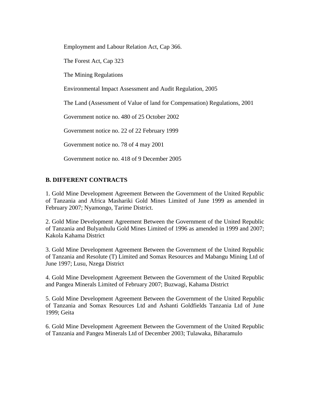Employment and Labour Relation Act, Cap 366.

The Forest Act, Cap 323

The Mining Regulations

Environmental Impact Assessment and Audit Regulation, 2005

The Land (Assessment of Value of land for Compensation) Regulations, 2001

Government notice no. 480 of 25 October 2002

Government notice no. 22 of 22 February 1999

Government notice no. 78 of 4 may 2001

Government notice no. 418 of 9 December 2005

## **B. DIFFERENT CONTRACTS**

1. Gold Mine Development Agreement Between the Government of the United Republic of Tanzania and Africa Mashariki Gold Mines Limited of June 1999 as amended in February 2007; Nyamongo, Tarime District.

2. Gold Mine Development Agreement Between the Government of the United Republic of Tanzania and Bulyanhulu Gold Mines Limited of 1996 as amended in 1999 and 2007; Kakola Kahama District

3. Gold Mine Development Agreement Between the Government of the United Republic of Tanzania and Resolute (T) Limited and Somax Resources and Mabangu Mining Ltd of June 1997; Lusu, Nzega District

4. Gold Mine Development Agreement Between the Government of the United Republic and Pangea Minerals Limited of February 2007; Buzwagi, Kahama District

5. Gold Mine Development Agreement Between the Government of the United Republic of Tanzania and Somax Resources Ltd and Ashanti Goldfields Tanzania Ltd of June 1999; Geita

6. Gold Mine Development Agreement Between the Government of the United Republic of Tanzania and Pangea Minerals Ltd of December 2003; Tulawaka, Biharamulo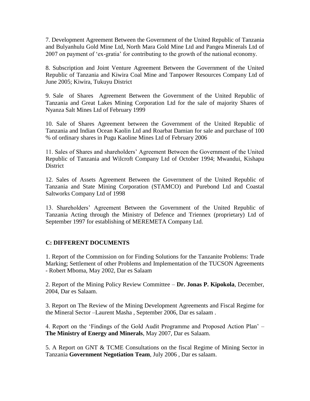7. Development Agreement Between the Government of the United Republic of Tanzania and Bulyanhulu Gold Mine Ltd, North Mara Gold Mine Ltd and Pangea Minerals Ltd of 2007 on payment of "ex-gratia" for contributing to the growth of the national economy.

8. Subscription and Joint Venture Agreement Between the Government of the United Republic of Tanzania and Kiwira Coal Mine and Tanpower Resources Company Ltd of June 2005; Kiwira, Tukuyu District

9. Sale of Shares Agreement Between the Government of the United Republic of Tanzania and Great Lakes Mining Corporation Ltd for the sale of majority Shares of Nyanza Salt Mines Ltd of February 1999

10. Sale of Shares Agreement between the Government of the United Republic of Tanzania and Indian Ocean Kaolin Ltd and Roarbat Damian for sale and purchase of 100 % of ordinary shares in Pugu Kaoline Mines Ltd of February 2006

11. Sales of Shares and shareholders" Agreement Between the Government of the United Republic of Tanzania and Wilcroft Company Ltd of October 1994; Mwandui, Kishapu **District** 

12. Sales of Assets Agreement Between the Government of the United Republic of Tanzania and State Mining Corporation (STAMCO) and Purebond Ltd and Coastal Saltworks Company Ltd of 1998

13. Shareholders" Agreement Between the Government of the United Republic of Tanzania Acting through the Ministry of Defence and Triennex (proprietary) Ltd of September 1997 for establishing of MEREMETA Company Ltd.

# **C: DIFFERENT DOCUMENTS**

1. Report of the Commission on for Finding Solutions for the Tanzanite Problems: Trade Marking; Settlement of other Problems and Implementation of the TUCSON Agreements - Robert Mboma, May 2002, Dar es Salaam

2. Report of the Mining Policy Review Committee – **Dr. Jonas P. Kipokola**, December, 2004, Dar es Salaam.

3. Report on The Review of the Mining Development Agreements and Fiscal Regime for the Mineral Sector –Laurent Masha , September 2006, Dar es salaam .

4. Report on the "Findings of the Gold Audit Programme and Proposed Action Plan" – **The Ministry of Energy and Minerals**, May 2007, Dar es Salaam.

5. A Report on GNT & TCME Consultations on the fiscal Regime of Mining Sector in Tanzania **Government Negotiation Team**, July 2006 , Dar es salaam.